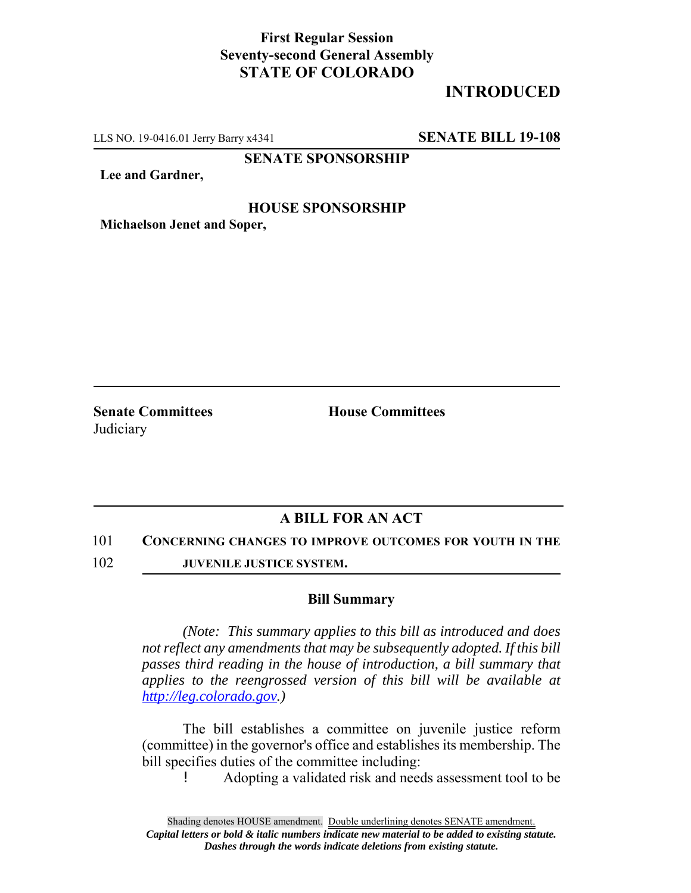## **First Regular Session Seventy-second General Assembly STATE OF COLORADO**

# **INTRODUCED**

LLS NO. 19-0416.01 Jerry Barry x4341 **SENATE BILL 19-108**

**SENATE SPONSORSHIP**

**Lee and Gardner,**

#### **HOUSE SPONSORSHIP**

**Michaelson Jenet and Soper,**

**Senate Committees House Committees Judiciary** 

### **A BILL FOR AN ACT**

101 **CONCERNING CHANGES TO IMPROVE OUTCOMES FOR YOUTH IN THE**

102 **JUVENILE JUSTICE SYSTEM.**

#### **Bill Summary**

*(Note: This summary applies to this bill as introduced and does not reflect any amendments that may be subsequently adopted. If this bill passes third reading in the house of introduction, a bill summary that applies to the reengrossed version of this bill will be available at http://leg.colorado.gov.)*

The bill establishes a committee on juvenile justice reform (committee) in the governor's office and establishes its membership. The bill specifies duties of the committee including:

! Adopting a validated risk and needs assessment tool to be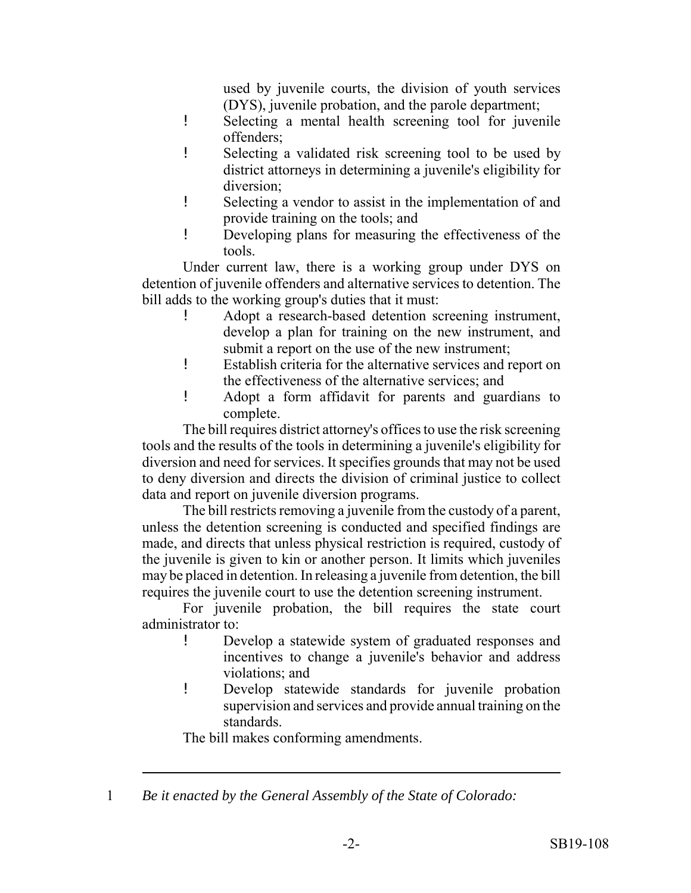used by juvenile courts, the division of youth services (DYS), juvenile probation, and the parole department;

- ! Selecting a mental health screening tool for juvenile offenders;
- ! Selecting a validated risk screening tool to be used by district attorneys in determining a juvenile's eligibility for diversion;
- ! Selecting a vendor to assist in the implementation of and provide training on the tools; and
- ! Developing plans for measuring the effectiveness of the tools.

Under current law, there is a working group under DYS on detention of juvenile offenders and alternative services to detention. The bill adds to the working group's duties that it must:

- ! Adopt a research-based detention screening instrument, develop a plan for training on the new instrument, and submit a report on the use of the new instrument;
- ! Establish criteria for the alternative services and report on the effectiveness of the alternative services; and
- ! Adopt a form affidavit for parents and guardians to complete.

The bill requires district attorney's offices to use the risk screening tools and the results of the tools in determining a juvenile's eligibility for diversion and need for services. It specifies grounds that may not be used to deny diversion and directs the division of criminal justice to collect data and report on juvenile diversion programs.

The bill restricts removing a juvenile from the custody of a parent, unless the detention screening is conducted and specified findings are made, and directs that unless physical restriction is required, custody of the juvenile is given to kin or another person. It limits which juveniles may be placed in detention. In releasing a juvenile from detention, the bill requires the juvenile court to use the detention screening instrument.

For juvenile probation, the bill requires the state court administrator to:

- ! Develop a statewide system of graduated responses and incentives to change a juvenile's behavior and address violations; and
- ! Develop statewide standards for juvenile probation supervision and services and provide annual training on the standards.

The bill makes conforming amendments.

1 *Be it enacted by the General Assembly of the State of Colorado:*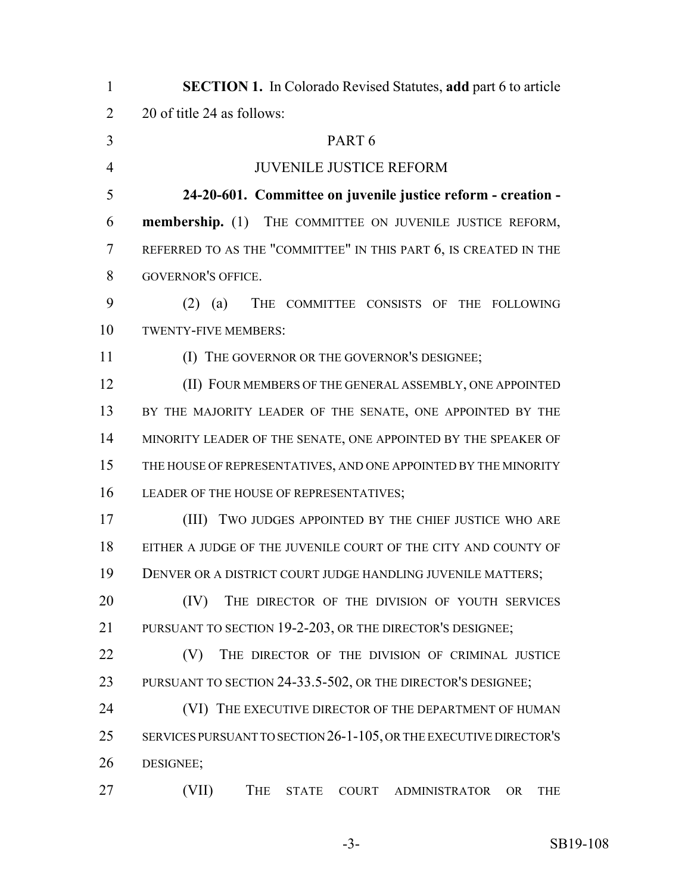| $\mathbf{1}$   | <b>SECTION 1.</b> In Colorado Revised Statutes, add part 6 to article                 |
|----------------|---------------------------------------------------------------------------------------|
| $\overline{2}$ | 20 of title 24 as follows:                                                            |
| 3              | PART <sub>6</sub>                                                                     |
| $\overline{4}$ | <b>JUVENILE JUSTICE REFORM</b>                                                        |
| 5              | 24-20-601. Committee on juvenile justice reform - creation -                          |
| 6              | membership. (1) THE COMMITTEE ON JUVENILE JUSTICE REFORM,                             |
| 7              | REFERRED TO AS THE "COMMITTEE" IN THIS PART 6, IS CREATED IN THE                      |
| 8              | <b>GOVERNOR'S OFFICE.</b>                                                             |
| 9              | $(2)$ $(a)$<br>THE COMMITTEE CONSISTS OF THE FOLLOWING                                |
| 10             | TWENTY-FIVE MEMBERS:                                                                  |
| 11             | (I) THE GOVERNOR OR THE GOVERNOR'S DESIGNEE;                                          |
| 12             | (II) FOUR MEMBERS OF THE GENERAL ASSEMBLY, ONE APPOINTED                              |
| 13             | BY THE MAJORITY LEADER OF THE SENATE, ONE APPOINTED BY THE                            |
| 14             | MINORITY LEADER OF THE SENATE, ONE APPOINTED BY THE SPEAKER OF                        |
| 15             | THE HOUSE OF REPRESENTATIVES, AND ONE APPOINTED BY THE MINORITY                       |
| 16             | LEADER OF THE HOUSE OF REPRESENTATIVES;                                               |
| 17             | (III)<br>TWO JUDGES APPOINTED BY THE CHIEF JUSTICE WHO ARE                            |
| 18             | EITHER A JUDGE OF THE JUVENILE COURT OF THE CITY AND COUNTY OF                        |
| 19             | DENVER OR A DISTRICT COURT JUDGE HANDLING JUVENILE MATTERS;                           |
| 20             | (IV)<br>THE DIRECTOR OF THE DIVISION OF YOUTH SERVICES                                |
| 21             | PURSUANT TO SECTION 19-2-203, OR THE DIRECTOR'S DESIGNEE;                             |
| 22             | THE DIRECTOR OF THE DIVISION OF CRIMINAL JUSTICE<br>(V)                               |
| 23             | PURSUANT TO SECTION 24-33.5-502, OR THE DIRECTOR'S DESIGNEE;                          |
| 24             | (VI) THE EXECUTIVE DIRECTOR OF THE DEPARTMENT OF HUMAN                                |
| 25             | SERVICES PURSUANT TO SECTION 26-1-105, OR THE EXECUTIVE DIRECTOR'S                    |
| 26             | DESIGNEE;                                                                             |
| 27             | (VII)<br><b>THE</b><br><b>STATE</b><br>COURT ADMINISTRATOR<br><b>OR</b><br><b>THE</b> |
|                |                                                                                       |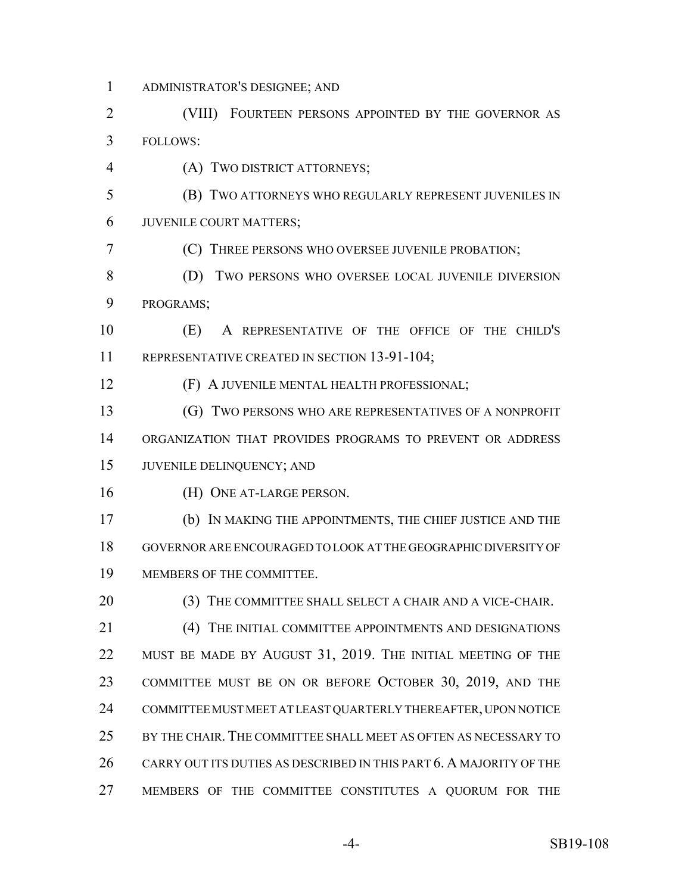- ADMINISTRATOR'S DESIGNEE; AND
- (VIII) FOURTEEN PERSONS APPOINTED BY THE GOVERNOR AS FOLLOWS:
- (A) TWO DISTRICT ATTORNEYS;
- (B) TWO ATTORNEYS WHO REGULARLY REPRESENT JUVENILES IN JUVENILE COURT MATTERS;
- (C) THREE PERSONS WHO OVERSEE JUVENILE PROBATION;
- 8 (D) TWO PERSONS WHO OVERSEE LOCAL JUVENILE DIVERSION PROGRAMS;
- (E) A REPRESENTATIVE OF THE OFFICE OF THE CHILD'S 11 REPRESENTATIVE CREATED IN SECTION 13-91-104;
- (F) A JUVENILE MENTAL HEALTH PROFESSIONAL;
- (G) TWO PERSONS WHO ARE REPRESENTATIVES OF A NONPROFIT ORGANIZATION THAT PROVIDES PROGRAMS TO PREVENT OR ADDRESS JUVENILE DELINQUENCY; AND
- (H) ONE AT-LARGE PERSON.
- (b) IN MAKING THE APPOINTMENTS, THE CHIEF JUSTICE AND THE GOVERNOR ARE ENCOURAGED TO LOOK AT THE GEOGRAPHIC DIVERSITY OF MEMBERS OF THE COMMITTEE.
- (3) THE COMMITTEE SHALL SELECT A CHAIR AND A VICE-CHAIR. (4) THE INITIAL COMMITTEE APPOINTMENTS AND DESIGNATIONS 22 MUST BE MADE BY AUGUST 31, 2019. THE INITIAL MEETING OF THE COMMITTEE MUST BE ON OR BEFORE OCTOBER 30, 2019, AND THE COMMITTEE MUST MEET AT LEAST QUARTERLY THEREAFTER, UPON NOTICE BY THE CHAIR. THE COMMITTEE SHALL MEET AS OFTEN AS NECESSARY TO CARRY OUT ITS DUTIES AS DESCRIBED IN THIS PART 6. A MAJORITY OF THE MEMBERS OF THE COMMITTEE CONSTITUTES A QUORUM FOR THE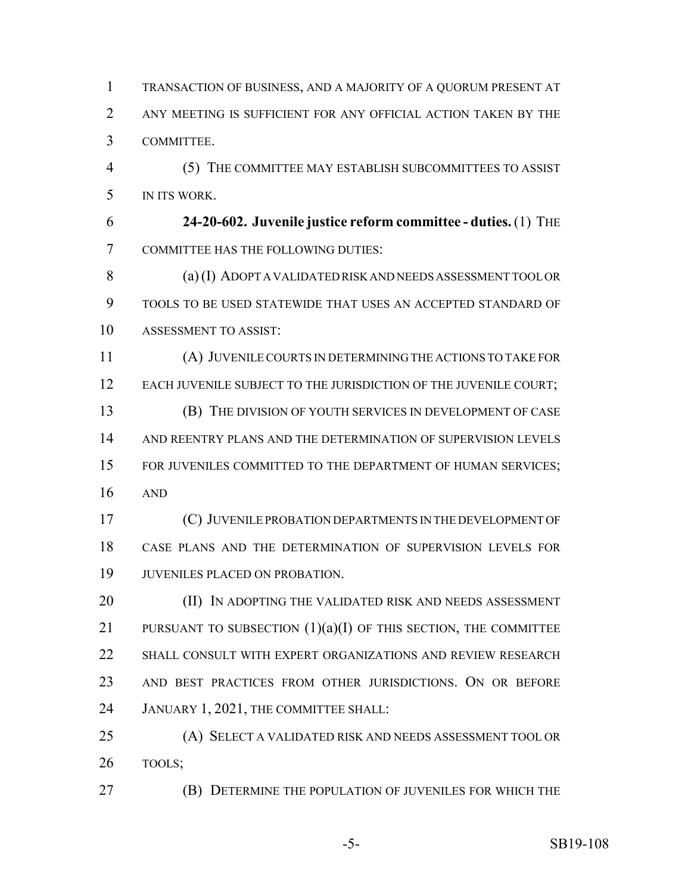TRANSACTION OF BUSINESS, AND A MAJORITY OF A QUORUM PRESENT AT ANY MEETING IS SUFFICIENT FOR ANY OFFICIAL ACTION TAKEN BY THE COMMITTEE. (5) THE COMMITTEE MAY ESTABLISH SUBCOMMITTEES TO ASSIST IN ITS WORK.

 **24-20-602. Juvenile justice reform committee - duties.** (1) THE COMMITTEE HAS THE FOLLOWING DUTIES:

 (a) (I) ADOPT A VALIDATED RISK AND NEEDS ASSESSMENT TOOL OR TOOLS TO BE USED STATEWIDE THAT USES AN ACCEPTED STANDARD OF ASSESSMENT TO ASSIST:

 (A) JUVENILE COURTS IN DETERMINING THE ACTIONS TO TAKE FOR 12 EACH JUVENILE SUBJECT TO THE JURISDICTION OF THE JUVENILE COURT; (B) THE DIVISION OF YOUTH SERVICES IN DEVELOPMENT OF CASE

 AND REENTRY PLANS AND THE DETERMINATION OF SUPERVISION LEVELS 15 FOR JUVENILES COMMITTED TO THE DEPARTMENT OF HUMAN SERVICES; AND

 (C) JUVENILE PROBATION DEPARTMENTS IN THE DEVELOPMENT OF CASE PLANS AND THE DETERMINATION OF SUPERVISION LEVELS FOR JUVENILES PLACED ON PROBATION.

**(II) IN ADOPTING THE VALIDATED RISK AND NEEDS ASSESSMENT** 21 PURSUANT TO SUBSECTION  $(1)(a)(I)$  OF THIS SECTION, THE COMMITTEE SHALL CONSULT WITH EXPERT ORGANIZATIONS AND REVIEW RESEARCH AND BEST PRACTICES FROM OTHER JURISDICTIONS. ON OR BEFORE JANUARY 1, 2021, THE COMMITTEE SHALL:

 (A) SELECT A VALIDATED RISK AND NEEDS ASSESSMENT TOOL OR TOOLS;

(B) DETERMINE THE POPULATION OF JUVENILES FOR WHICH THE

-5- SB19-108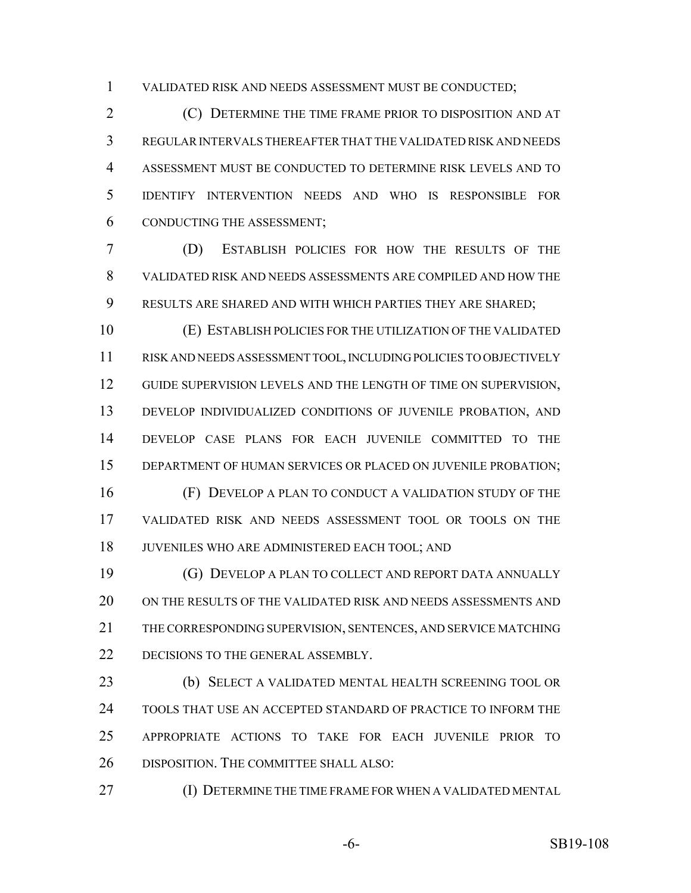VALIDATED RISK AND NEEDS ASSESSMENT MUST BE CONDUCTED;

 (C) DETERMINE THE TIME FRAME PRIOR TO DISPOSITION AND AT REGULAR INTERVALS THEREAFTER THAT THE VALIDATED RISK AND NEEDS ASSESSMENT MUST BE CONDUCTED TO DETERMINE RISK LEVELS AND TO IDENTIFY INTERVENTION NEEDS AND WHO IS RESPONSIBLE FOR CONDUCTING THE ASSESSMENT;

 (D) ESTABLISH POLICIES FOR HOW THE RESULTS OF THE VALIDATED RISK AND NEEDS ASSESSMENTS ARE COMPILED AND HOW THE RESULTS ARE SHARED AND WITH WHICH PARTIES THEY ARE SHARED;

 (E) ESTABLISH POLICIES FOR THE UTILIZATION OF THE VALIDATED RISK AND NEEDS ASSESSMENT TOOL, INCLUDING POLICIES TO OBJECTIVELY 12 GUIDE SUPERVISION LEVELS AND THE LENGTH OF TIME ON SUPERVISION, DEVELOP INDIVIDUALIZED CONDITIONS OF JUVENILE PROBATION, AND DEVELOP CASE PLANS FOR EACH JUVENILE COMMITTED TO THE DEPARTMENT OF HUMAN SERVICES OR PLACED ON JUVENILE PROBATION; (F) DEVELOP A PLAN TO CONDUCT A VALIDATION STUDY OF THE VALIDATED RISK AND NEEDS ASSESSMENT TOOL OR TOOLS ON THE

JUVENILES WHO ARE ADMINISTERED EACH TOOL; AND

 (G) DEVELOP A PLAN TO COLLECT AND REPORT DATA ANNUALLY ON THE RESULTS OF THE VALIDATED RISK AND NEEDS ASSESSMENTS AND THE CORRESPONDING SUPERVISION, SENTENCES, AND SERVICE MATCHING 22 DECISIONS TO THE GENERAL ASSEMBLY.

 (b) SELECT A VALIDATED MENTAL HEALTH SCREENING TOOL OR TOOLS THAT USE AN ACCEPTED STANDARD OF PRACTICE TO INFORM THE APPROPRIATE ACTIONS TO TAKE FOR EACH JUVENILE PRIOR TO DISPOSITION. THE COMMITTEE SHALL ALSO:

(I) DETERMINE THE TIME FRAME FOR WHEN A VALIDATED MENTAL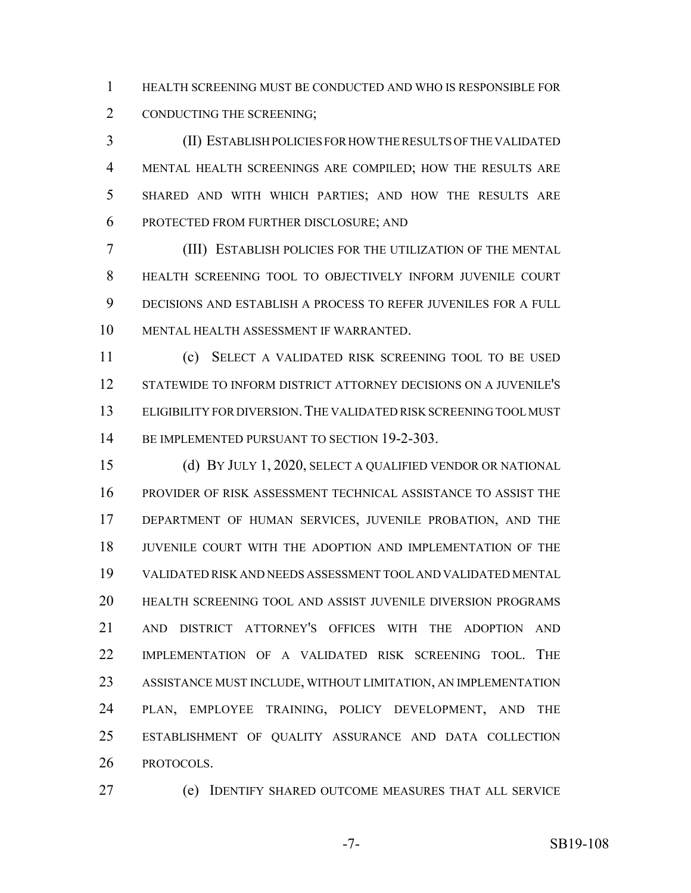HEALTH SCREENING MUST BE CONDUCTED AND WHO IS RESPONSIBLE FOR CONDUCTING THE SCREENING;

 (II) ESTABLISH POLICIES FOR HOW THE RESULTS OF THE VALIDATED MENTAL HEALTH SCREENINGS ARE COMPILED; HOW THE RESULTS ARE SHARED AND WITH WHICH PARTIES; AND HOW THE RESULTS ARE PROTECTED FROM FURTHER DISCLOSURE; AND

 (III) ESTABLISH POLICIES FOR THE UTILIZATION OF THE MENTAL HEALTH SCREENING TOOL TO OBJECTIVELY INFORM JUVENILE COURT DECISIONS AND ESTABLISH A PROCESS TO REFER JUVENILES FOR A FULL MENTAL HEALTH ASSESSMENT IF WARRANTED.

 (c) SELECT A VALIDATED RISK SCREENING TOOL TO BE USED STATEWIDE TO INFORM DISTRICT ATTORNEY DECISIONS ON A JUVENILE'S ELIGIBILITY FOR DIVERSION.THE VALIDATED RISK SCREENING TOOL MUST 14 BE IMPLEMENTED PURSUANT TO SECTION 19-2-303.

 (d) BY JULY 1, 2020, SELECT A QUALIFIED VENDOR OR NATIONAL PROVIDER OF RISK ASSESSMENT TECHNICAL ASSISTANCE TO ASSIST THE DEPARTMENT OF HUMAN SERVICES, JUVENILE PROBATION, AND THE JUVENILE COURT WITH THE ADOPTION AND IMPLEMENTATION OF THE VALIDATED RISK AND NEEDS ASSESSMENT TOOL AND VALIDATED MENTAL HEALTH SCREENING TOOL AND ASSIST JUVENILE DIVERSION PROGRAMS AND DISTRICT ATTORNEY'S OFFICES WITH THE ADOPTION AND IMPLEMENTATION OF A VALIDATED RISK SCREENING TOOL. THE ASSISTANCE MUST INCLUDE, WITHOUT LIMITATION, AN IMPLEMENTATION PLAN, EMPLOYEE TRAINING, POLICY DEVELOPMENT, AND THE ESTABLISHMENT OF QUALITY ASSURANCE AND DATA COLLECTION PROTOCOLS.

(e) IDENTIFY SHARED OUTCOME MEASURES THAT ALL SERVICE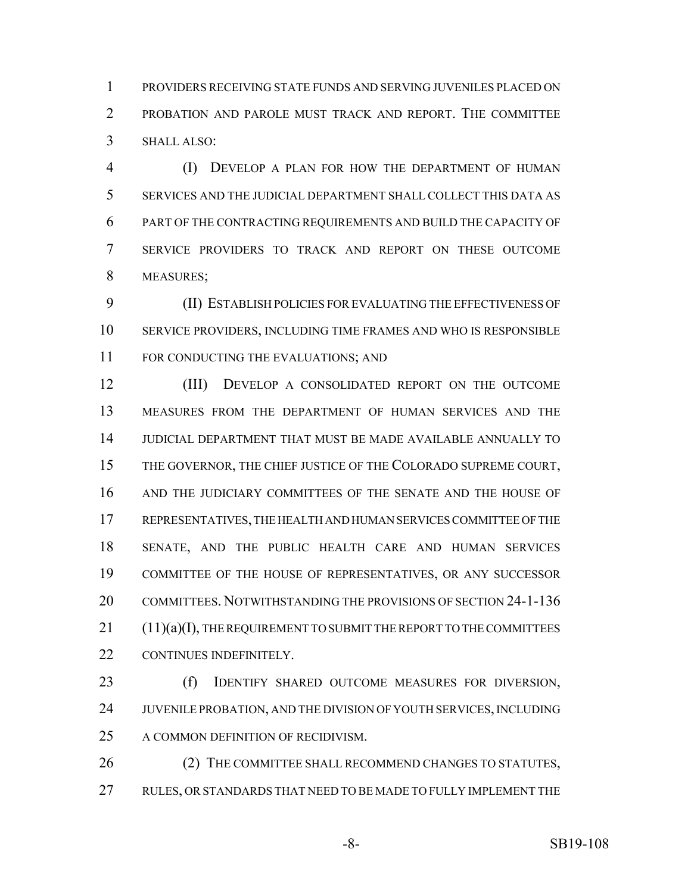PROVIDERS RECEIVING STATE FUNDS AND SERVING JUVENILES PLACED ON PROBATION AND PAROLE MUST TRACK AND REPORT. THE COMMITTEE SHALL ALSO:

 (I) DEVELOP A PLAN FOR HOW THE DEPARTMENT OF HUMAN SERVICES AND THE JUDICIAL DEPARTMENT SHALL COLLECT THIS DATA AS PART OF THE CONTRACTING REQUIREMENTS AND BUILD THE CAPACITY OF SERVICE PROVIDERS TO TRACK AND REPORT ON THESE OUTCOME MEASURES;

 (II) ESTABLISH POLICIES FOR EVALUATING THE EFFECTIVENESS OF SERVICE PROVIDERS, INCLUDING TIME FRAMES AND WHO IS RESPONSIBLE 11 FOR CONDUCTING THE EVALUATIONS; AND

 (III) DEVELOP A CONSOLIDATED REPORT ON THE OUTCOME MEASURES FROM THE DEPARTMENT OF HUMAN SERVICES AND THE JUDICIAL DEPARTMENT THAT MUST BE MADE AVAILABLE ANNUALLY TO THE GOVERNOR, THE CHIEF JUSTICE OF THE COLORADO SUPREME COURT, AND THE JUDICIARY COMMITTEES OF THE SENATE AND THE HOUSE OF REPRESENTATIVES, THE HEALTH AND HUMAN SERVICES COMMITTEE OF THE SENATE, AND THE PUBLIC HEALTH CARE AND HUMAN SERVICES COMMITTEE OF THE HOUSE OF REPRESENTATIVES, OR ANY SUCCESSOR COMMITTEES. NOTWITHSTANDING THE PROVISIONS OF SECTION 24-1-136 (11)(a)(I), THE REQUIREMENT TO SUBMIT THE REPORT TO THE COMMITTEES CONTINUES INDEFINITELY.

 (f) IDENTIFY SHARED OUTCOME MEASURES FOR DIVERSION, JUVENILE PROBATION, AND THE DIVISION OF YOUTH SERVICES, INCLUDING A COMMON DEFINITION OF RECIDIVISM.

26 (2) THE COMMITTEE SHALL RECOMMEND CHANGES TO STATUTES, RULES, OR STANDARDS THAT NEED TO BE MADE TO FULLY IMPLEMENT THE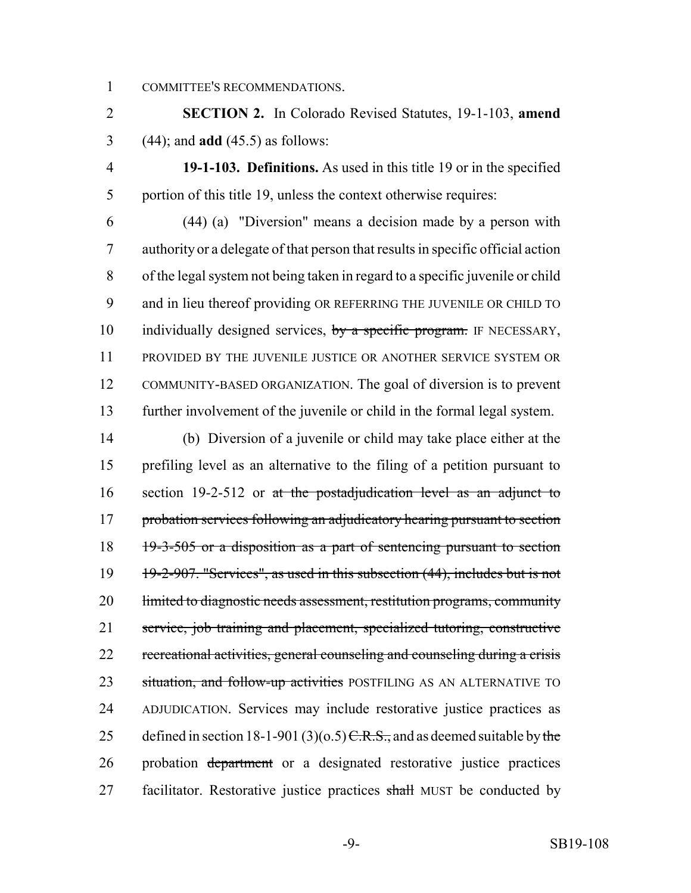COMMITTEE'S RECOMMENDATIONS.

 **SECTION 2.** In Colorado Revised Statutes, 19-1-103, **amend** (44); and **add** (45.5) as follows:

 **19-1-103. Definitions.** As used in this title 19 or in the specified portion of this title 19, unless the context otherwise requires:

 (44) (a) "Diversion" means a decision made by a person with authority or a delegate of that person that results in specific official action of the legal system not being taken in regard to a specific juvenile or child and in lieu thereof providing OR REFERRING THE JUVENILE OR CHILD TO 10 individually designed services, by a specific program. IF NECESSARY, PROVIDED BY THE JUVENILE JUSTICE OR ANOTHER SERVICE SYSTEM OR COMMUNITY-BASED ORGANIZATION. The goal of diversion is to prevent further involvement of the juvenile or child in the formal legal system.

 (b) Diversion of a juvenile or child may take place either at the prefiling level as an alternative to the filing of a petition pursuant to 16 section 19-2-512 or at the postadjudication level as an adjunct to 17 probation services following an adjudicatory hearing pursuant to section 18 19-3-505 or a disposition as a part of sentencing pursuant to section 19 19-2-907. "Services", as used in this subsection (44), includes but is not 20 limited to diagnostic needs assessment, restitution programs, community service, job training and placement, specialized tutoring, constructive recreational activities, general counseling and counseling during a crisis 23 situation, and follow-up activities POSTFILING AS AN ALTERNATIVE TO ADJUDICATION. Services may include restorative justice practices as 25 defined in section 18-1-901 (3)( $\sigma$ .5)  $\overline{C.R.S.}$ , and as deemed suitable by the probation department or a designated restorative justice practices 27 facilitator. Restorative justice practices shall MUST be conducted by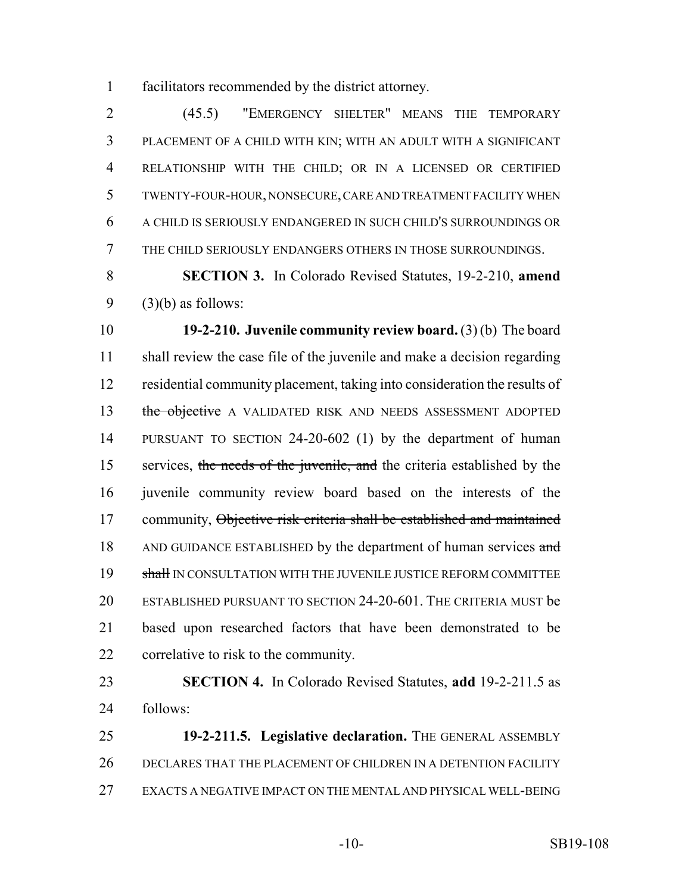facilitators recommended by the district attorney.

 (45.5) "EMERGENCY SHELTER" MEANS THE TEMPORARY PLACEMENT OF A CHILD WITH KIN; WITH AN ADULT WITH A SIGNIFICANT RELATIONSHIP WITH THE CHILD; OR IN A LICENSED OR CERTIFIED TWENTY-FOUR-HOUR, NONSECURE, CARE AND TREATMENT FACILITY WHEN A CHILD IS SERIOUSLY ENDANGERED IN SUCH CHILD'S SURROUNDINGS OR THE CHILD SERIOUSLY ENDANGERS OTHERS IN THOSE SURROUNDINGS.

 **SECTION 3.** In Colorado Revised Statutes, 19-2-210, **amend** (3)(b) as follows:

 **19-2-210. Juvenile community review board.** (3) (b) The board shall review the case file of the juvenile and make a decision regarding residential community placement, taking into consideration the results of 13 the objective A VALIDATED RISK AND NEEDS ASSESSMENT ADOPTED PURSUANT TO SECTION 24-20-602 (1) by the department of human 15 services, the needs of the juvenile, and the criteria established by the juvenile community review board based on the interests of the 17 community, Objective risk criteria shall be established and maintained 18 AND GUIDANCE ESTABLISHED by the department of human services and 19 shall IN CONSULTATION WITH THE JUVENILE JUSTICE REFORM COMMITTEE ESTABLISHED PURSUANT TO SECTION 24-20-601. THE CRITERIA MUST be based upon researched factors that have been demonstrated to be correlative to risk to the community.

 **SECTION 4.** In Colorado Revised Statutes, **add** 19-2-211.5 as follows:

 **19-2-211.5. Legislative declaration.** THE GENERAL ASSEMBLY DECLARES THAT THE PLACEMENT OF CHILDREN IN A DETENTION FACILITY EXACTS A NEGATIVE IMPACT ON THE MENTAL AND PHYSICAL WELL-BEING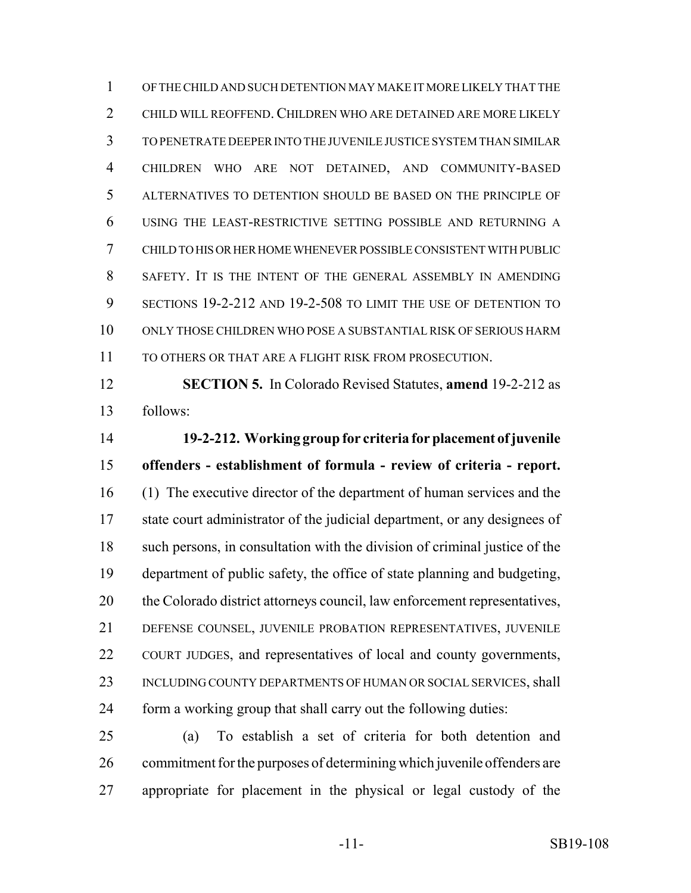OF THE CHILD AND SUCH DETENTION MAY MAKE IT MORE LIKELY THAT THE CHILD WILL REOFFEND.CHILDREN WHO ARE DETAINED ARE MORE LIKELY TO PENETRATE DEEPER INTO THE JUVENILE JUSTICE SYSTEM THAN SIMILAR CHILDREN WHO ARE NOT DETAINED, AND COMMUNITY-BASED ALTERNATIVES TO DETENTION SHOULD BE BASED ON THE PRINCIPLE OF USING THE LEAST-RESTRICTIVE SETTING POSSIBLE AND RETURNING A CHILD TO HIS OR HER HOME WHENEVER POSSIBLE CONSISTENT WITH PUBLIC SAFETY. IT IS THE INTENT OF THE GENERAL ASSEMBLY IN AMENDING SECTIONS 19-2-212 AND 19-2-508 TO LIMIT THE USE OF DETENTION TO ONLY THOSE CHILDREN WHO POSE A SUBSTANTIAL RISK OF SERIOUS HARM TO OTHERS OR THAT ARE A FLIGHT RISK FROM PROSECUTION.

 **SECTION 5.** In Colorado Revised Statutes, **amend** 19-2-212 as follows:

 **19-2-212. Working group for criteria for placement of juvenile offenders - establishment of formula - review of criteria - report.** (1) The executive director of the department of human services and the state court administrator of the judicial department, or any designees of such persons, in consultation with the division of criminal justice of the department of public safety, the office of state planning and budgeting, the Colorado district attorneys council, law enforcement representatives, DEFENSE COUNSEL, JUVENILE PROBATION REPRESENTATIVES, JUVENILE COURT JUDGES, and representatives of local and county governments, 23 INCLUDING COUNTY DEPARTMENTS OF HUMAN OR SOCIAL SERVICES, shall form a working group that shall carry out the following duties:

 (a) To establish a set of criteria for both detention and commitment for the purposes of determining which juvenile offenders are appropriate for placement in the physical or legal custody of the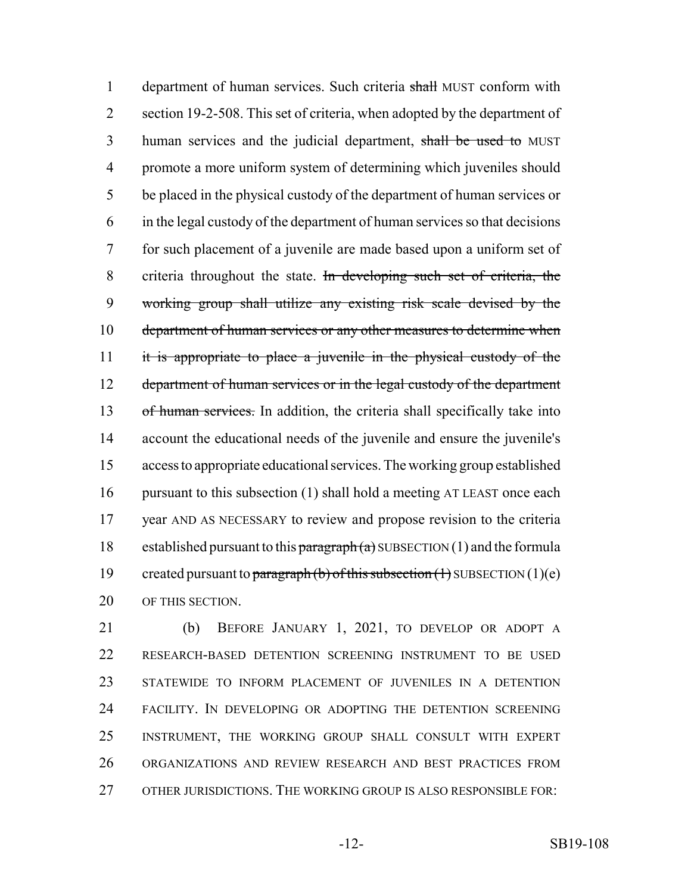1 department of human services. Such criteria shall MUST conform with section 19-2-508. This set of criteria, when adopted by the department of 3 human services and the judicial department, shall be used to MUST promote a more uniform system of determining which juveniles should be placed in the physical custody of the department of human services or in the legal custody of the department of human services so that decisions for such placement of a juvenile are made based upon a uniform set of 8 criteria throughout the state. In developing such set of criteria, the working group shall utilize any existing risk scale devised by the 10 department of human services or any other measures to determine when it is appropriate to place a juvenile in the physical custody of the 12 department of human services or in the legal custody of the department 13 of human services. In addition, the criteria shall specifically take into account the educational needs of the juvenile and ensure the juvenile's access to appropriate educational services. The working group established 16 pursuant to this subsection (1) shall hold a meeting AT LEAST once each year AND AS NECESSARY to review and propose revision to the criteria 18 established pursuant to this  $\frac{\text{pargraph}}{a}$  SUBSECTION (1) and the formula 19 created pursuant to paragraph (b) of this subsection  $(1)$  SUBSECTION  $(1)(e)$ OF THIS SECTION.

 (b) BEFORE JANUARY 1, 2021, TO DEVELOP OR ADOPT A RESEARCH-BASED DETENTION SCREENING INSTRUMENT TO BE USED STATEWIDE TO INFORM PLACEMENT OF JUVENILES IN A DETENTION FACILITY. IN DEVELOPING OR ADOPTING THE DETENTION SCREENING INSTRUMENT, THE WORKING GROUP SHALL CONSULT WITH EXPERT ORGANIZATIONS AND REVIEW RESEARCH AND BEST PRACTICES FROM OTHER JURISDICTIONS. THE WORKING GROUP IS ALSO RESPONSIBLE FOR: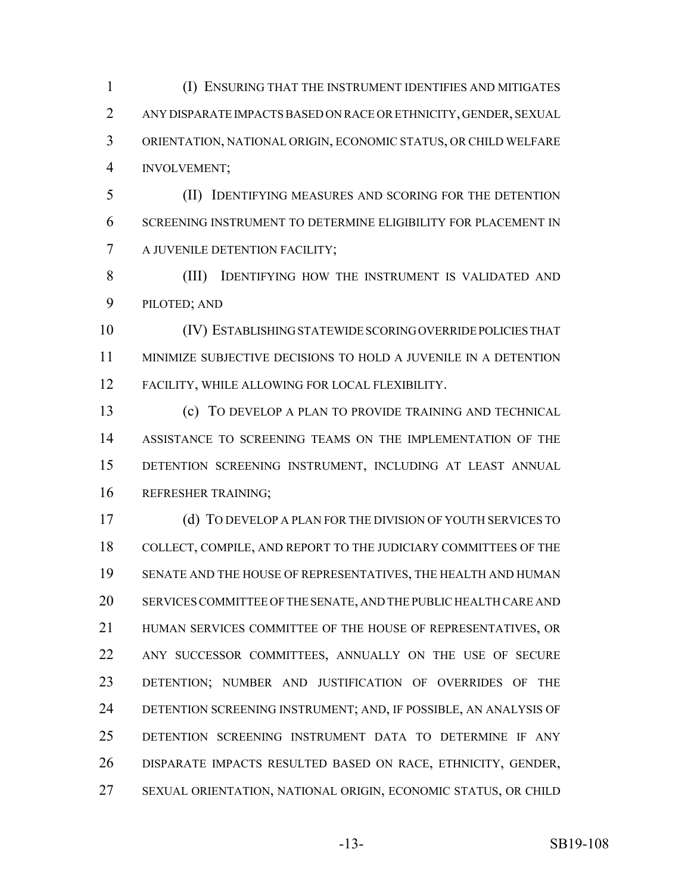(I) ENSURING THAT THE INSTRUMENT IDENTIFIES AND MITIGATES ANY DISPARATE IMPACTS BASED ON RACE OR ETHNICITY, GENDER, SEXUAL ORIENTATION, NATIONAL ORIGIN, ECONOMIC STATUS, OR CHILD WELFARE INVOLVEMENT;

 (II) IDENTIFYING MEASURES AND SCORING FOR THE DETENTION SCREENING INSTRUMENT TO DETERMINE ELIGIBILITY FOR PLACEMENT IN A JUVENILE DETENTION FACILITY;

 (III) IDENTIFYING HOW THE INSTRUMENT IS VALIDATED AND PILOTED; AND

 (IV) ESTABLISHING STATEWIDE SCORING OVERRIDE POLICIES THAT MINIMIZE SUBJECTIVE DECISIONS TO HOLD A JUVENILE IN A DETENTION FACILITY, WHILE ALLOWING FOR LOCAL FLEXIBILITY.

 (c) TO DEVELOP A PLAN TO PROVIDE TRAINING AND TECHNICAL ASSISTANCE TO SCREENING TEAMS ON THE IMPLEMENTATION OF THE DETENTION SCREENING INSTRUMENT, INCLUDING AT LEAST ANNUAL REFRESHER TRAINING;

 (d) TO DEVELOP A PLAN FOR THE DIVISION OF YOUTH SERVICES TO COLLECT, COMPILE, AND REPORT TO THE JUDICIARY COMMITTEES OF THE SENATE AND THE HOUSE OF REPRESENTATIVES, THE HEALTH AND HUMAN SERVICES COMMITTEE OF THE SENATE, AND THE PUBLIC HEALTH CARE AND HUMAN SERVICES COMMITTEE OF THE HOUSE OF REPRESENTATIVES, OR ANY SUCCESSOR COMMITTEES, ANNUALLY ON THE USE OF SECURE DETENTION; NUMBER AND JUSTIFICATION OF OVERRIDES OF THE DETENTION SCREENING INSTRUMENT; AND, IF POSSIBLE, AN ANALYSIS OF DETENTION SCREENING INSTRUMENT DATA TO DETERMINE IF ANY DISPARATE IMPACTS RESULTED BASED ON RACE, ETHNICITY, GENDER, SEXUAL ORIENTATION, NATIONAL ORIGIN, ECONOMIC STATUS, OR CHILD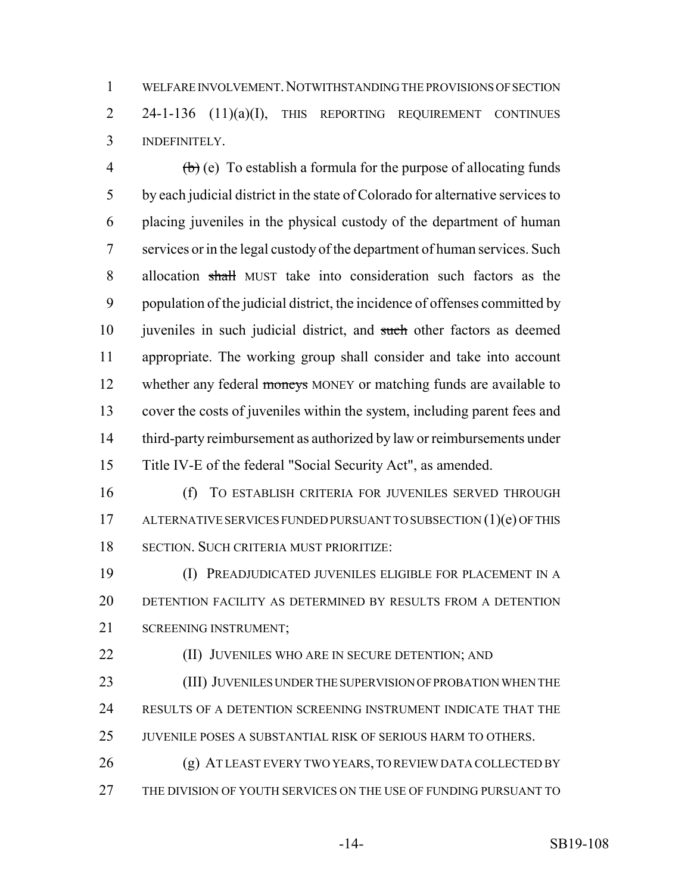WELFARE INVOLVEMENT.NOTWITHSTANDING THE PROVISIONS OF SECTION 2 24-1-136 (11)(a)(I), THIS REPORTING REQUIREMENT CONTINUES INDEFINITELY.

 $\phi$  (b) (e) To establish a formula for the purpose of allocating funds by each judicial district in the state of Colorado for alternative services to placing juveniles in the physical custody of the department of human services or in the legal custody of the department of human services. Such 8 allocation shall MUST take into consideration such factors as the population of the judicial district, the incidence of offenses committed by 10 juveniles in such judicial district, and such other factors as deemed appropriate. The working group shall consider and take into account 12 whether any federal moneys MONEY or matching funds are available to cover the costs of juveniles within the system, including parent fees and third-party reimbursement as authorized by law or reimbursements under Title IV-E of the federal "Social Security Act", as amended.

 (f) TO ESTABLISH CRITERIA FOR JUVENILES SERVED THROUGH 17 ALTERNATIVE SERVICES FUNDED PURSUANT TO SUBSECTION (1)(e) OF THIS SECTION. SUCH CRITERIA MUST PRIORITIZE:

 (I) PREADJUDICATED JUVENILES ELIGIBLE FOR PLACEMENT IN A DETENTION FACILITY AS DETERMINED BY RESULTS FROM A DETENTION SCREENING INSTRUMENT;

**(II) JUVENILES WHO ARE IN SECURE DETENTION; AND** 

 (III) JUVENILES UNDER THE SUPERVISION OF PROBATION WHEN THE RESULTS OF A DETENTION SCREENING INSTRUMENT INDICATE THAT THE JUVENILE POSES A SUBSTANTIAL RISK OF SERIOUS HARM TO OTHERS.

 (g) AT LEAST EVERY TWO YEARS, TO REVIEW DATA COLLECTED BY THE DIVISION OF YOUTH SERVICES ON THE USE OF FUNDING PURSUANT TO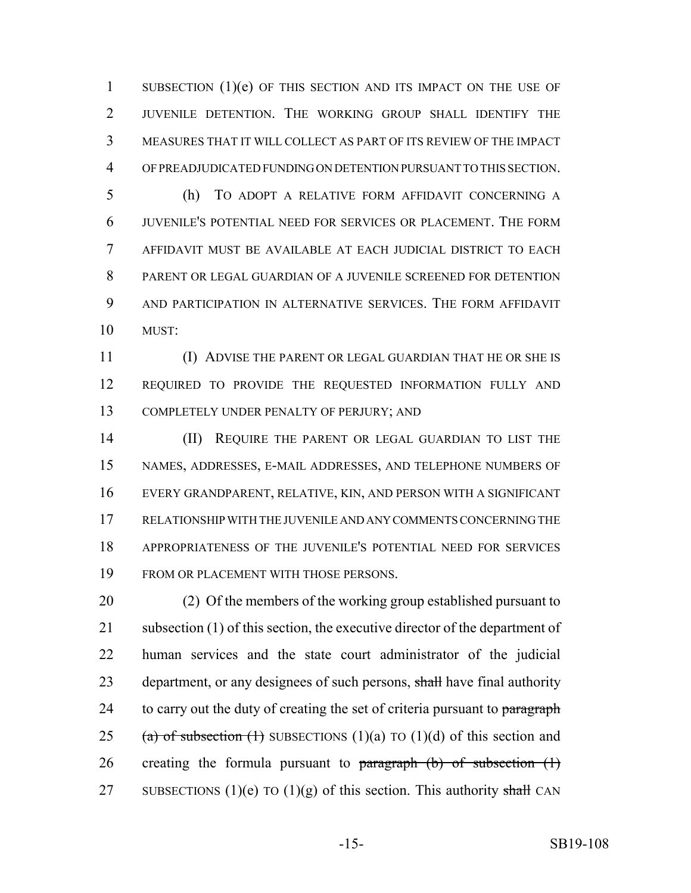SUBSECTION (1)(e) OF THIS SECTION AND ITS IMPACT ON THE USE OF JUVENILE DETENTION. THE WORKING GROUP SHALL IDENTIFY THE MEASURES THAT IT WILL COLLECT AS PART OF ITS REVIEW OF THE IMPACT OF PREADJUDICATED FUNDING ON DETENTION PURSUANT TO THIS SECTION.

 (h) TO ADOPT A RELATIVE FORM AFFIDAVIT CONCERNING A JUVENILE'S POTENTIAL NEED FOR SERVICES OR PLACEMENT. THE FORM AFFIDAVIT MUST BE AVAILABLE AT EACH JUDICIAL DISTRICT TO EACH PARENT OR LEGAL GUARDIAN OF A JUVENILE SCREENED FOR DETENTION AND PARTICIPATION IN ALTERNATIVE SERVICES. THE FORM AFFIDAVIT MUST:

 (I) ADVISE THE PARENT OR LEGAL GUARDIAN THAT HE OR SHE IS REQUIRED TO PROVIDE THE REQUESTED INFORMATION FULLY AND COMPLETELY UNDER PENALTY OF PERJURY; AND

14 (II) REQUIRE THE PARENT OR LEGAL GUARDIAN TO LIST THE NAMES, ADDRESSES, E-MAIL ADDRESSES, AND TELEPHONE NUMBERS OF EVERY GRANDPARENT, RELATIVE, KIN, AND PERSON WITH A SIGNIFICANT RELATIONSHIP WITH THE JUVENILE AND ANY COMMENTS CONCERNING THE APPROPRIATENESS OF THE JUVENILE'S POTENTIAL NEED FOR SERVICES FROM OR PLACEMENT WITH THOSE PERSONS.

 (2) Of the members of the working group established pursuant to subsection (1) of this section, the executive director of the department of human services and the state court administrator of the judicial 23 department, or any designees of such persons, shall have final authority 24 to carry out the duty of creating the set of criteria pursuant to paragraph 25 (a) of subsection (1) SUBSECTIONS (1)(a) TO (1)(d) of this section and 26 creating the formula pursuant to paragraph  $(b)$  of subsection  $(1)$ 27 SUBSECTIONS (1)(e) TO (1)(g) of this section. This authority shall CAN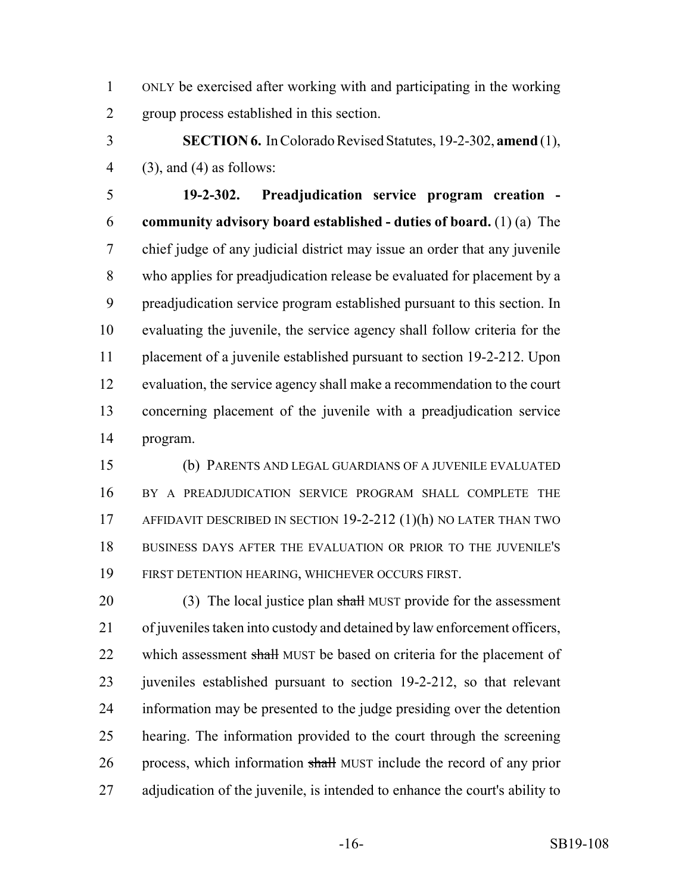ONLY be exercised after working with and participating in the working group process established in this section.

 **SECTION 6.** In Colorado Revised Statutes, 19-2-302, **amend** (1), 4 (3), and (4) as follows:

 **19-2-302. Preadjudication service program creation - community advisory board established - duties of board.** (1) (a) The chief judge of any judicial district may issue an order that any juvenile who applies for preadjudication release be evaluated for placement by a preadjudication service program established pursuant to this section. In evaluating the juvenile, the service agency shall follow criteria for the placement of a juvenile established pursuant to section 19-2-212. Upon evaluation, the service agency shall make a recommendation to the court concerning placement of the juvenile with a preadjudication service program.

 (b) PARENTS AND LEGAL GUARDIANS OF A JUVENILE EVALUATED BY A PREADJUDICATION SERVICE PROGRAM SHALL COMPLETE THE AFFIDAVIT DESCRIBED IN SECTION 19-2-212 (1)(h) NO LATER THAN TWO BUSINESS DAYS AFTER THE EVALUATION OR PRIOR TO THE JUVENILE'S FIRST DETENTION HEARING, WHICHEVER OCCURS FIRST.

20 (3) The local justice plan shall MUST provide for the assessment of juveniles taken into custody and detained by law enforcement officers, 22 which assessment shall MUST be based on criteria for the placement of juveniles established pursuant to section 19-2-212, so that relevant information may be presented to the judge presiding over the detention hearing. The information provided to the court through the screening 26 process, which information shall MUST include the record of any prior adjudication of the juvenile, is intended to enhance the court's ability to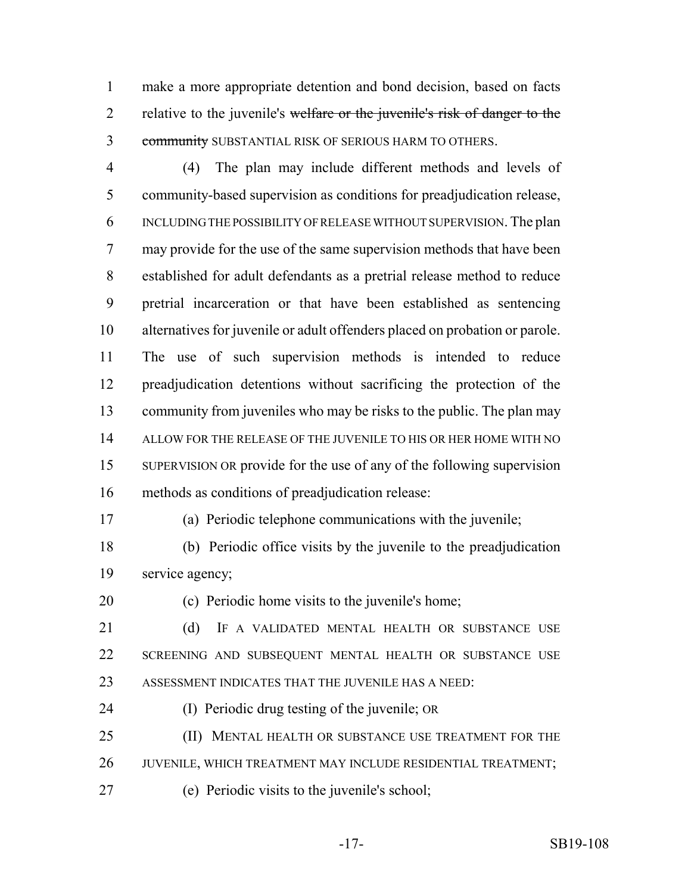make a more appropriate detention and bond decision, based on facts 2 relative to the juvenile's welfare or the juvenile's risk of danger to the 3 community SUBSTANTIAL RISK OF SERIOUS HARM TO OTHERS.

 (4) The plan may include different methods and levels of community-based supervision as conditions for preadjudication release, INCLUDING THE POSSIBILITY OF RELEASE WITHOUT SUPERVISION. The plan may provide for the use of the same supervision methods that have been established for adult defendants as a pretrial release method to reduce pretrial incarceration or that have been established as sentencing alternatives for juvenile or adult offenders placed on probation or parole. The use of such supervision methods is intended to reduce preadjudication detentions without sacrificing the protection of the community from juveniles who may be risks to the public. The plan may ALLOW FOR THE RELEASE OF THE JUVENILE TO HIS OR HER HOME WITH NO SUPERVISION OR provide for the use of any of the following supervision methods as conditions of preadjudication release:

(a) Periodic telephone communications with the juvenile;

- (b) Periodic office visits by the juvenile to the preadjudication service agency;
- (c) Periodic home visits to the juvenile's home;
- 21 (d) IF A VALIDATED MENTAL HEALTH OR SUBSTANCE USE SCREENING AND SUBSEQUENT MENTAL HEALTH OR SUBSTANCE USE ASSESSMENT INDICATES THAT THE JUVENILE HAS A NEED:
- (I) Periodic drug testing of the juvenile; OR
- 25 (II) MENTAL HEALTH OR SUBSTANCE USE TREATMENT FOR THE 26 JUVENILE, WHICH TREATMENT MAY INCLUDE RESIDENTIAL TREATMENT;
- (e) Periodic visits to the juvenile's school;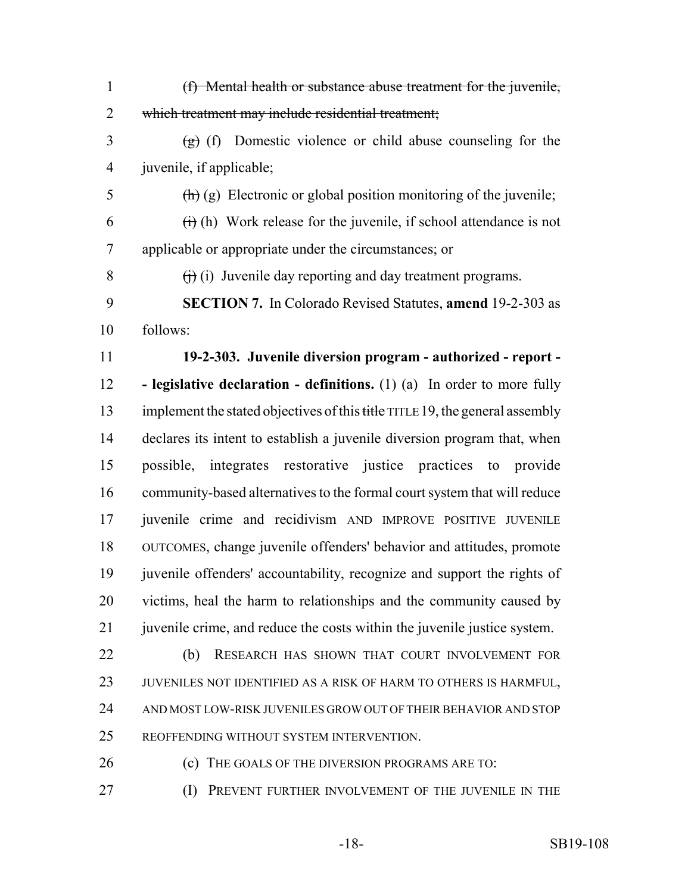(f) Mental health or substance abuse treatment for the juvenile, which treatment may include residential treatment;  $\frac{1}{2}$  (f) Domestic violence or child abuse counseling for the juvenile, if applicable;  $\frac{f(h)}{g}$  Electronic or global position monitoring of the juvenile;  $6 \rightarrow$  (i) (h) Work release for the juvenile, if school attendance is not applicable or appropriate under the circumstances; or  $\theta$  (i) Juvenile day reporting and day treatment programs. **SECTION 7.** In Colorado Revised Statutes, **amend** 19-2-303 as follows: **19-2-303. Juvenile diversion program - authorized - report - - legislative declaration - definitions.** (1) (a) In order to more fully 13 implement the stated objectives of this title TITLE 19, the general assembly declares its intent to establish a juvenile diversion program that, when possible, integrates restorative justice practices to provide community-based alternatives to the formal court system that will reduce juvenile crime and recidivism AND IMPROVE POSITIVE JUVENILE OUTCOMES, change juvenile offenders' behavior and attitudes, promote juvenile offenders' accountability, recognize and support the rights of victims, heal the harm to relationships and the community caused by 21 juven ile crime, and reduce the costs within the juvenile justice system. 22 (b) RESEARCH HAS SHOWN THAT COURT INVOLVEMENT FOR JUVENILES NOT IDENTIFIED AS A RISK OF HARM TO OTHERS IS HARMFUL, AND MOST LOW-RISK JUVENILES GROW OUT OF THEIR BEHAVIOR AND STOP REOFFENDING WITHOUT SYSTEM INTERVENTION. **(c)** THE GOALS OF THE DIVERSION PROGRAMS ARE TO: **(I) PREVENT FURTHER INVOLVEMENT OF THE JUVENILE IN THE**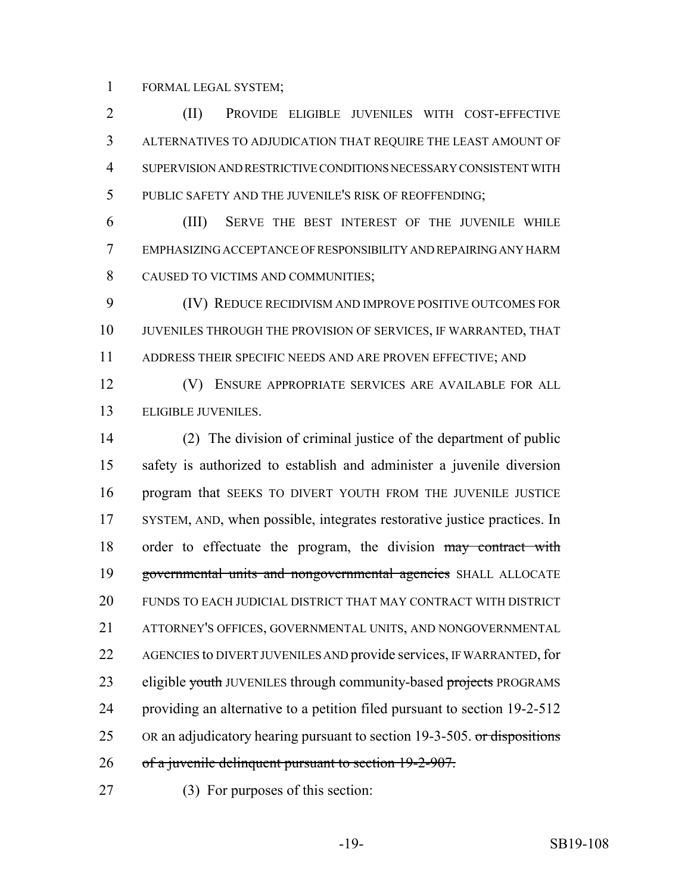FORMAL LEGAL SYSTEM;

 (II) PROVIDE ELIGIBLE JUVENILES WITH COST-EFFECTIVE ALTERNATIVES TO ADJUDICATION THAT REQUIRE THE LEAST AMOUNT OF SUPERVISION AND RESTRICTIVE CONDITIONS NECESSARY CONSISTENT WITH PUBLIC SAFETY AND THE JUVENILE'S RISK OF REOFFENDING;

 (III) SERVE THE BEST INTEREST OF THE JUVENILE WHILE EMPHASIZING ACCEPTANCE OF RESPONSIBILITY AND REPAIRING ANY HARM CAUSED TO VICTIMS AND COMMUNITIES;

 (IV) REDUCE RECIDIVISM AND IMPROVE POSITIVE OUTCOMES FOR JUVENILES THROUGH THE PROVISION OF SERVICES, IF WARRANTED, THAT ADDRESS THEIR SPECIFIC NEEDS AND ARE PROVEN EFFECTIVE; AND

 (V) ENSURE APPROPRIATE SERVICES ARE AVAILABLE FOR ALL 13 ELIGIBLE JUVENILES.

 (2) The division of criminal justice of the department of public safety is authorized to establish and administer a juvenile diversion program that SEEKS TO DIVERT YOUTH FROM THE JUVENILE JUSTICE SYSTEM, AND, when possible, integrates restorative justice practices. In 18 order to effectuate the program, the division may contract with governmental units and nongovernmental agencies SHALL ALLOCATE FUNDS TO EACH JUDICIAL DISTRICT THAT MAY CONTRACT WITH DISTRICT ATTORNEY'S OFFICES, GOVERNMENTAL UNITS, AND NONGOVERNMENTAL 22 AGENCIES to DIVERT JUVENILES AND provide services, IF WARRANTED, for 23 eligible youth JUVENILES through community-based projects PROGRAMS providing an alternative to a petition filed pursuant to section 19-2-512 25 OR an adjudicatory hearing pursuant to section 19-3-505. or dispositions 26 of a juvenile delinquent pursuant to section 19-2-907.

(3) For purposes of this section: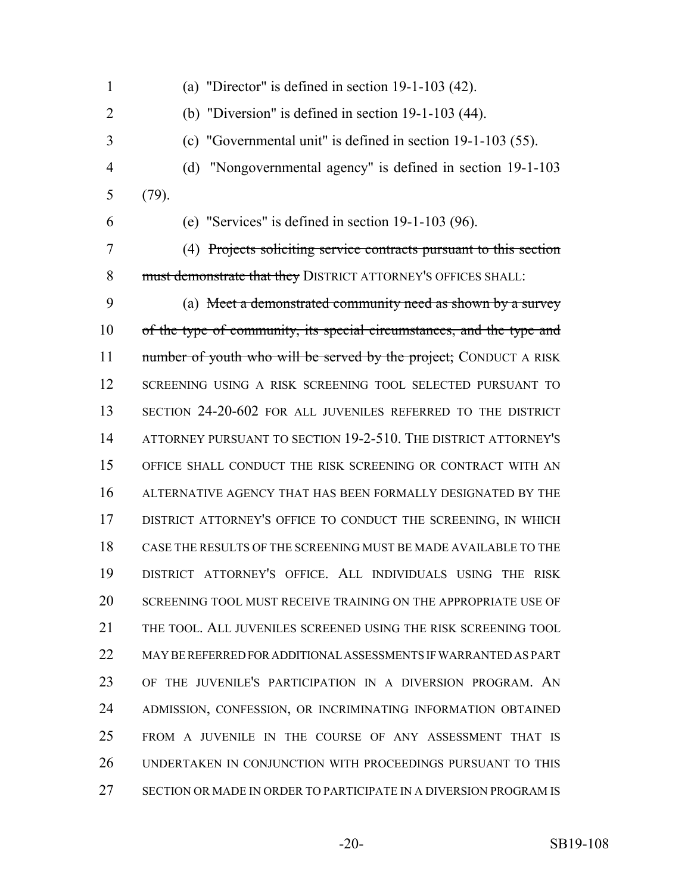- 1 (a) "Director" is defined in section  $19-1-103$  (42). (b) "Diversion" is defined in section 19-1-103 (44). (c) "Governmental unit" is defined in section 19-1-103 (55). (d) "Nongovernmental agency" is defined in section 19-1-103 (79).
- 

(e) "Services" is defined in section 19-1-103 (96).

 (4) Projects soliciting service contracts pursuant to this section 8 must demonstrate that they DISTRICT ATTORNEY'S OFFICES SHALL:

 (a) Meet a demonstrated community need as shown by a survey of the type of community, its special circumstances, and the type and 11 number of youth who will be served by the project; CONDUCT A RISK SCREENING USING A RISK SCREENING TOOL SELECTED PURSUANT TO SECTION 24-20-602 FOR ALL JUVENILES REFERRED TO THE DISTRICT ATTORNEY PURSUANT TO SECTION 19-2-510. THE DISTRICT ATTORNEY'S OFFICE SHALL CONDUCT THE RISK SCREENING OR CONTRACT WITH AN ALTERNATIVE AGENCY THAT HAS BEEN FORMALLY DESIGNATED BY THE 17 DISTRICT ATTORNEY'S OFFICE TO CONDUCT THE SCREENING, IN WHICH CASE THE RESULTS OF THE SCREENING MUST BE MADE AVAILABLE TO THE DISTRICT ATTORNEY'S OFFICE. ALL INDIVIDUALS USING THE RISK SCREENING TOOL MUST RECEIVE TRAINING ON THE APPROPRIATE USE OF THE TOOL. ALL JUVENILES SCREENED USING THE RISK SCREENING TOOL MAY BE REFERRED FOR ADDITIONAL ASSESSMENTS IF WARRANTED AS PART OF THE JUVENILE'S PARTICIPATION IN A DIVERSION PROGRAM. AN ADMISSION, CONFESSION, OR INCRIMINATING INFORMATION OBTAINED FROM A JUVENILE IN THE COURSE OF ANY ASSESSMENT THAT IS UNDERTAKEN IN CONJUNCTION WITH PROCEEDINGS PURSUANT TO THIS SECTION OR MADE IN ORDER TO PARTICIPATE IN A DIVERSION PROGRAM IS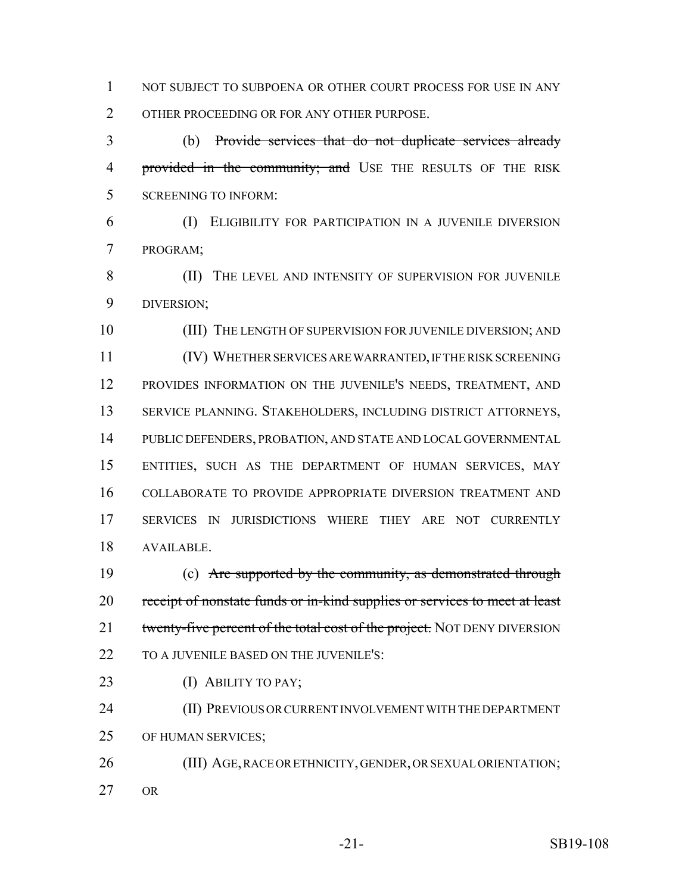1 NOT SUBJECT TO SUBPOENA OR OTHER COURT PROCESS FOR USE IN ANY OTHER PROCEEDING OR FOR ANY OTHER PURPOSE.

 (b) Provide services that do not duplicate services already 4 provided in the community; and USE THE RESULTS OF THE RISK SCREENING TO INFORM:

 (I) ELIGIBILITY FOR PARTICIPATION IN A JUVENILE DIVERSION PROGRAM;

8 (II) THE LEVEL AND INTENSITY OF SUPERVISION FOR JUVENILE DIVERSION;

 (III) THE LENGTH OF SUPERVISION FOR JUVENILE DIVERSION; AND (IV) WHETHER SERVICES ARE WARRANTED, IF THE RISK SCREENING PROVIDES INFORMATION ON THE JUVENILE'S NEEDS, TREATMENT, AND SERVICE PLANNING. STAKEHOLDERS, INCLUDING DISTRICT ATTORNEYS, PUBLIC DEFENDERS, PROBATION, AND STATE AND LOCAL GOVERNMENTAL ENTITIES, SUCH AS THE DEPARTMENT OF HUMAN SERVICES, MAY COLLABORATE TO PROVIDE APPROPRIATE DIVERSION TREATMENT AND SERVICES IN JURISDICTIONS WHERE THEY ARE NOT CURRENTLY AVAILABLE.

 (c) Are supported by the community, as demonstrated through 20 receipt of nonstate funds or in-kind supplies or services to meet at least 21 twenty-five percent of the total cost of the project. NOT DENY DIVERSION 22 TO A JUVENILE BASED ON THE JUVENILE'S:

23 (I) ABILITY TO PAY;

 (II) PREVIOUS OR CURRENT INVOLVEMENT WITH THE DEPARTMENT OF HUMAN SERVICES;

 (III) AGE, RACE OR ETHNICITY, GENDER, OR SEXUAL ORIENTATION; OR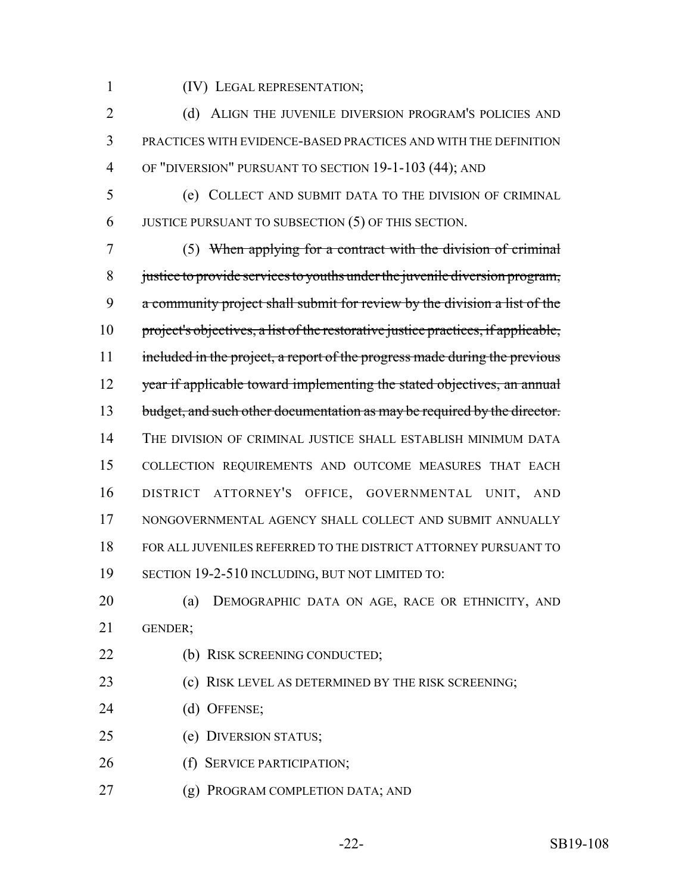(IV) LEGAL REPRESENTATION;

2 (d) ALIGN THE JUVENILE DIVERSION PROGRAM'S POLICIES AND PRACTICES WITH EVIDENCE-BASED PRACTICES AND WITH THE DEFINITION OF "DIVERSION" PURSUANT TO SECTION 19-1-103 (44); AND

 (e) COLLECT AND SUBMIT DATA TO THE DIVISION OF CRIMINAL JUSTICE PURSUANT TO SUBSECTION (5) OF THIS SECTION.

 (5) When applying for a contract with the division of criminal justice to provide services to youths under the juvenile diversion program, a community project shall submit for review by the division a list of the project's objectives, a list of the restorative justice practices, if applicable, 11 included in the project, a report of the progress made during the previous 12 year if applicable toward implementing the stated objectives, an annual 13 budget, and such other documentation as may be required by the director. THE DIVISION OF CRIMINAL JUSTICE SHALL ESTABLISH MINIMUM DATA COLLECTION REQUIREMENTS AND OUTCOME MEASURES THAT EACH DISTRICT ATTORNEY'S OFFICE, GOVERNMENTAL UNIT, AND NONGOVERNMENTAL AGENCY SHALL COLLECT AND SUBMIT ANNUALLY FOR ALL JUVENILES REFERRED TO THE DISTRICT ATTORNEY PURSUANT TO SECTION 19-2-510 INCLUDING, BUT NOT LIMITED TO:

- (a) DEMOGRAPHIC DATA ON AGE, RACE OR ETHNICITY, AND GENDER;
- 22 (b) RISK SCREENING CONDUCTED;
- **(c) RISK LEVEL AS DETERMINED BY THE RISK SCREENING;**
- (d) OFFENSE;
- (e) DIVERSION STATUS;
- (f) SERVICE PARTICIPATION;
- (g) PROGRAM COMPLETION DATA; AND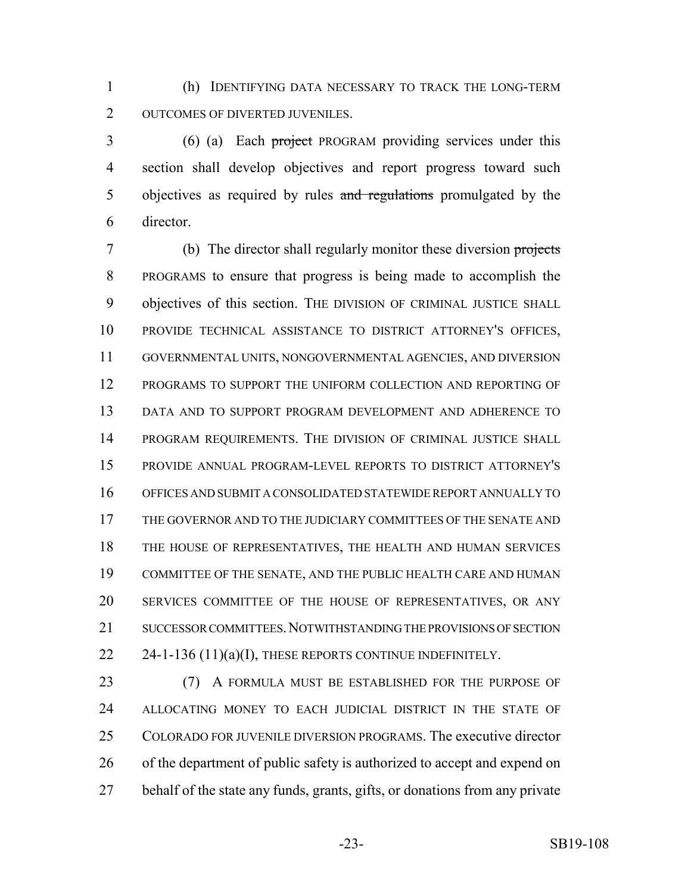(h) IDENTIFYING DATA NECESSARY TO TRACK THE LONG-TERM OUTCOMES OF DIVERTED JUVENILES.

 (6) (a) Each project PROGRAM providing services under this section shall develop objectives and report progress toward such 5 objectives as required by rules and regulations promulgated by the director.

 (b) The director shall regularly monitor these diversion projects PROGRAMS to ensure that progress is being made to accomplish the objectives of this section. THE DIVISION OF CRIMINAL JUSTICE SHALL PROVIDE TECHNICAL ASSISTANCE TO DISTRICT ATTORNEY'S OFFICES, GOVERNMENTAL UNITS, NONGOVERNMENTAL AGENCIES, AND DIVERSION PROGRAMS TO SUPPORT THE UNIFORM COLLECTION AND REPORTING OF DATA AND TO SUPPORT PROGRAM DEVELOPMENT AND ADHERENCE TO PROGRAM REQUIREMENTS. THE DIVISION OF CRIMINAL JUSTICE SHALL PROVIDE ANNUAL PROGRAM-LEVEL REPORTS TO DISTRICT ATTORNEY'S OFFICES AND SUBMIT A CONSOLIDATED STATEWIDE REPORT ANNUALLY TO 17 THE GOVERNOR AND TO THE JUDICIARY COMMITTEES OF THE SENATE AND THE HOUSE OF REPRESENTATIVES, THE HEALTH AND HUMAN SERVICES COMMITTEE OF THE SENATE, AND THE PUBLIC HEALTH CARE AND HUMAN SERVICES COMMITTEE OF THE HOUSE OF REPRESENTATIVES, OR ANY 21 SUCCESSOR COMMITTEES. NOTWITHSTANDING THE PROVISIONS OF SECTION  $24-1-136 (11)(a)(I)$ , THESE REPORTS CONTINUE INDEFINITELY.

 (7) A FORMULA MUST BE ESTABLISHED FOR THE PURPOSE OF 24 ALLOCATING MONEY TO EACH JUDICIAL DISTRICT IN THE STATE OF COLORADO FOR JUVENILE DIVERSION PROGRAMS. The executive director 26 of the department of public safety is authorized to accept and expend on behalf of the state any funds, grants, gifts, or donations from any private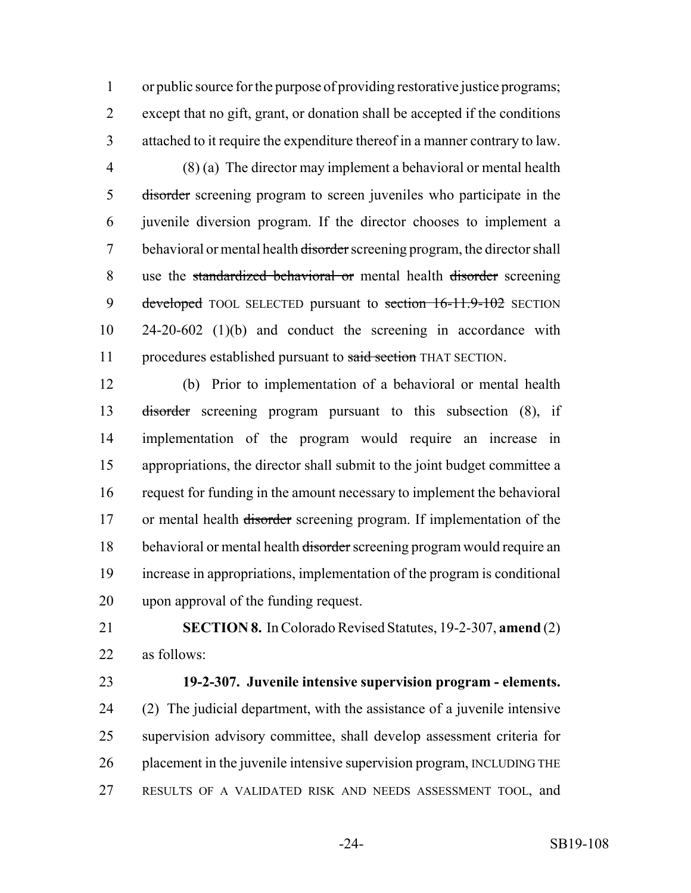or public source for the purpose of providing restorative justice programs; except that no gift, grant, or donation shall be accepted if the conditions attached to it require the expenditure thereof in a manner contrary to law.

 (8) (a) The director may implement a behavioral or mental health disorder screening program to screen juveniles who participate in the juvenile diversion program. If the director chooses to implement a 7 behavioral or mental health disorder screening program, the director shall use the standardized behavioral or mental health disorder screening 9 developed TOOL SELECTED pursuant to section 16-11.9-102 SECTION 24-20-602 (1)(b) and conduct the screening in accordance with 11 procedures established pursuant to said section THAT SECTION.

 (b) Prior to implementation of a behavioral or mental health disorder screening program pursuant to this subsection (8), if implementation of the program would require an increase in appropriations, the director shall submit to the joint budget committee a request for funding in the amount necessary to implement the behavioral 17 or mental health disorder screening program. If implementation of the 18 behavioral or mental health disorder screening program would require an increase in appropriations, implementation of the program is conditional upon approval of the funding request.

 **SECTION 8.** In Colorado Revised Statutes, 19-2-307, **amend** (2) as follows:

### **19-2-307. Juvenile intensive supervision program - elements.**

 (2) The judicial department, with the assistance of a juvenile intensive supervision advisory committee, shall develop assessment criteria for 26 placement in the juvenile intensive supervision program, INCLUDING THE RESULTS OF A VALIDATED RISK AND NEEDS ASSESSMENT TOOL, and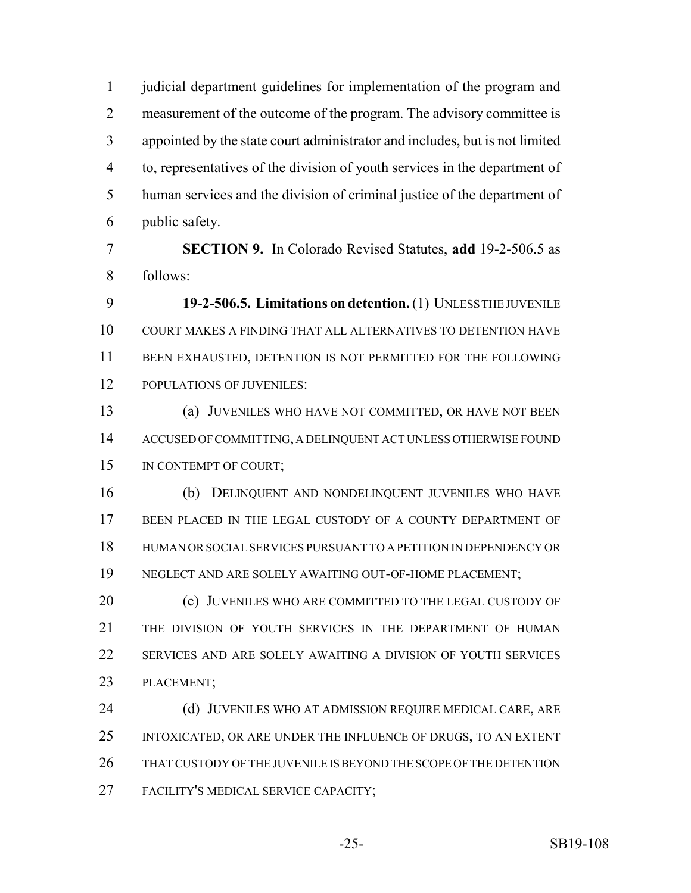judicial department guidelines for implementation of the program and measurement of the outcome of the program. The advisory committee is appointed by the state court administrator and includes, but is not limited to, representatives of the division of youth services in the department of human services and the division of criminal justice of the department of public safety.

 **SECTION 9.** In Colorado Revised Statutes, **add** 19-2-506.5 as follows:

 **19-2-506.5. Limitations on detention.** (1) UNLESS THE JUVENILE COURT MAKES A FINDING THAT ALL ALTERNATIVES TO DETENTION HAVE BEEN EXHAUSTED, DETENTION IS NOT PERMITTED FOR THE FOLLOWING POPULATIONS OF JUVENILES:

 (a) JUVENILES WHO HAVE NOT COMMITTED, OR HAVE NOT BEEN ACCUSED OF COMMITTING, A DELINQUENT ACT UNLESS OTHERWISE FOUND IN CONTEMPT OF COURT;

 (b) DELINQUENT AND NONDELINQUENT JUVENILES WHO HAVE 17 BEEN PLACED IN THE LEGAL CUSTODY OF A COUNTY DEPARTMENT OF HUMAN OR SOCIAL SERVICES PURSUANT TO A PETITION IN DEPENDENCY OR NEGLECT AND ARE SOLELY AWAITING OUT-OF-HOME PLACEMENT;

**(c) JUVENILES WHO ARE COMMITTED TO THE LEGAL CUSTODY OF** 21 THE DIVISION OF YOUTH SERVICES IN THE DEPARTMENT OF HUMAN SERVICES AND ARE SOLELY AWAITING A DIVISION OF YOUTH SERVICES PLACEMENT;

24 (d) JUVENILES WHO AT ADMISSION REQUIRE MEDICAL CARE, ARE INTOXICATED, OR ARE UNDER THE INFLUENCE OF DRUGS, TO AN EXTENT THAT CUSTODY OF THE JUVENILE IS BEYOND THE SCOPE OF THE DETENTION FACILITY'S MEDICAL SERVICE CAPACITY;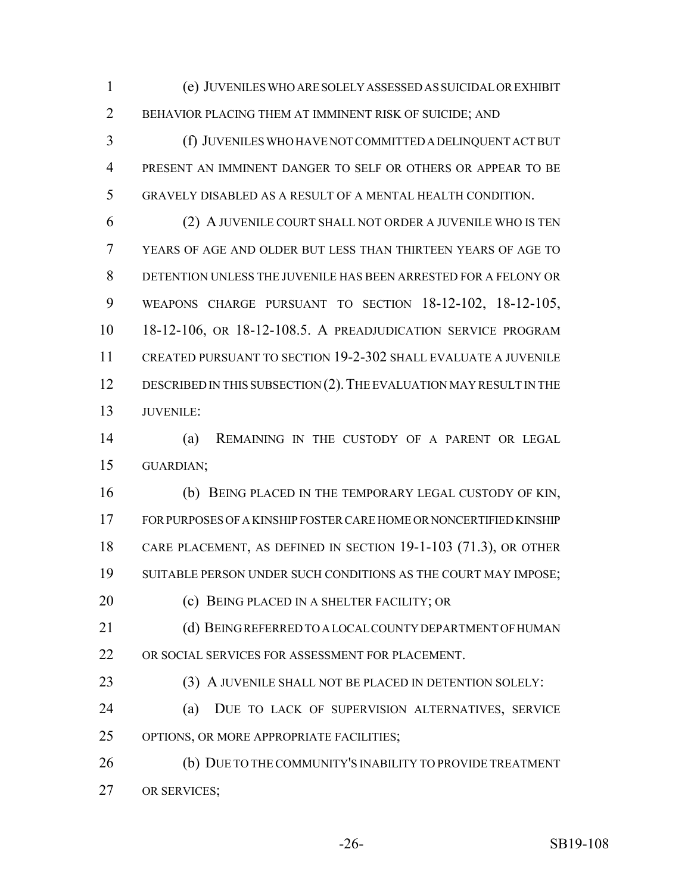(e) JUVENILES WHO ARE SOLELY ASSESSED AS SUICIDAL OR EXHIBIT BEHAVIOR PLACING THEM AT IMMINENT RISK OF SUICIDE; AND

 (f) JUVENILES WHO HAVE NOT COMMITTED A DELINQUENT ACT BUT PRESENT AN IMMINENT DANGER TO SELF OR OTHERS OR APPEAR TO BE GRAVELY DISABLED AS A RESULT OF A MENTAL HEALTH CONDITION.

 (2) A JUVENILE COURT SHALL NOT ORDER A JUVENILE WHO IS TEN YEARS OF AGE AND OLDER BUT LESS THAN THIRTEEN YEARS OF AGE TO DETENTION UNLESS THE JUVENILE HAS BEEN ARRESTED FOR A FELONY OR WEAPONS CHARGE PURSUANT TO SECTION 18-12-102, 18-12-105, 18-12-106, OR 18-12-108.5. A PREADJUDICATION SERVICE PROGRAM CREATED PURSUANT TO SECTION 19-2-302 SHALL EVALUATE A JUVENILE 12 DESCRIBED IN THIS SUBSECTION (2). THE EVALUATION MAY RESULT IN THE **JUVENILE:** 

 (a) REMAINING IN THE CUSTODY OF A PARENT OR LEGAL GUARDIAN;

 (b) BEING PLACED IN THE TEMPORARY LEGAL CUSTODY OF KIN, FOR PURPOSES OF A KINSHIP FOSTER CARE HOME OR NONCERTIFIED KINSHIP CARE PLACEMENT, AS DEFINED IN SECTION 19-1-103 (71.3), OR OTHER SUITABLE PERSON UNDER SUCH CONDITIONS AS THE COURT MAY IMPOSE;

(c) BEING PLACED IN A SHELTER FACILITY; OR

21 (d) BEING REFERRED TO A LOCAL COUNTY DEPARTMENT OF HUMAN OR SOCIAL SERVICES FOR ASSESSMENT FOR PLACEMENT.

(3) A JUVENILE SHALL NOT BE PLACED IN DETENTION SOLELY:

 (a) DUE TO LACK OF SUPERVISION ALTERNATIVES, SERVICE OPTIONS, OR MORE APPROPRIATE FACILITIES;

26 (b) DUE TO THE COMMUNITY'S INABILITY TO PROVIDE TREATMENT OR SERVICES;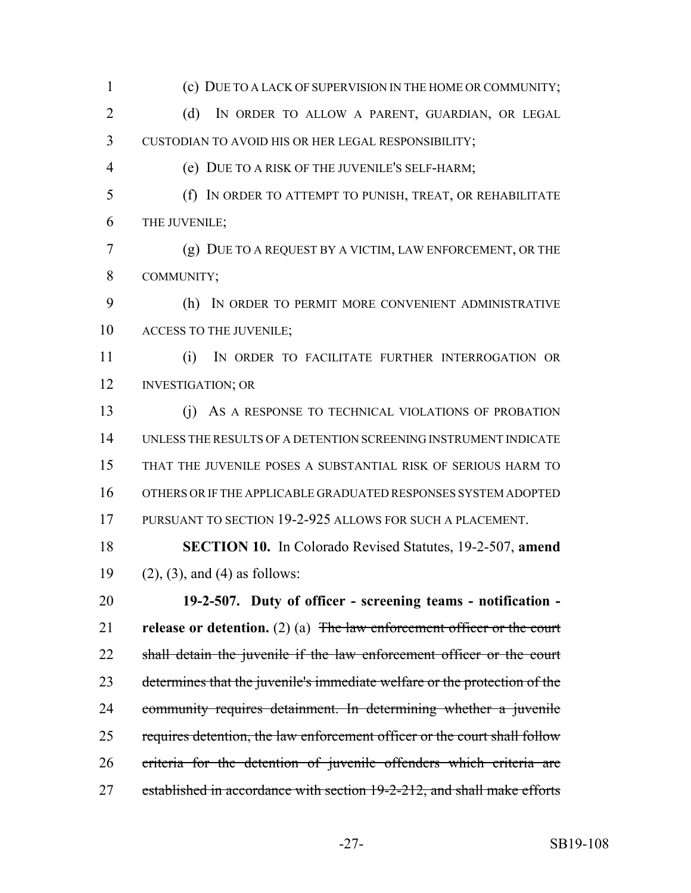(c) DUE TO A LACK OF SUPERVISION IN THE HOME OR COMMUNITY; 2 (d) IN ORDER TO ALLOW A PARENT, GUARDIAN, OR LEGAL CUSTODIAN TO AVOID HIS OR HER LEGAL RESPONSIBILITY; (e) DUE TO A RISK OF THE JUVENILE'S SELF-HARM; (f) IN ORDER TO ATTEMPT TO PUNISH, TREAT, OR REHABILITATE THE JUVENILE; (g) DUE TO A REQUEST BY A VICTIM, LAW ENFORCEMENT, OR THE COMMUNITY; (h) IN ORDER TO PERMIT MORE CONVENIENT ADMINISTRATIVE 10 ACCESS TO THE JUVENILE; (i) IN ORDER TO FACILITATE FURTHER INTERROGATION OR INVESTIGATION; OR (j) AS A RESPONSE TO TECHNICAL VIOLATIONS OF PROBATION UNLESS THE RESULTS OF A DETENTION SCREENING INSTRUMENT INDICATE THAT THE JUVENILE POSES A SUBSTANTIAL RISK OF SERIOUS HARM TO OTHERS OR IF THE APPLICABLE GRADUATED RESPONSES SYSTEM ADOPTED PURSUANT TO SECTION 19-2-925 ALLOWS FOR SUCH A PLACEMENT. **SECTION 10.** In Colorado Revised Statutes, 19-2-507, **amend** 19 (2), (3), and (4) as follows: **19-2-507. Duty of officer - screening teams - notification - release or detention.** (2) (a) The law enforcement officer or the court 22 shall detain the juvenile if the law enforcement officer or the court determines that the juvenile's immediate welfare or the protection of the community requires detainment. In determining whether a juvenile 25 requires detention, the law enforcement officer or the court shall follow criteria for the detention of juvenile offenders which criteria are 27 established in accordance with section 19-2-212, and shall make efforts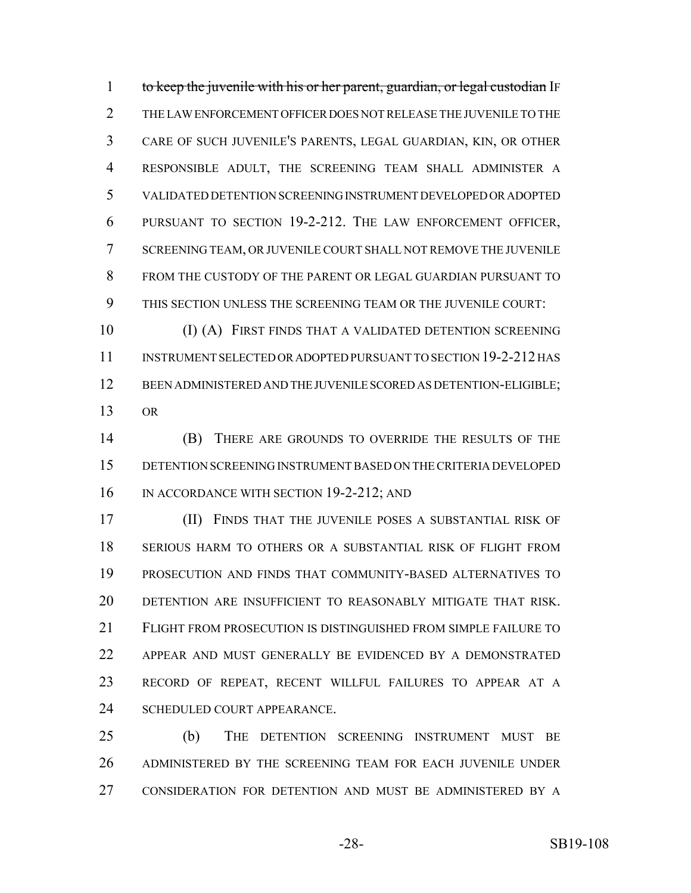1 to keep the juvenile with his or her parent, guardian, or legal custodian IF THE LAW ENFORCEMENT OFFICER DOES NOT RELEASE THE JUVENILE TO THE CARE OF SUCH JUVENILE'S PARENTS, LEGAL GUARDIAN, KIN, OR OTHER RESPONSIBLE ADULT, THE SCREENING TEAM SHALL ADMINISTER A VALIDATED DETENTION SCREENING INSTRUMENT DEVELOPED OR ADOPTED PURSUANT TO SECTION 19-2-212. THE LAW ENFORCEMENT OFFICER, SCREENING TEAM, OR JUVENILE COURT SHALL NOT REMOVE THE JUVENILE FROM THE CUSTODY OF THE PARENT OR LEGAL GUARDIAN PURSUANT TO THIS SECTION UNLESS THE SCREENING TEAM OR THE JUVENILE COURT:

10 (I) (A) FIRST FINDS THAT A VALIDATED DETENTION SCREENING INSTRUMENT SELECTED OR ADOPTED PURSUANT TO SECTION 19-2-212 HAS BEEN ADMINISTERED AND THE JUVENILE SCORED AS DETENTION-ELIGIBLE; OR

 (B) THERE ARE GROUNDS TO OVERRIDE THE RESULTS OF THE DETENTION SCREENING INSTRUMENT BASED ON THE CRITERIA DEVELOPED 16 IN ACCORDANCE WITH SECTION 19-2-212; AND

 (II) FINDS THAT THE JUVENILE POSES A SUBSTANTIAL RISK OF SERIOUS HARM TO OTHERS OR A SUBSTANTIAL RISK OF FLIGHT FROM PROSECUTION AND FINDS THAT COMMUNITY-BASED ALTERNATIVES TO DETENTION ARE INSUFFICIENT TO REASONABLY MITIGATE THAT RISK. FLIGHT FROM PROSECUTION IS DISTINGUISHED FROM SIMPLE FAILURE TO APPEAR AND MUST GENERALLY BE EVIDENCED BY A DEMONSTRATED RECORD OF REPEAT, RECENT WILLFUL FAILURES TO APPEAR AT A SCHEDULED COURT APPEARANCE.

 (b) THE DETENTION SCREENING INSTRUMENT MUST BE ADMINISTERED BY THE SCREENING TEAM FOR EACH JUVENILE UNDER CONSIDERATION FOR DETENTION AND MUST BE ADMINISTERED BY A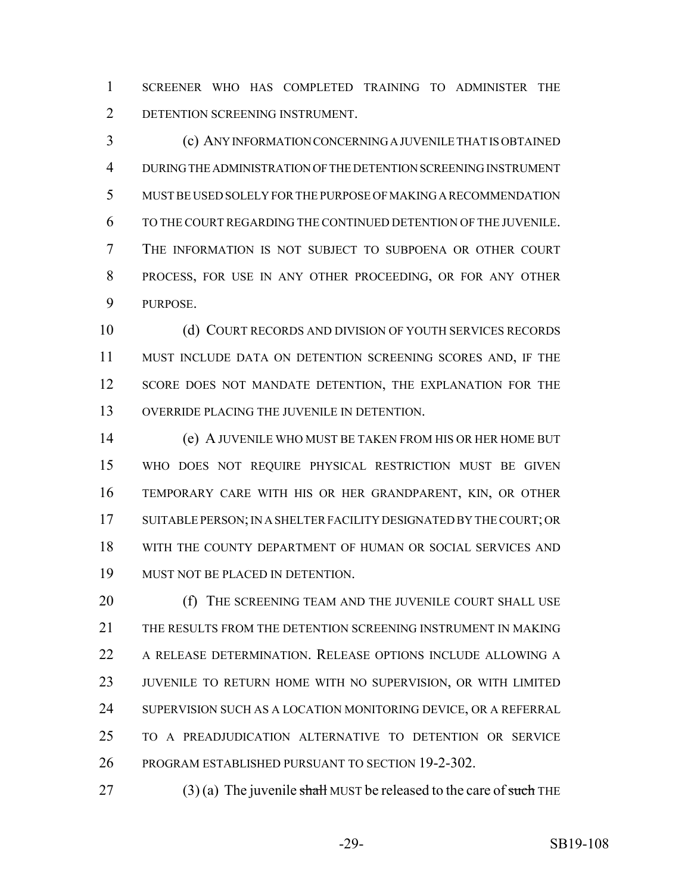SCREENER WHO HAS COMPLETED TRAINING TO ADMINISTER THE DETENTION SCREENING INSTRUMENT.

 (c) ANY INFORMATION CONCERNING A JUVENILE THAT IS OBTAINED DURING THE ADMINISTRATION OF THE DETENTION SCREENING INSTRUMENT MUST BE USED SOLELY FOR THE PURPOSE OF MAKING A RECOMMENDATION TO THE COURT REGARDING THE CONTINUED DETENTION OF THE JUVENILE. THE INFORMATION IS NOT SUBJECT TO SUBPOENA OR OTHER COURT PROCESS, FOR USE IN ANY OTHER PROCEEDING, OR FOR ANY OTHER PURPOSE.

 (d) COURT RECORDS AND DIVISION OF YOUTH SERVICES RECORDS MUST INCLUDE DATA ON DETENTION SCREENING SCORES AND, IF THE 12 SCORE DOES NOT MANDATE DETENTION, THE EXPLANATION FOR THE OVERRIDE PLACING THE JUVENILE IN DETENTION.

 (e) A JUVENILE WHO MUST BE TAKEN FROM HIS OR HER HOME BUT WHO DOES NOT REQUIRE PHYSICAL RESTRICTION MUST BE GIVEN TEMPORARY CARE WITH HIS OR HER GRANDPARENT, KIN, OR OTHER 17 SUITABLE PERSON; IN A SHELTER FACILITY DESIGNATED BY THE COURT; OR WITH THE COUNTY DEPARTMENT OF HUMAN OR SOCIAL SERVICES AND MUST NOT BE PLACED IN DETENTION.

20 (f) THE SCREENING TEAM AND THE JUVENILE COURT SHALL USE THE RESULTS FROM THE DETENTION SCREENING INSTRUMENT IN MAKING A RELEASE DETERMINATION. RELEASE OPTIONS INCLUDE ALLOWING A JUVENILE TO RETURN HOME WITH NO SUPERVISION, OR WITH LIMITED 24 SUPERVISION SUCH AS A LOCATION MONITORING DEVICE, OR A REFERRAL TO A PREADJUDICATION ALTERNATIVE TO DETENTION OR SERVICE PROGRAM ESTABLISHED PURSUANT TO SECTION 19-2-302.

27 (3) (a) The juvenile shall MUST be released to the care of such THE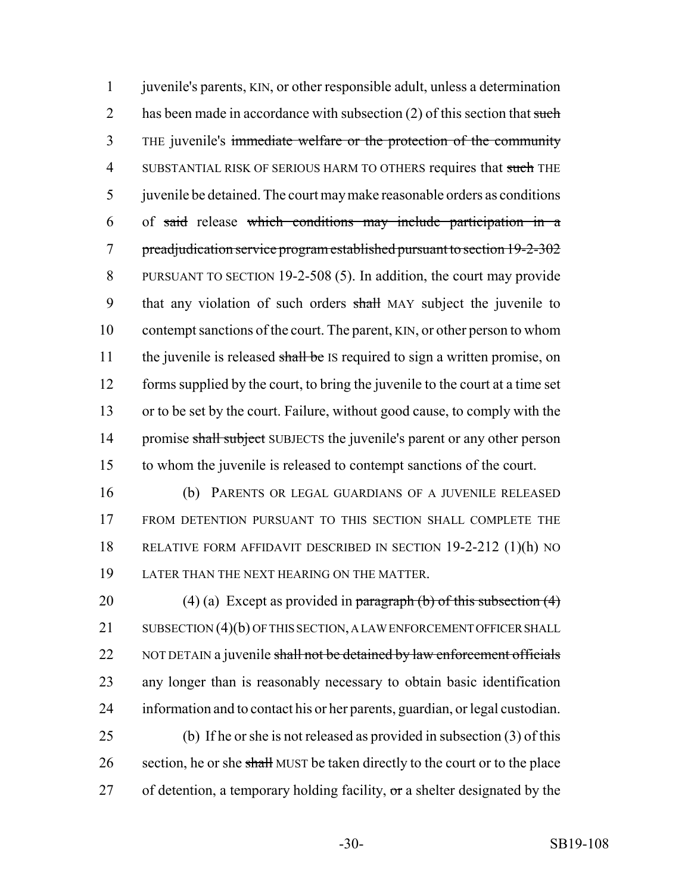juvenile's parents, KIN, or other responsible adult, unless a determination 2 has been made in accordance with subsection (2) of this section that such THE juvenile's immediate welfare or the protection of the community 4 SUBSTANTIAL RISK OF SERIOUS HARM TO OTHERS requires that such THE juvenile be detained. The court may make reasonable orders as conditions of said release which conditions may include participation in a preadjudication service program established pursuant to section 19-2-302 PURSUANT TO SECTION 19-2-508 (5). In addition, the court may provide 9 that any violation of such orders shall MAY subject the juvenile to contempt sanctions of the court. The parent, KIN, or other person to whom 11 the juvenile is released shall be IS required to sign a written promise, on forms supplied by the court, to bring the juvenile to the court at a time set or to be set by the court. Failure, without good cause, to comply with the 14 promise shall subject SUBJECTS the juvenile's parent or any other person to whom the juvenile is released to contempt sanctions of the court.

 (b) PARENTS OR LEGAL GUARDIANS OF A JUVENILE RELEASED FROM DETENTION PURSUANT TO THIS SECTION SHALL COMPLETE THE RELATIVE FORM AFFIDAVIT DESCRIBED IN SECTION 19-2-212 (1)(h) NO LATER THAN THE NEXT HEARING ON THE MATTER.

20 (4) (a) Except as provided in paragraph (b) of this subsection  $(4)$ 21 SUBSECTION (4)(b) OF THIS SECTION, A LAW ENFORCEMENT OFFICER SHALL 22 NOT DETAIN a juvenile shall not be detained by law enforcement officials any longer than is reasonably necessary to obtain basic identification information and to contact his or her parents, guardian, or legal custodian. (b) If he or she is not released as provided in subsection (3) of this 26 section, he or she shall MUST be taken directly to the court or to the place

27 of detention, a temporary holding facility,  $\sigma$ r a shelter designated by the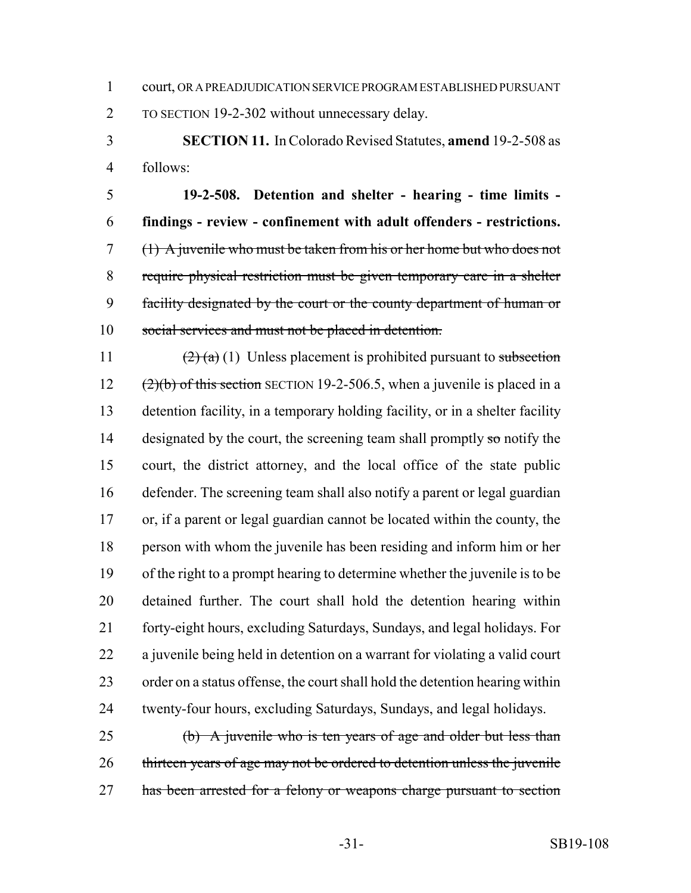court, OR A PREADJUDICATION SERVICE PROGRAM ESTABLISHED PURSUANT

TO SECTION 19-2-302 without unnecessary delay.

 **SECTION 11.** In Colorado Revised Statutes, **amend** 19-2-508 as follows:

 **19-2-508. Detention and shelter - hearing - time limits - findings - review - confinement with adult offenders - restrictions.** (1) A juvenile who must be taken from his or her home but who does not require physical restriction must be given temporary care in a shelter facility designated by the court or the county department of human or 10 social services and must not be placed in detention.

 $\left(2\right)$  (a) (1) Unless placement is prohibited pursuant to subsection  $(2)(b)$  of this section SECTION 19-2-506.5, when a juvenile is placed in a detention facility, in a temporary holding facility, or in a shelter facility 14 designated by the court, the screening team shall promptly so notify the court, the district attorney, and the local office of the state public defender. The screening team shall also notify a parent or legal guardian or, if a parent or legal guardian cannot be located within the county, the person with whom the juvenile has been residing and inform him or her of the right to a prompt hearing to determine whether the juvenile is to be detained further. The court shall hold the detention hearing within forty-eight hours, excluding Saturdays, Sundays, and legal holidays. For a juvenile being held in detention on a warrant for violating a valid court order on a status offense, the court shall hold the detention hearing within twenty-four hours, excluding Saturdays, Sundays, and legal holidays.

 (b) A juvenile who is ten years of age and older but less than thirteen years of age may not be ordered to detention unless the juvenile has been arrested for a felony or weapons charge pursuant to section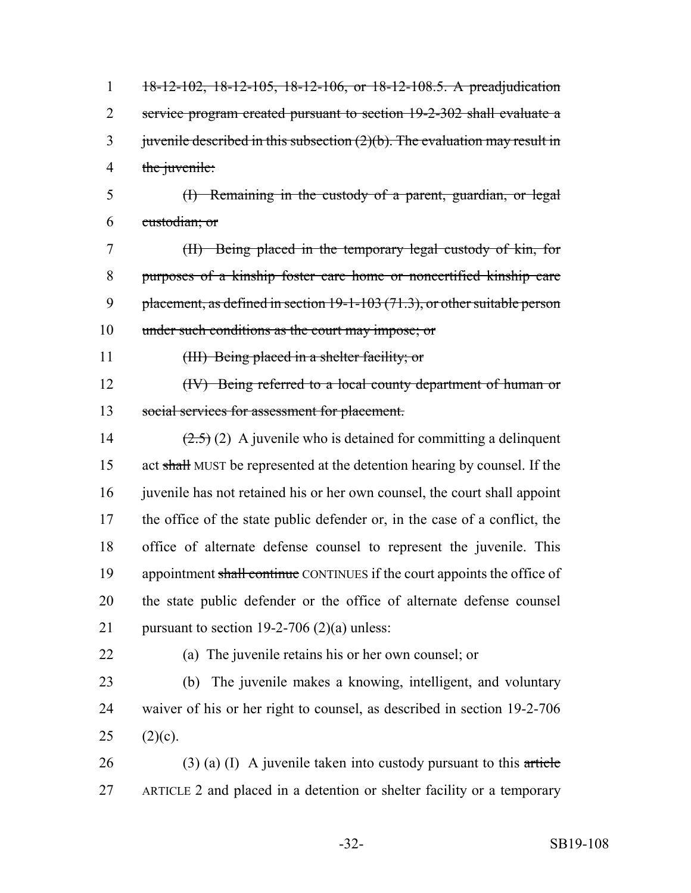18-12-102, 18-12-105, 18-12-106, or 18-12-108.5. A preadjudication service program created pursuant to section 19-2-302 shall evaluate a 3 juven ile described in this subsection  $(2)(b)$ . The evaluation may result in 4 the juvenile:

 (I) Remaining in the custody of a parent, guardian, or legal custodian; or

 (II) Being placed in the temporary legal custody of kin, for purposes of a kinship foster care home or noncertified kinship care 9 placement, as defined in section 19-1-103 (71.3), or other suitable person under such conditions as the court may impose; or

(III) Being placed in a shelter facility; or

12 (IV) Being referred to a local county department of human or social services for assessment for placement.

 $(2.5)(2)$  A juvenile who is detained for committing a delinquent act shall MUST be represented at the detention hearing by counsel. If the 16 juven lehas not retained his or her own counsel, the court shall appoint the office of the state public defender or, in the case of a conflict, the office of alternate defense counsel to represent the juvenile. This 19 appointment shall continue CONTINUES if the court appoints the office of the state public defender or the office of alternate defense counsel 21 pursuant to section 19-2-706 (2)(a) unless:

(a) The juvenile retains his or her own counsel; or

 (b) The juvenile makes a knowing, intelligent, and voluntary waiver of his or her right to counsel, as described in section 19-2-706 25  $(2)(c)$ .

26 (3) (a) (I) A juvenile taken into custody pursuant to this article ARTICLE 2 and placed in a detention or shelter facility or a temporary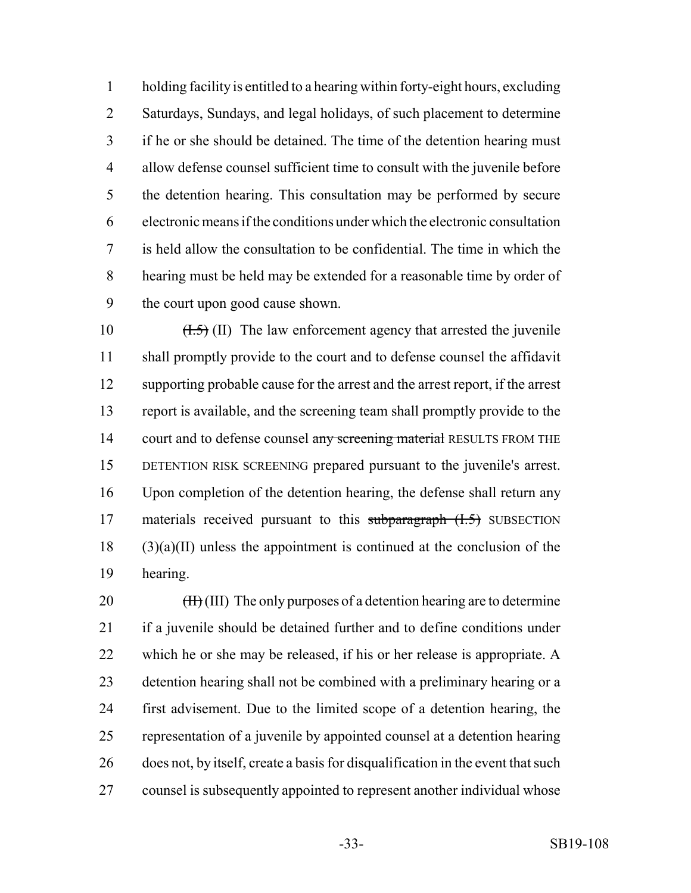holding facility is entitled to a hearing within forty-eight hours, excluding Saturdays, Sundays, and legal holidays, of such placement to determine if he or she should be detained. The time of the detention hearing must allow defense counsel sufficient time to consult with the juvenile before the detention hearing. This consultation may be performed by secure electronic means if the conditions under which the electronic consultation is held allow the consultation to be confidential. The time in which the hearing must be held may be extended for a reasonable time by order of the court upon good cause shown.

 $(H.5)$  (II) The law enforcement agency that arrested the juvenile shall promptly provide to the court and to defense counsel the affidavit supporting probable cause for the arrest and the arrest report, if the arrest report is available, and the screening team shall promptly provide to the 14 court and to defense counsel any screening material RESULTS FROM THE DETENTION RISK SCREENING prepared pursuant to the juvenile's arrest. Upon completion of the detention hearing, the defense shall return any 17 materials received pursuant to this subparagraph (I.5) SUBSECTION (3)(a)(II) unless the appointment is continued at the conclusion of the hearing.

 $(H<sub>1</sub>(III)$  The only purposes of a detention hearing are to determine if a juvenile should be detained further and to define conditions under which he or she may be released, if his or her release is appropriate. A detention hearing shall not be combined with a preliminary hearing or a first advisement. Due to the limited scope of a detention hearing, the representation of a juvenile by appointed counsel at a detention hearing does not, by itself, create a basis for disqualification in the event that such counsel is subsequently appointed to represent another individual whose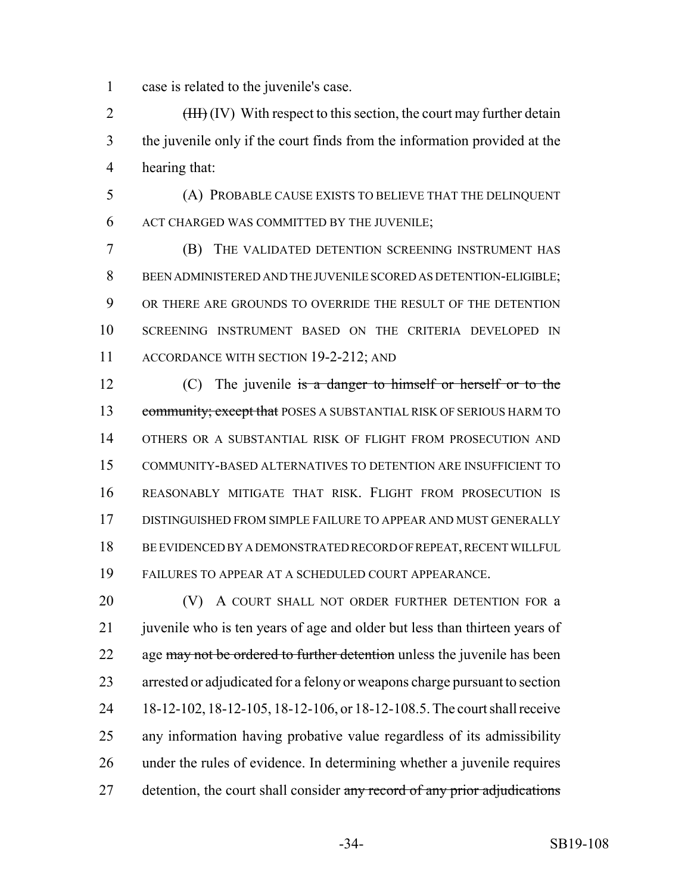case is related to the juvenile's case.

2 (HH) (IV) With respect to this section, the court may further detain the juvenile only if the court finds from the information provided at the hearing that:

 (A) PROBABLE CAUSE EXISTS TO BELIEVE THAT THE DELINQUENT ACT CHARGED WAS COMMITTED BY THE JUVENILE;

 (B) THE VALIDATED DETENTION SCREENING INSTRUMENT HAS BEEN ADMINISTERED AND THE JUVENILE SCORED AS DETENTION-ELIGIBLE; OR THERE ARE GROUNDS TO OVERRIDE THE RESULT OF THE DETENTION SCREENING INSTRUMENT BASED ON THE CRITERIA DEVELOPED IN 11 ACCORDANCE WITH SECTION 19-2-212; AND

12 (C) The juvenile is a danger to himself or herself or to the 13 community; except that POSES A SUBSTANTIAL RISK OF SERIOUS HARM TO OTHERS OR A SUBSTANTIAL RISK OF FLIGHT FROM PROSECUTION AND COMMUNITY-BASED ALTERNATIVES TO DETENTION ARE INSUFFICIENT TO REASONABLY MITIGATE THAT RISK. FLIGHT FROM PROSECUTION IS DISTINGUISHED FROM SIMPLE FAILURE TO APPEAR AND MUST GENERALLY BE EVIDENCED BY A DEMONSTRATED RECORD OF REPEAT, RECENT WILLFUL FAILURES TO APPEAR AT A SCHEDULED COURT APPEARANCE.

**(V)** A COURT SHALL NOT ORDER FURTHER DETENTION FOR a 21 juven ile who is ten years of age and older but less than thirteen years of 22 age may not be ordered to further detention unless the juvenile has been arrested or adjudicated for a felony or weapons charge pursuant to section 18-12-102, 18-12-105, 18-12-106, or 18-12-108.5. The court shall receive any information having probative value regardless of its admissibility under the rules of evidence. In determining whether a juvenile requires 27 detention, the court shall consider any record of any prior adjudications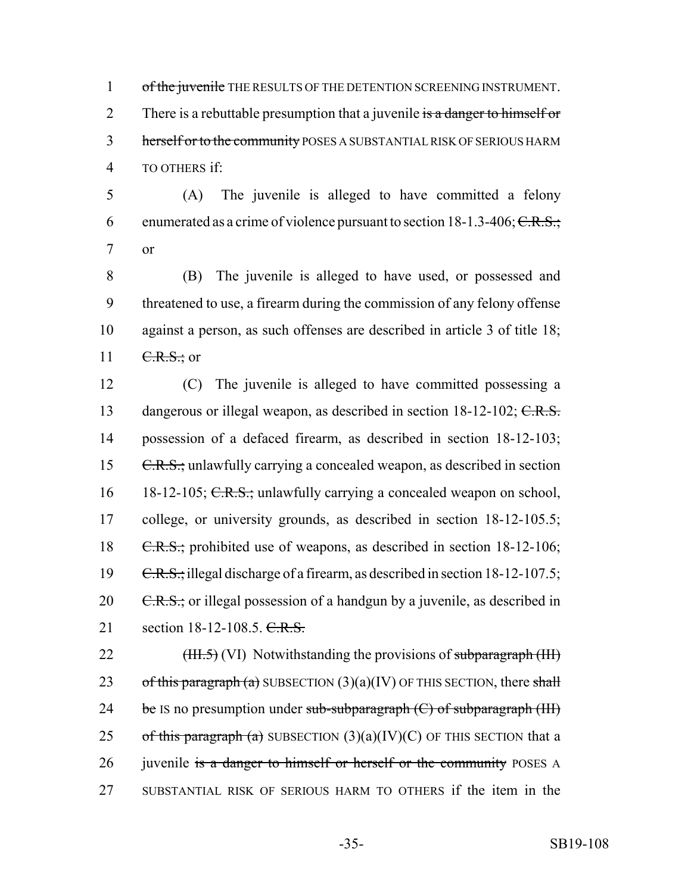1 of the juvenile THE RESULTS OF THE DETENTION SCREENING INSTRUMENT. 2 There is a rebuttable presumption that a juvenile is a danger to himself or 3 herself or to the community POSES A SUBSTANTIAL RISK OF SERIOUS HARM 4 TO OTHERS if:

5 (A) The juvenile is alleged to have committed a felony 6 enumerated as a crime of violence pursuant to section  $18-1.3-406$ ; C.R.S.; 7 or

 (B) The juvenile is alleged to have used, or possessed and threatened to use, a firearm during the commission of any felony offense against a person, as such offenses are described in article 3 of title 18;  $C.R.S.:$  or

12 (C) The juvenile is alleged to have committed possessing a 13 dangerous or illegal weapon, as described in section 18-12-102; C.R.S. 14 possession of a defaced firearm, as described in section 18-12-103; 15 C.R.S.; unlawfully carrying a concealed weapon, as described in section 16 18-12-105; C.R.S.; unlawfully carrying a concealed weapon on school, 17 college, or university grounds, as described in section 18-12-105.5; 18 C.R.S.; prohibited use of weapons, as described in section 18-12-106; 19 C.R.S.; illegal discharge of a firearm, as described in section 18-12-107.5; 20  $C.R.S.:$  or illegal possession of a handgun by a juvenile, as described in 21 section 18-12-108.5. C.R.S.

22  $(HH.5)$  (VI) Notwithstanding the provisions of subparagraph (III) 23 of this paragraph (a) SUBSECTION  $(3)(a)(IV)$  OF THIS SECTION, there shall 24 be IS no presumption under sub-subparagraph  $(C)$  of subparagraph  $(HI)$ 25 of this paragraph (a) SUBSECTION  $(3)(a)(IV)(C)$  OF THIS SECTION that a 26 juvenile is a danger to himself or herself or the community POSES A 27 SUBSTANTIAL RISK OF SERIOUS HARM TO OTHERS if the item in the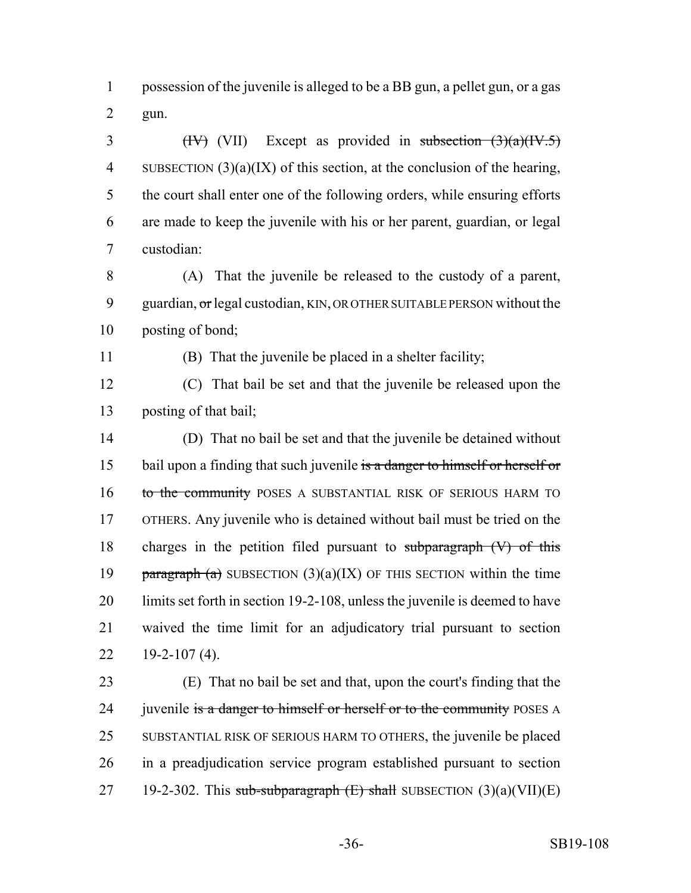possession of the juvenile is alleged to be a BB gun, a pellet gun, or a gas gun.

3 (IV) (VII) Except as provided in subsection  $(3)(a)(IV.5)$  SUBSECTION (3)(a)(IX) of this section, at the conclusion of the hearing, the court shall enter one of the following orders, while ensuring efforts are made to keep the juvenile with his or her parent, guardian, or legal custodian:

 (A) That the juvenile be released to the custody of a parent, 9 guardian, or legal custodian, KIN, OR OTHER SUITABLE PERSON without the posting of bond;

(B) That the juvenile be placed in a shelter facility;

 (C) That bail be set and that the juvenile be released upon the posting of that bail;

 (D) That no bail be set and that the juvenile be detained without 15 bail upon a finding that such juvenile is a danger to himself or herself or 16 to the community POSES A SUBSTANTIAL RISK OF SERIOUS HARM TO OTHERS. Any juvenile who is detained without bail must be tried on the charges in the petition filed pursuant to subparagraph (V) of this **paragraph** (a) SUBSECTION  $(3)(a)(IX)$  OF THIS SECTION within the time limits set forth in section 19-2-108, unless the juvenile is deemed to have waived the time limit for an adjudicatory trial pursuant to section  $22 \quad 19 - 2 - 107 \, (4)$ .

 (E) That no bail be set and that, upon the court's finding that the 24 juvenile is a danger to himself or herself or to the community POSES A SUBSTANTIAL RISK OF SERIOUS HARM TO OTHERS, the juvenile be placed in a preadjudication service program established pursuant to section 27 19-2-302. This sub-subparagraph  $(E)$  shall SUBSECTION  $(3)(a)(VII)(E)$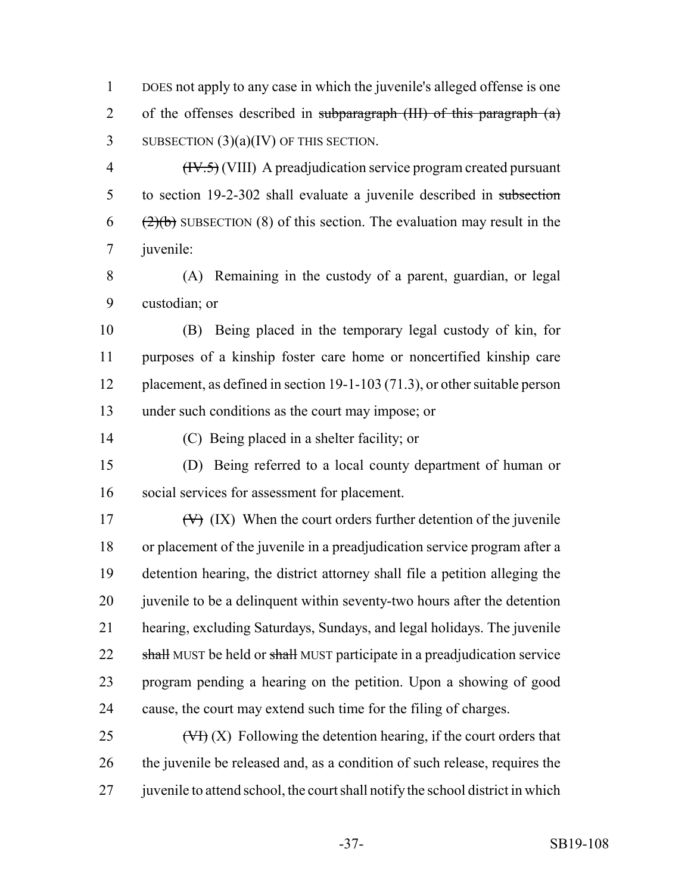DOES not apply to any case in which the juvenile's alleged offense is one 2 of the offenses described in subparagraph  $(HH)$  of this paragraph  $(a)$ 3 SUBSECTION  $(3)(a)(IV)$  OF THIS SECTION.

 (IV.5) (VIII) A preadjudication service program created pursuant to section 19-2-302 shall evaluate a juvenile described in subsection  $(2)(b)$  SUBSECTION (8) of this section. The evaluation may result in the juvenile:

 (A) Remaining in the custody of a parent, guardian, or legal custodian; or

 (B) Being placed in the temporary legal custody of kin, for purposes of a kinship foster care home or noncertified kinship care placement, as defined in section 19-1-103 (71.3), or other suitable person under such conditions as the court may impose; or

(C) Being placed in a shelter facility; or

 (D) Being referred to a local county department of human or social services for assessment for placement.

 $(V)$  (IX) When the court orders further detention of the juvenile or placement of the juvenile in a preadjudication service program after a detention hearing, the district attorney shall file a petition alleging the 20 juven is to be a delinquent within seventy-two hours after the detention hearing, excluding Saturdays, Sundays, and legal holidays. The juvenile 22 shall MUST be held or shall MUST participate in a preadjudication service program pending a hearing on the petition. Upon a showing of good cause, the court may extend such time for the filing of charges.

25  $(\forall f)(X)$  Following the detention hearing, if the court orders that the juvenile be released and, as a condition of such release, requires the 27 juven is to attend school, the court shall notify the school district in which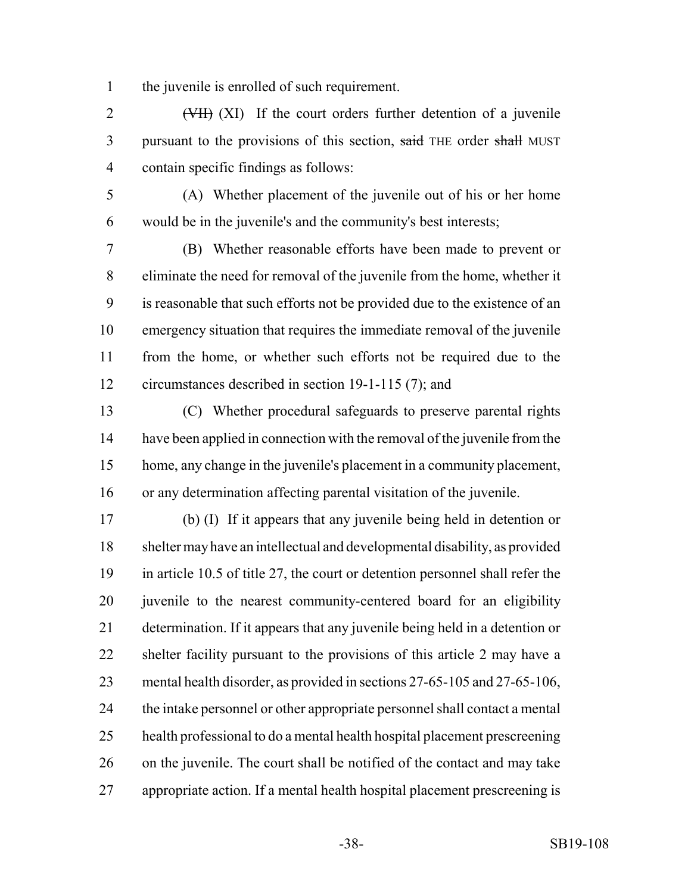the juvenile is enrolled of such requirement.

2 (VII) (XI) If the court orders further detention of a juvenile 3 pursuant to the provisions of this section, said THE order shall MUST contain specific findings as follows:

 (A) Whether placement of the juvenile out of his or her home would be in the juvenile's and the community's best interests;

 (B) Whether reasonable efforts have been made to prevent or eliminate the need for removal of the juvenile from the home, whether it is reasonable that such efforts not be provided due to the existence of an emergency situation that requires the immediate removal of the juvenile from the home, or whether such efforts not be required due to the circumstances described in section 19-1-115 (7); and

 (C) Whether procedural safeguards to preserve parental rights have been applied in connection with the removal of the juvenile from the home, any change in the juvenile's placement in a community placement, or any determination affecting parental visitation of the juvenile.

 (b) (I) If it appears that any juvenile being held in detention or shelter may have an intellectual and developmental disability, as provided in article 10.5 of title 27, the court or detention personnel shall refer the juvenile to the nearest community-centered board for an eligibility determination. If it appears that any juvenile being held in a detention or shelter facility pursuant to the provisions of this article 2 may have a mental health disorder, as provided in sections 27-65-105 and 27-65-106, the intake personnel or other appropriate personnel shall contact a mental health professional to do a mental health hospital placement prescreening on the juvenile. The court shall be notified of the contact and may take appropriate action. If a mental health hospital placement prescreening is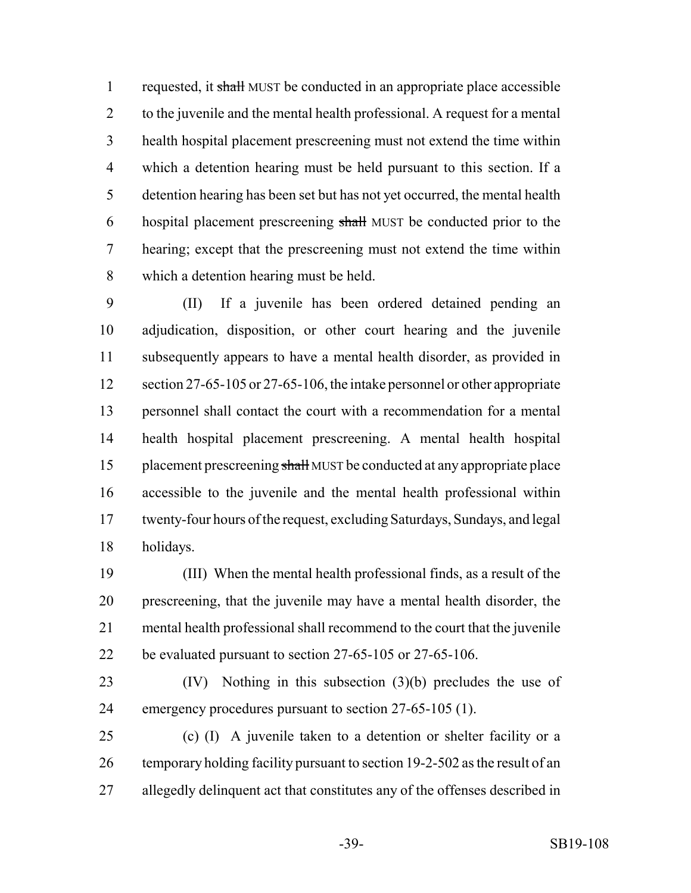1 requested, it shall MUST be conducted in an appropriate place accessible to the juvenile and the mental health professional. A request for a mental health hospital placement prescreening must not extend the time within which a detention hearing must be held pursuant to this section. If a detention hearing has been set but has not yet occurred, the mental health hospital placement prescreening shall MUST be conducted prior to the hearing; except that the prescreening must not extend the time within which a detention hearing must be held.

 (II) If a juvenile has been ordered detained pending an adjudication, disposition, or other court hearing and the juvenile subsequently appears to have a mental health disorder, as provided in 12 section 27-65-105 or 27-65-106, the intake personnel or other appropriate personnel shall contact the court with a recommendation for a mental health hospital placement prescreening. A mental health hospital 15 placement prescreening shall MUST be conducted at any appropriate place accessible to the juvenile and the mental health professional within twenty-four hours of the request, excluding Saturdays, Sundays, and legal holidays.

 (III) When the mental health professional finds, as a result of the prescreening, that the juvenile may have a mental health disorder, the mental health professional shall recommend to the court that the juvenile be evaluated pursuant to section 27-65-105 or 27-65-106.

 (IV) Nothing in this subsection (3)(b) precludes the use of emergency procedures pursuant to section 27-65-105 (1).

 (c) (I) A juvenile taken to a detention or shelter facility or a temporary holding facility pursuant to section 19-2-502 as the result of an allegedly delinquent act that constitutes any of the offenses described in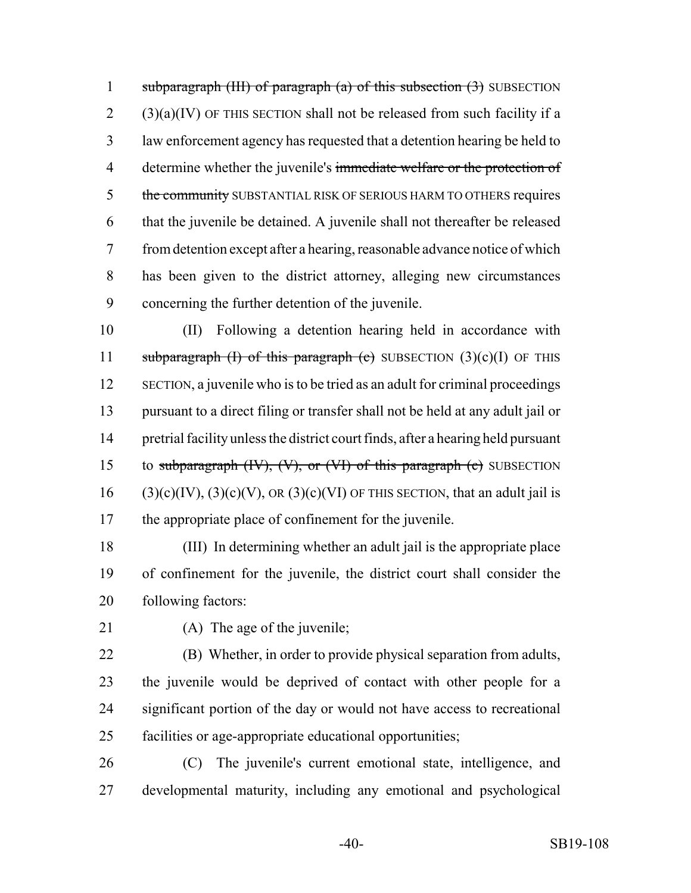1 subparagraph  $(HH)$  of paragraph  $(a)$  of this subsection  $(3)$  SUBSECTION (3)(a)(IV) OF THIS SECTION shall not be released from such facility if a law enforcement agency has requested that a detention hearing be held to 4 determine whether the juvenile's immediate welfare or the protection of 5 the community SUBSTANTIAL RISK OF SERIOUS HARM TO OTHERS requires that the juvenile be detained. A juvenile shall not thereafter be released from detention except after a hearing, reasonable advance notice of which has been given to the district attorney, alleging new circumstances concerning the further detention of the juvenile.

 (II) Following a detention hearing held in accordance with 11 subparagraph (I) of this paragraph (c) SUBSECTION  $(3)(c)(I)$  OF THIS SECTION, a juvenile who is to be tried as an adult for criminal proceedings pursuant to a direct filing or transfer shall not be held at any adult jail or pretrial facility unless the district court finds, after a hearing held pursuant 15 to subparagraph  $(W)$ ,  $(V)$ , or  $(V)$  of this paragraph  $(e)$  SUBSECTION 16 (3)(c)(IV), (3)(c)(V), OR (3)(c)(VI) OF THIS SECTION, that an adult jail is the appropriate place of confinement for the juvenile.

 (III) In determining whether an adult jail is the appropriate place of confinement for the juvenile, the district court shall consider the following factors:

21 (A) The age of the juvenile;

 (B) Whether, in order to provide physical separation from adults, the juvenile would be deprived of contact with other people for a significant portion of the day or would not have access to recreational facilities or age-appropriate educational opportunities;

 (C) The juvenile's current emotional state, intelligence, and developmental maturity, including any emotional and psychological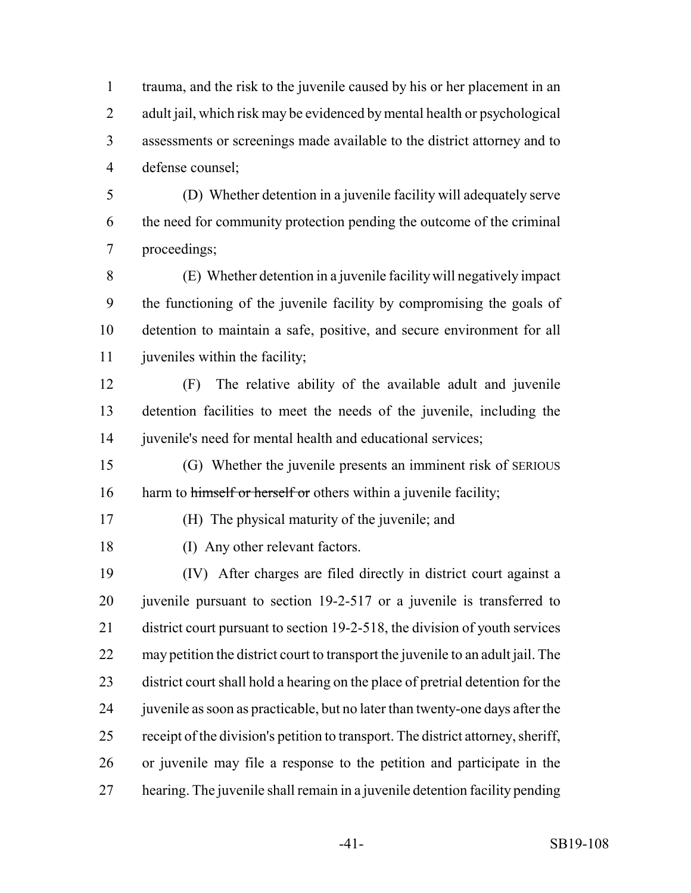trauma, and the risk to the juvenile caused by his or her placement in an 2 adult jail, which risk may be evidenced by mental health or psychological assessments or screenings made available to the district attorney and to defense counsel;

 (D) Whether detention in a juvenile facility will adequately serve the need for community protection pending the outcome of the criminal proceedings;

 (E) Whether detention in a juvenile facility will negatively impact the functioning of the juvenile facility by compromising the goals of detention to maintain a safe, positive, and secure environment for all 11 juveniles within the facility;

 (F) The relative ability of the available adult and juvenile detention facilities to meet the needs of the juvenile, including the juvenile's need for mental health and educational services;

 (G) Whether the juvenile presents an imminent risk of SERIOUS 16 harm to himself or herself or others within a juvenile facility;

(H) The physical maturity of the juvenile; and

(I) Any other relevant factors.

 (IV) After charges are filed directly in district court against a juvenile pursuant to section 19-2-517 or a juvenile is transferred to district court pursuant to section 19-2-518, the division of youth services may petition the district court to transport the juvenile to an adult jail. The district court shall hold a hearing on the place of pretrial detention for the juvenile as soon as practicable, but no later than twenty-one days after the receipt of the division's petition to transport. The district attorney, sheriff, or juvenile may file a response to the petition and participate in the hearing. The juvenile shall remain in a juvenile detention facility pending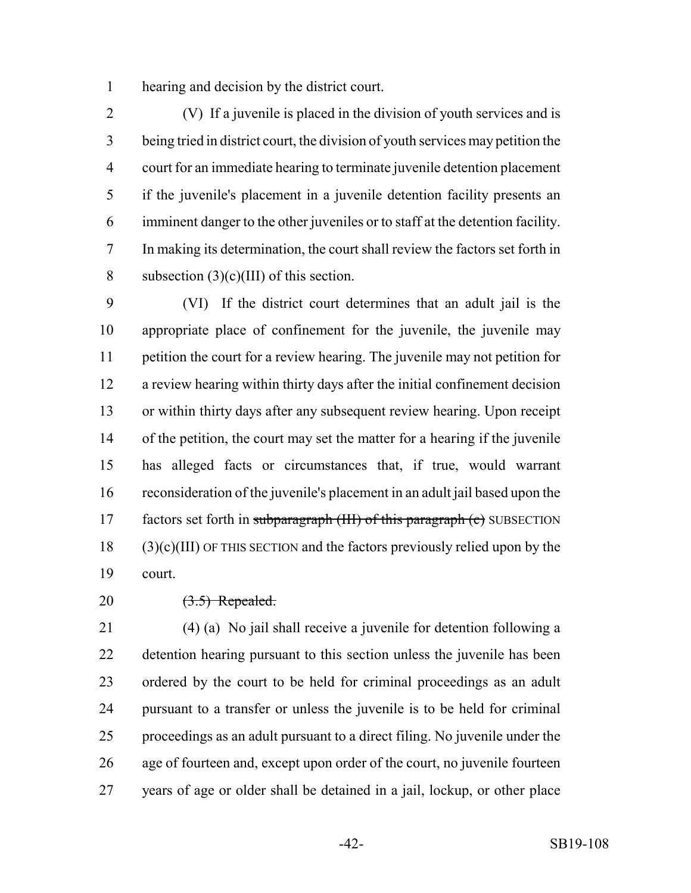hearing and decision by the district court.

 (V) If a juvenile is placed in the division of youth services and is being tried in district court, the division of youth services may petition the court for an immediate hearing to terminate juvenile detention placement if the juvenile's placement in a juvenile detention facility presents an imminent danger to the other juveniles or to staff at the detention facility. In making its determination, the court shall review the factors set forth in 8 subsection  $(3)(c)(III)$  of this section.

 (VI) If the district court determines that an adult jail is the appropriate place of confinement for the juvenile, the juvenile may petition the court for a review hearing. The juvenile may not petition for a review hearing within thirty days after the initial confinement decision or within thirty days after any subsequent review hearing. Upon receipt of the petition, the court may set the matter for a hearing if the juvenile has alleged facts or circumstances that, if true, would warrant reconsideration of the juvenile's placement in an adult jail based upon the 17 factors set forth in subparagraph (III) of this paragraph (c) SUBSECTION (3)(c)(III) OF THIS SECTION and the factors previously relied upon by the court.

20 (3.5) Repealed.

 (4) (a) No jail shall receive a juvenile for detention following a detention hearing pursuant to this section unless the juvenile has been ordered by the court to be held for criminal proceedings as an adult pursuant to a transfer or unless the juvenile is to be held for criminal proceedings as an adult pursuant to a direct filing. No juvenile under the age of fourteen and, except upon order of the court, no juvenile fourteen years of age or older shall be detained in a jail, lockup, or other place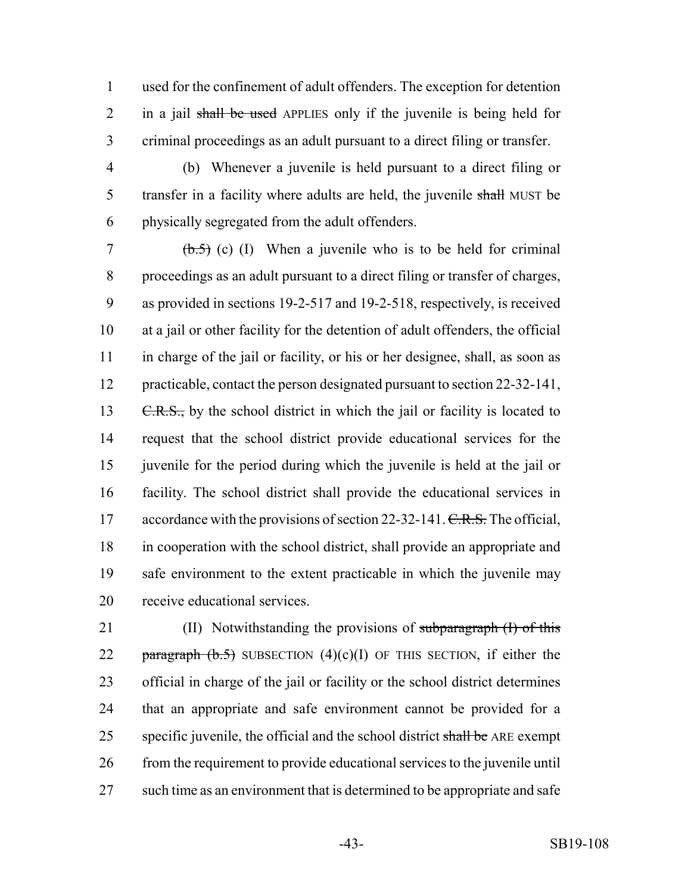used for the confinement of adult offenders. The exception for detention 2 in a jail shall be used APPLIES only if the juvenile is being held for criminal proceedings as an adult pursuant to a direct filing or transfer.

 (b) Whenever a juvenile is held pursuant to a direct filing or 5 transfer in a facility where adults are held, the juvenile shall MUST be physically segregated from the adult offenders.

 $(6.5)$  (c) (I) When a juvenile who is to be held for criminal proceedings as an adult pursuant to a direct filing or transfer of charges, as provided in sections 19-2-517 and 19-2-518, respectively, is received at a jail or other facility for the detention of adult offenders, the official in charge of the jail or facility, or his or her designee, shall, as soon as practicable, contact the person designated pursuant to section 22-32-141,  $C.R.S.,$  by the school district in which the jail or facility is located to request that the school district provide educational services for the juvenile for the period during which the juvenile is held at the jail or facility. The school district shall provide the educational services in 17 accordance with the provisions of section 22-32-141. C.R.S. The official, in cooperation with the school district, shall provide an appropriate and safe environment to the extent practicable in which the juvenile may receive educational services.

21 (II) Notwithstanding the provisions of subparagraph (I) of this 22 paragraph  $(b.5)$  SUBSECTION  $(4)(c)(I)$  OF THIS SECTION, if either the official in charge of the jail or facility or the school district determines that an appropriate and safe environment cannot be provided for a 25 specific juvenile, the official and the school district shall be ARE exempt from the requirement to provide educational services to the juvenile until such time as an environment that is determined to be appropriate and safe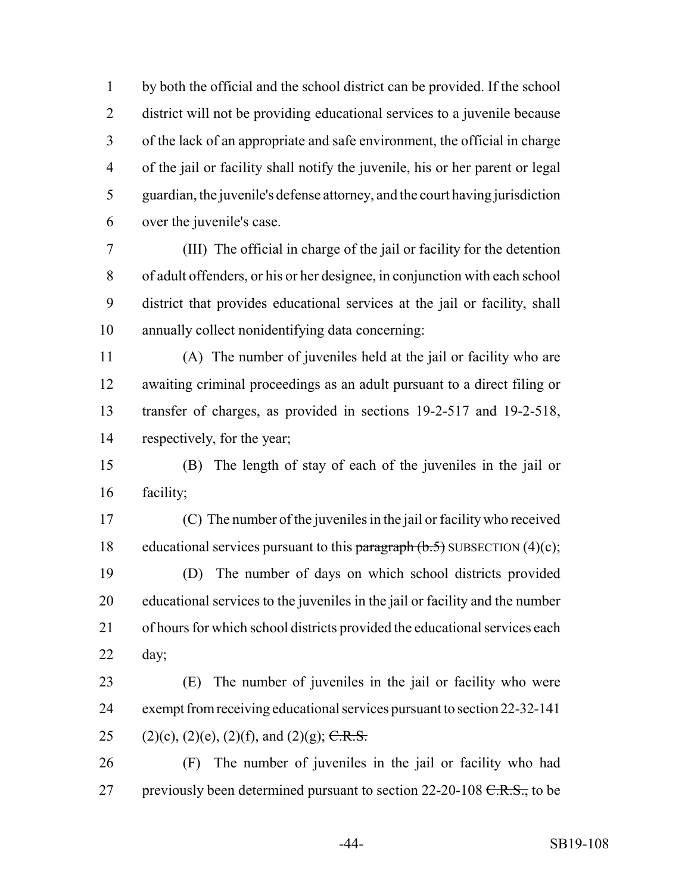by both the official and the school district can be provided. If the school district will not be providing educational services to a juvenile because of the lack of an appropriate and safe environment, the official in charge of the jail or facility shall notify the juvenile, his or her parent or legal guardian, the juvenile's defense attorney, and the court having jurisdiction over the juvenile's case.

 (III) The official in charge of the jail or facility for the detention of adult offenders, or his or her designee, in conjunction with each school district that provides educational services at the jail or facility, shall annually collect nonidentifying data concerning:

 (A) The number of juveniles held at the jail or facility who are awaiting criminal proceedings as an adult pursuant to a direct filing or transfer of charges, as provided in sections 19-2-517 and 19-2-518, respectively, for the year;

 (B) The length of stay of each of the juveniles in the jail or facility;

 (C) The number of the juveniles in the jail or facility who received 18 educational services pursuant to this paragraph  $(b.5)$  SUBSECTION  $(4)(c)$ ; (D) The number of days on which school districts provided

 educational services to the juveniles in the jail or facility and the number of hours for which school districts provided the educational services each day;

 (E) The number of juveniles in the jail or facility who were exempt from receiving educational services pursuant to section 22-32-141 25 (2)(c), (2)(e), (2)(f), and (2)(g); C.R.S.

 (F) The number of juveniles in the jail or facility who had 27 previously been determined pursuant to section  $22-20-108 \text{ C.R.S.}$ , to be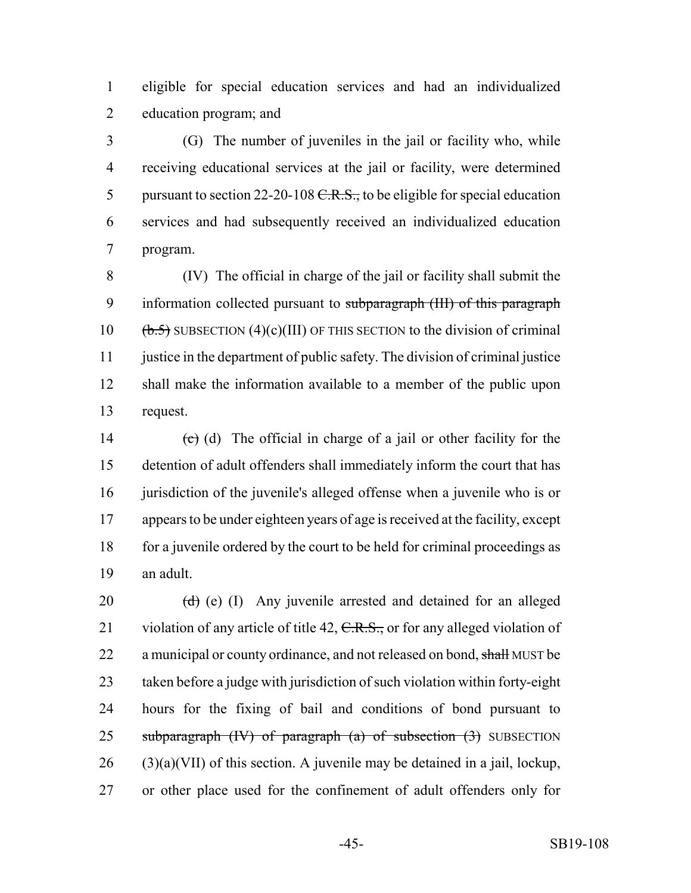eligible for special education services and had an individualized education program; and

 (G) The number of juveniles in the jail or facility who, while receiving educational services at the jail or facility, were determined 5 pursuant to section 22-20-108  $C.R.S.,$  to be eligible for special education services and had subsequently received an individualized education program.

 (IV) The official in charge of the jail or facility shall submit the 9 information collected pursuant to subparagraph (III) of this paragraph  $\left(\frac{b.5}{b.5}\right)$  SUBSECTION (4)(c)(III) OF THIS SECTION to the division of criminal justice in the department of public safety. The division of criminal justice shall make the information available to a member of the public upon request.

14 (c) (d) The official in charge of a jail or other facility for the detention of adult offenders shall immediately inform the court that has 16 jurisdiction of the juvenile's alleged offense when a juvenile who is or appears to be under eighteen years of age is received at the facility, except 18 for a juvenile ordered by the court to be held for criminal proceedings as an adult.

 $(d)$  (e) (I) Any juvenile arrested and detained for an alleged 21 violation of any article of title 42, C.R.S., or for any alleged violation of 22 a municipal or county ordinance, and not released on bond, shall MUST be taken before a judge with jurisdiction of such violation within forty-eight hours for the fixing of bail and conditions of bond pursuant to 25 subparagraph  $(W)$  of paragraph  $(a)$  of subsection  $(3)$  SUBSECTION (3)(a)(VII) of this section. A juvenile may be detained in a jail, lockup, or other place used for the confinement of adult offenders only for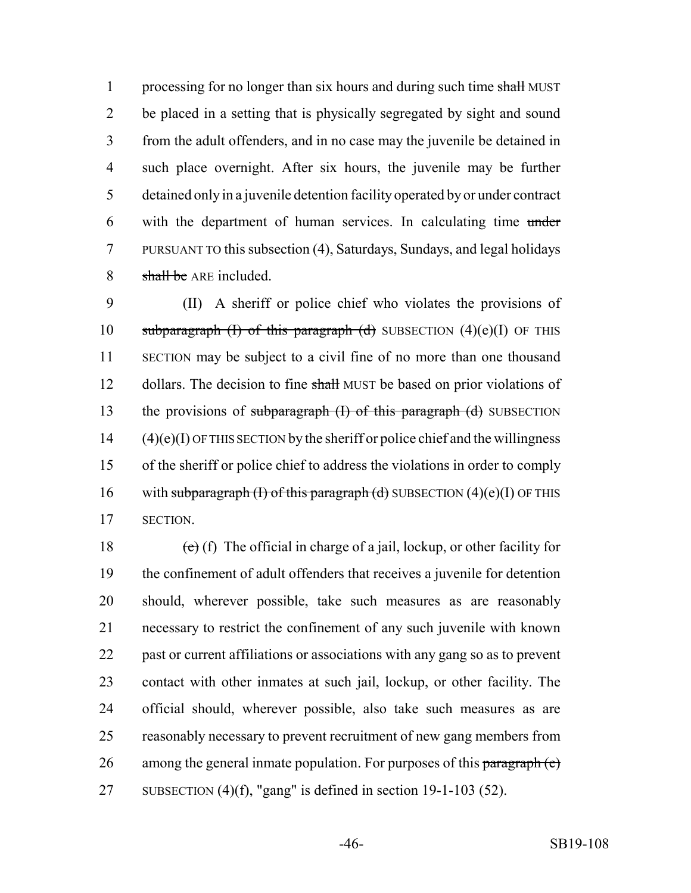1 processing for no longer than six hours and during such time shall MUST be placed in a setting that is physically segregated by sight and sound from the adult offenders, and in no case may the juvenile be detained in such place overnight. After six hours, the juvenile may be further detained only in a juvenile detention facility operated by or under contract with the department of human services. In calculating time under PURSUANT TO this subsection (4), Saturdays, Sundays, and legal holidays 8 shall be ARE included.

 (II) A sheriff or police chief who violates the provisions of 10 subparagraph (I) of this paragraph (d) SUBSECTION  $(4)(e)(I)$  OF THIS SECTION may be subject to a civil fine of no more than one thousand 12 dollars. The decision to fine shall MUST be based on prior violations of 13 the provisions of subparagraph (I) of this paragraph (d) SUBSECTION (4)(e)(I) OF THIS SECTION by the sheriff or police chief and the willingness of the sheriff or police chief to address the violations in order to comply 16 with subparagraph (I) of this paragraph (d) SUBSECTION  $(4)(e)(I)$  OF THIS SECTION.

18 (e) (f) The official in charge of a jail, lockup, or other facility for the confinement of adult offenders that receives a juvenile for detention should, wherever possible, take such measures as are reasonably necessary to restrict the confinement of any such juvenile with known past or current affiliations or associations with any gang so as to prevent contact with other inmates at such jail, lockup, or other facility. The official should, wherever possible, also take such measures as are reasonably necessary to prevent recruitment of new gang members from 26 among the general inmate population. For purposes of this paragraph  $(e)$ SUBSECTION (4)(f), "gang" is defined in section 19-1-103 (52).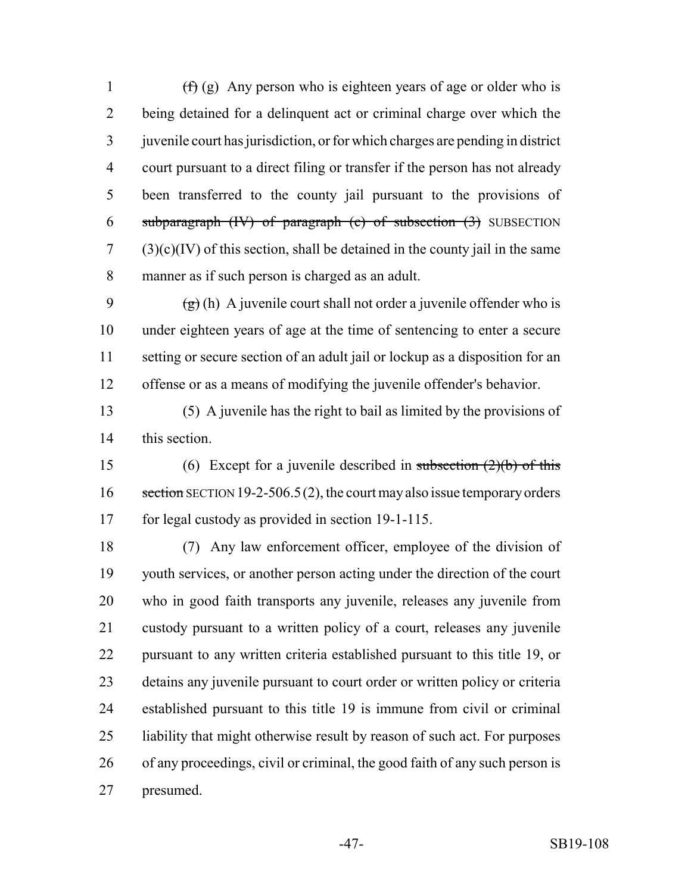$(f)(g)$  Any person who is eighteen years of age or older who is being detained for a delinquent act or criminal charge over which the juvenile court has jurisdiction, or for which charges are pending in district court pursuant to a direct filing or transfer if the person has not already been transferred to the county jail pursuant to the provisions of 6 subparagraph  $(W)$  of paragraph  $(c)$  of subsection  $(3)$  SUBSECTION  $7 \qquad (3)(c)(IV)$  of this section, shall be detained in the county jail in the same manner as if such person is charged as an adult.

9 (g) (h) A juvenile court shall not order a juvenile offender who is under eighteen years of age at the time of sentencing to enter a secure setting or secure section of an adult jail or lockup as a disposition for an offense or as a means of modifying the juvenile offender's behavior.

 (5) A juvenile has the right to bail as limited by the provisions of this section.

15 (6) Except for a juvenile described in subsection  $(2)(b)$  of this 16 section SECTION 19-2-506.5(2), the court may also issue temporary orders for legal custody as provided in section 19-1-115.

 (7) Any law enforcement officer, employee of the division of youth services, or another person acting under the direction of the court who in good faith transports any juvenile, releases any juvenile from custody pursuant to a written policy of a court, releases any juvenile pursuant to any written criteria established pursuant to this title 19, or detains any juvenile pursuant to court order or written policy or criteria established pursuant to this title 19 is immune from civil or criminal liability that might otherwise result by reason of such act. For purposes of any proceedings, civil or criminal, the good faith of any such person is presumed.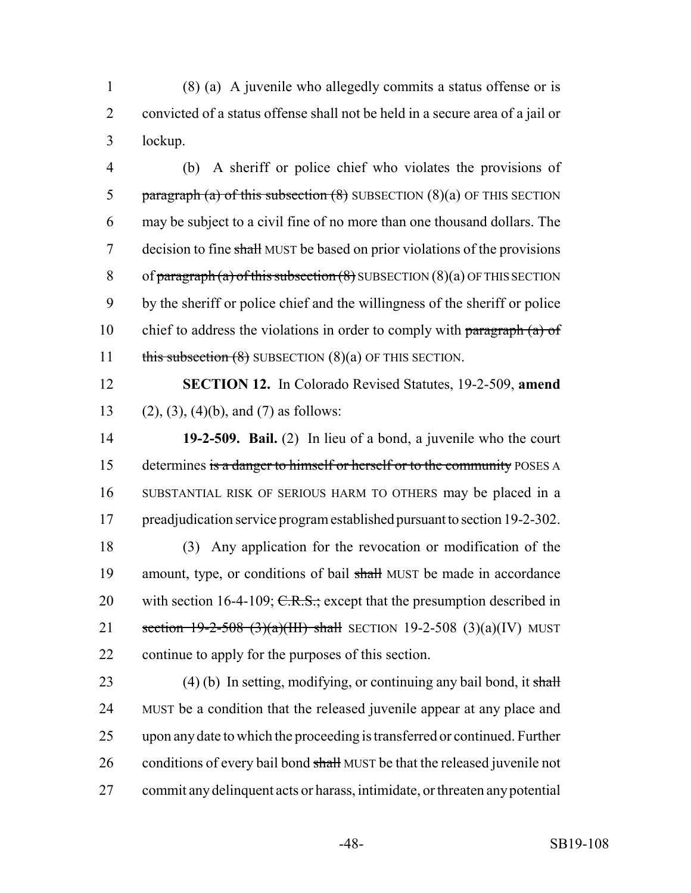1 (8) (a) A juvenile who allegedly commits a status offense or is 2 convicted of a status offense shall not be held in a secure area of a jail or 3 lockup.

4 (b) A sheriff or police chief who violates the provisions of 5 paragraph (a) of this subsection  $(8)$  SUBSECTION  $(8)(a)$  OF THIS SECTION 6 may be subject to a civil fine of no more than one thousand dollars. The 7 decision to fine shall MUST be based on prior violations of the provisions 8 of paragraph (a) of this subsection  $(8)$  SUBSECTION  $(8)(a)$  OF THIS SECTION 9 by the sheriff or police chief and the willingness of the sheriff or police 10 chief to address the violations in order to comply with paragraph  $(a)$  of 11 this subsection (8) SUBSECTION (8)(a) OF THIS SECTION.

12 **SECTION 12.** In Colorado Revised Statutes, 19-2-509, **amend** 13 (2), (3), (4)(b), and (7) as follows:

 **19-2-509. Bail.** (2) In lieu of a bond, a juvenile who the court 15 determines is a danger to himself or herself or to the community POSES A SUBSTANTIAL RISK OF SERIOUS HARM TO OTHERS may be placed in a preadjudication service program established pursuant to section 19-2-302.

18 (3) Any application for the revocation or modification of the 19 amount, type, or conditions of bail shall MUST be made in accordance 20 with section 16-4-109;  $C.R.S.$ ; except that the presumption described in 21 section  $19-2-508$  (3)(a)(III) shall SECTION 19-2-508 (3)(a)(IV) MUST 22 continue to apply for the purposes of this section.

23 (4) (b) In setting, modifying, or continuing any bail bond, it shall 24 MUST be a condition that the released juvenile appear at any place and 25 upon any date to which the proceeding is transferred or continued. Further 26 conditions of every bail bond shall MUST be that the released juvenile not 27 commit any delinquent acts or harass, intimidate, or threaten any potential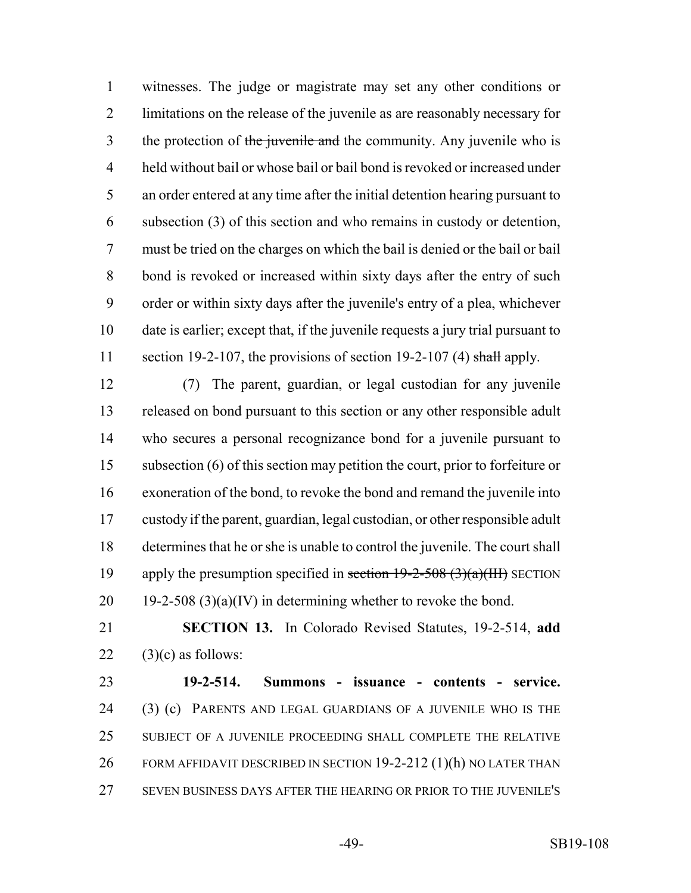witnesses. The judge or magistrate may set any other conditions or limitations on the release of the juvenile as are reasonably necessary for 3 the protection of the juvenile and the community. Any juvenile who is held without bail or whose bail or bail bond is revoked or increased under an order entered at any time after the initial detention hearing pursuant to subsection (3) of this section and who remains in custody or detention, must be tried on the charges on which the bail is denied or the bail or bail bond is revoked or increased within sixty days after the entry of such order or within sixty days after the juvenile's entry of a plea, whichever date is earlier; except that, if the juvenile requests a jury trial pursuant to 11 section 19-2-107, the provisions of section 19-2-107 (4) shall apply.

 (7) The parent, guardian, or legal custodian for any juvenile released on bond pursuant to this section or any other responsible adult who secures a personal recognizance bond for a juvenile pursuant to subsection (6) of this section may petition the court, prior to forfeiture or exoneration of the bond, to revoke the bond and remand the juvenile into custody if the parent, guardian, legal custodian, or other responsible adult determines that he or she is unable to control the juvenile. The court shall 19 apply the presumption specified in section  $19-2-508$  (3)(a)(III) SECTION 20 19-2-508 (3)(a)(IV) in determining whether to revoke the bond.

 **SECTION 13.** In Colorado Revised Statutes, 19-2-514, **add** 22  $(3)(c)$  as follows:

 **19-2-514. Summons - issuance - contents - service.** (3) (c) PARENTS AND LEGAL GUARDIANS OF A JUVENILE WHO IS THE SUBJECT OF A JUVENILE PROCEEDING SHALL COMPLETE THE RELATIVE 26 FORM AFFIDAVIT DESCRIBED IN SECTION 19-2-212 (1)(h) NO LATER THAN SEVEN BUSINESS DAYS AFTER THE HEARING OR PRIOR TO THE JUVENILE'S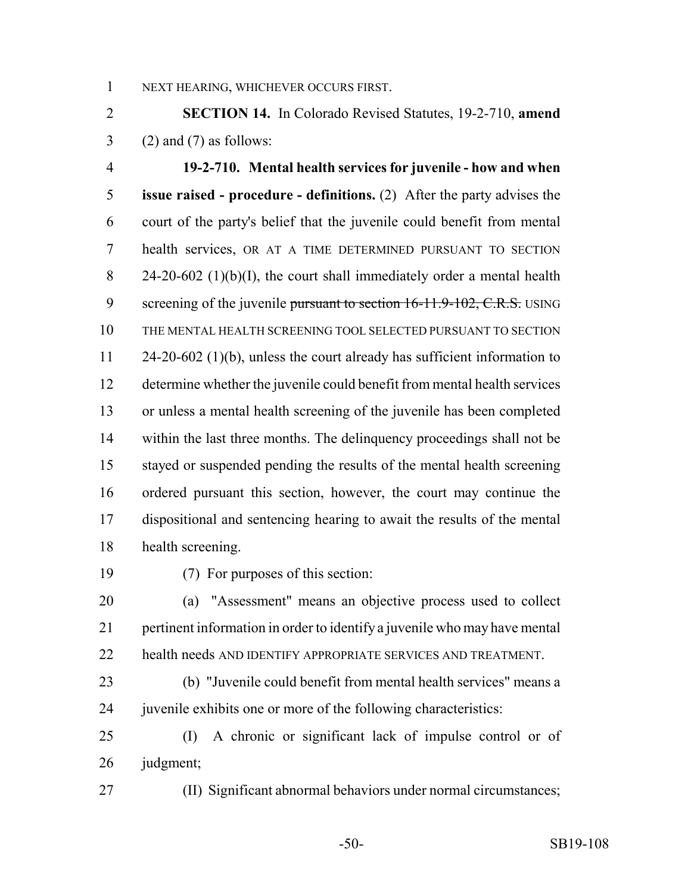NEXT HEARING, WHICHEVER OCCURS FIRST.

 **SECTION 14.** In Colorado Revised Statutes, 19-2-710, **amend** 3 (2) and (7) as follows:

 **19-2-710. Mental health services for juvenile - how and when issue raised - procedure - definitions.** (2) After the party advises the court of the party's belief that the juvenile could benefit from mental health services, OR AT A TIME DETERMINED PURSUANT TO SECTION 8 24-20-602 (1)(b)(I), the court shall immediately order a mental health 9 screening of the juvenile pursuant to section 16-11.9-102, C.R.S. USING THE MENTAL HEALTH SCREENING TOOL SELECTED PURSUANT TO SECTION 24-20-602 (1)(b), unless the court already has sufficient information to determine whether the juvenile could benefit from mental health services or unless a mental health screening of the juvenile has been completed within the last three months. The delinquency proceedings shall not be stayed or suspended pending the results of the mental health screening ordered pursuant this section, however, the court may continue the dispositional and sentencing hearing to await the results of the mental health screening.

(7) For purposes of this section:

 (a) "Assessment" means an objective process used to collect pertinent information in order to identify a juvenile who may have mental health needs AND IDENTIFY APPROPRIATE SERVICES AND TREATMENT.

 (b) "Juvenile could benefit from mental health services" means a 24 juven ile exhibits one or more of the following characteristics:

 (I) A chronic or significant lack of impulse control or of judgment;

(II) Significant abnormal behaviors under normal circumstances;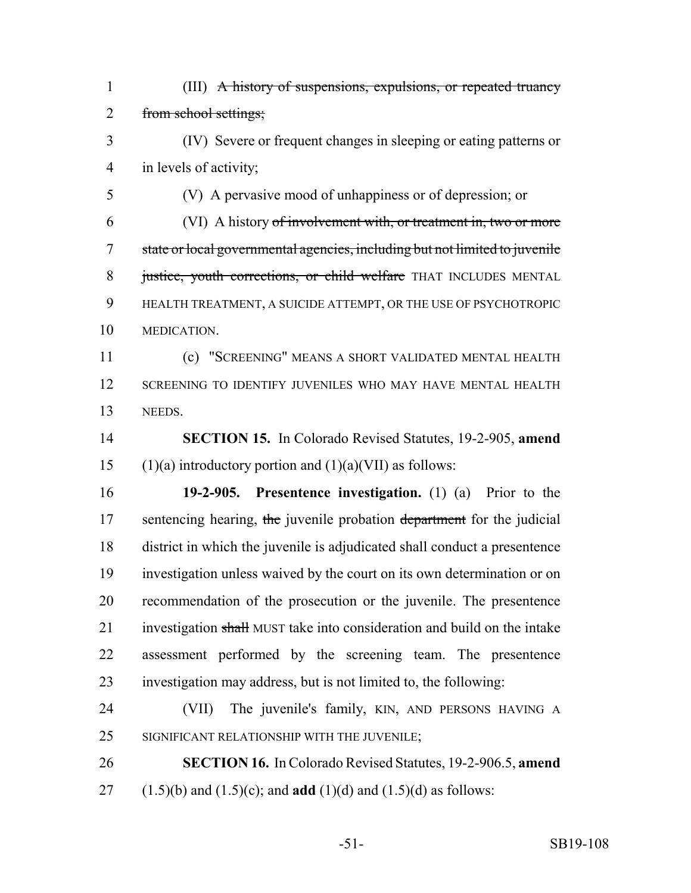(III) A history of suspensions, expulsions, or repeated truancy from school settings;

 (IV) Severe or frequent changes in sleeping or eating patterns or in levels of activity;

 (V) A pervasive mood of unhappiness or of depression; or (VI) A history of involvement with, or treatment in, two or more state or local governmental agencies, including but not limited to juvenile 8 justice, youth corrections, or child welfare THAT INCLUDES MENTAL HEALTH TREATMENT, A SUICIDE ATTEMPT, OR THE USE OF PSYCHOTROPIC MEDICATION.

 (c) "SCREENING" MEANS A SHORT VALIDATED MENTAL HEALTH SCREENING TO IDENTIFY JUVENILES WHO MAY HAVE MENTAL HEALTH NEEDS.

 **SECTION 15.** In Colorado Revised Statutes, 19-2-905, **amend** 15 (1)(a) introductory portion and  $(1)(a)(VII)$  as follows:

 **19-2-905. Presentence investigation.** (1) (a) Prior to the 17 sentencing hearing, the juvenile probation department for the judicial district in which the juvenile is adjudicated shall conduct a presentence investigation unless waived by the court on its own determination or on recommendation of the prosecution or the juvenile. The presentence 21 investigation shall MUST take into consideration and build on the intake assessment performed by the screening team. The presentence investigation may address, but is not limited to, the following:

 (VII) The juvenile's family, KIN, AND PERSONS HAVING A SIGNIFICANT RELATIONSHIP WITH THE JUVENILE;

 **SECTION 16.** In Colorado Revised Statutes, 19-2-906.5, **amend** (1.5)(b) and (1.5)(c); and **add** (1)(d) and (1.5)(d) as follows: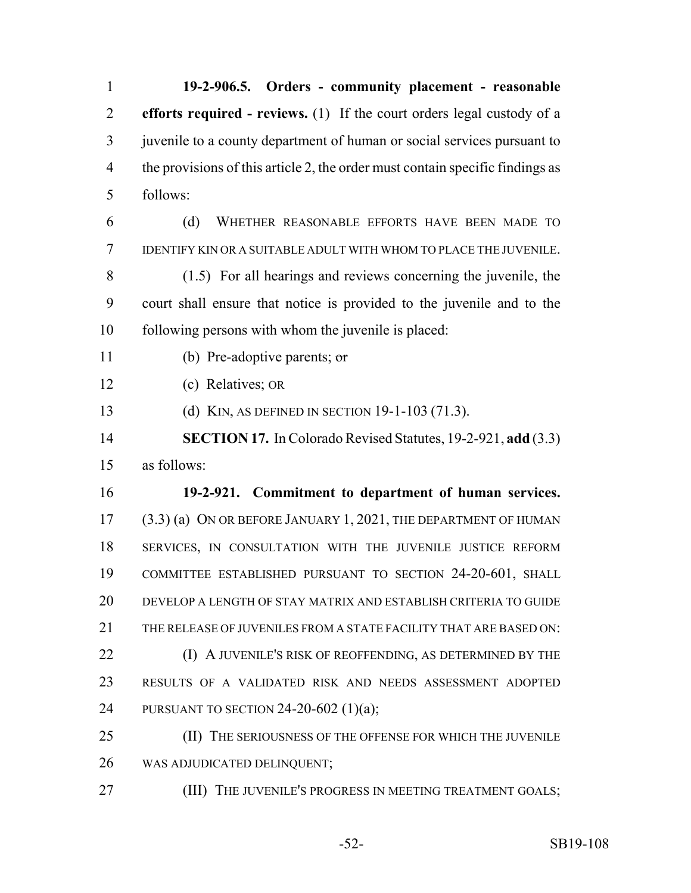**19-2-906.5. Orders - community placement - reasonable efforts required - reviews.** (1) If the court orders legal custody of a juvenile to a county department of human or social services pursuant to the provisions of this article 2, the order must contain specific findings as follows: (d) WHETHER REASONABLE EFFORTS HAVE BEEN MADE TO IDENTIFY KIN OR A SUITABLE ADULT WITH WHOM TO PLACE THE JUVENILE. (1.5) For all hearings and reviews concerning the juvenile, the court shall ensure that notice is provided to the juvenile and to the following persons with whom the juvenile is placed: (b) Pre-adoptive parents; or (c) Relatives; OR (d) KIN, AS DEFINED IN SECTION 19-1-103 (71.3). **SECTION 17.** In Colorado Revised Statutes, 19-2-921, **add** (3.3) as follows: **19-2-921. Commitment to department of human services.** (3.3) (a) ON OR BEFORE JANUARY 1, 2021, THE DEPARTMENT OF HUMAN SERVICES, IN CONSULTATION WITH THE JUVENILE JUSTICE REFORM COMMITTEE ESTABLISHED PURSUANT TO SECTION 24-20-601, SHALL DEVELOP A LENGTH OF STAY MATRIX AND ESTABLISH CRITERIA TO GUIDE 21 THE RELEASE OF JUVENILES FROM A STATE FACILITY THAT ARE BASED ON: **(I) A JUVENILE'S RISK OF REOFFENDING, AS DETERMINED BY THE**  RESULTS OF A VALIDATED RISK AND NEEDS ASSESSMENT ADOPTED PURSUANT TO SECTION 24-20-602 (1)(a); 25 (II) THE SERIOUSNESS OF THE OFFENSE FOR WHICH THE JUVENILE WAS ADJUDICATED DELINQUENT; **(III) THE JUVENILE'S PROGRESS IN MEETING TREATMENT GOALS;**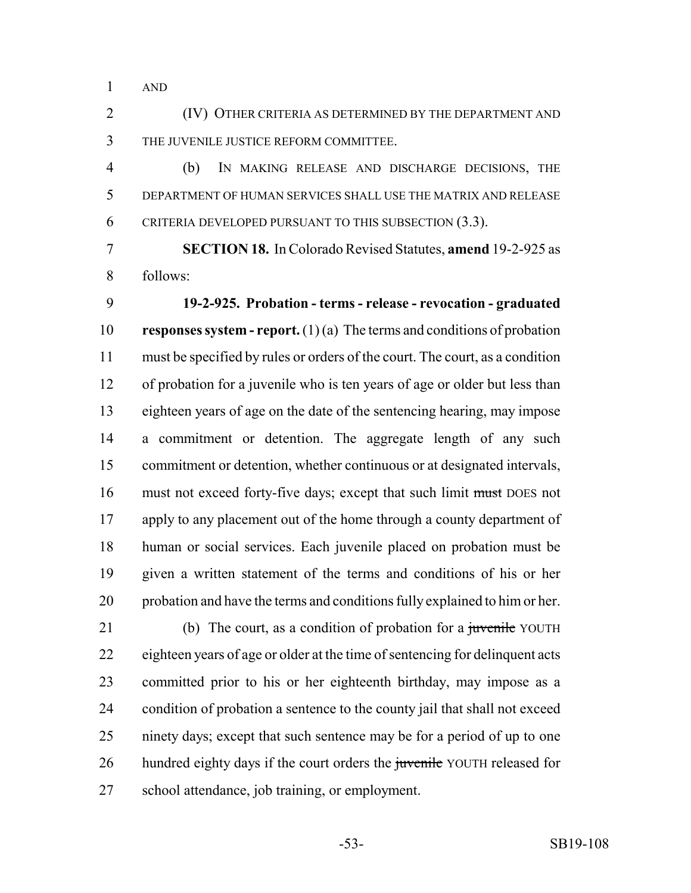AND

 (IV) OTHER CRITERIA AS DETERMINED BY THE DEPARTMENT AND THE JUVENILE JUSTICE REFORM COMMITTEE.

 (b) IN MAKING RELEASE AND DISCHARGE DECISIONS, THE DEPARTMENT OF HUMAN SERVICES SHALL USE THE MATRIX AND RELEASE CRITERIA DEVELOPED PURSUANT TO THIS SUBSECTION (3.3).

 **SECTION 18.** In Colorado Revised Statutes, **amend** 19-2-925 as follows:

 **19-2-925. Probation - terms - release - revocation - graduated responses system - report.** (1) (a) The terms and conditions of probation must be specified by rules or orders of the court. The court, as a condition of probation for a juvenile who is ten years of age or older but less than eighteen years of age on the date of the sentencing hearing, may impose a commitment or detention. The aggregate length of any such commitment or detention, whether continuous or at designated intervals, must not exceed forty-five days; except that such limit must DOES not apply to any placement out of the home through a county department of human or social services. Each juvenile placed on probation must be given a written statement of the terms and conditions of his or her probation and have the terms and conditions fully explained to him or her.

21 (b) The court, as a condition of probation for a juvenile YOUTH eighteen years of age or older at the time of sentencing for delinquent acts committed prior to his or her eighteenth birthday, may impose as a condition of probation a sentence to the county jail that shall not exceed ninety days; except that such sentence may be for a period of up to one 26 hundred eighty days if the court orders the juvenile YOUTH released for school attendance, job training, or employment.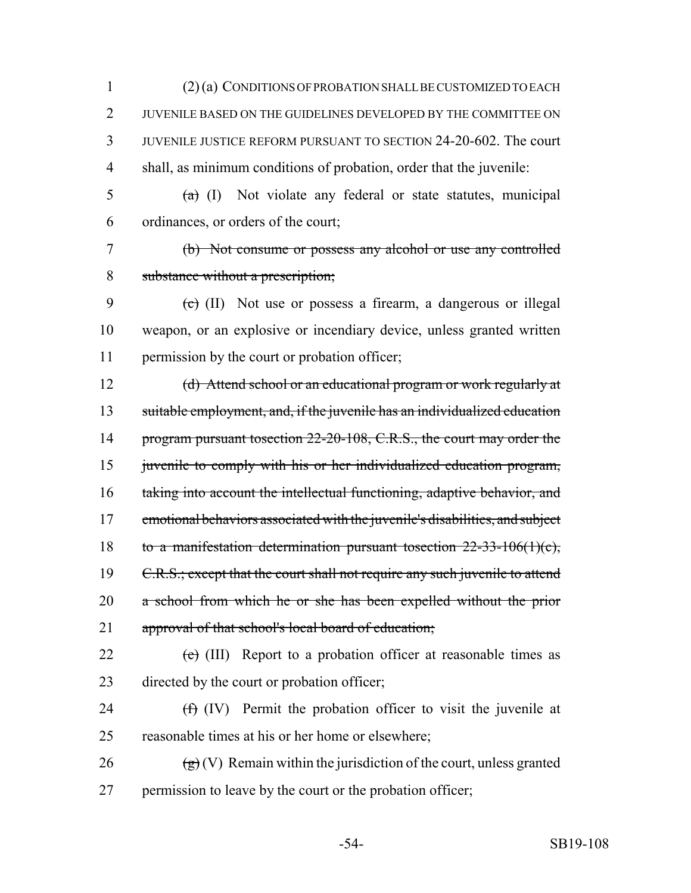(2) (a) CONDITIONS OF PROBATION SHALL BE CUSTOMIZED TO EACH JUVENILE BASED ON THE GUIDELINES DEVELOPED BY THE COMMITTEE ON JUVENILE JUSTICE REFORM PURSUANT TO SECTION 24-20-602. The court shall, as minimum conditions of probation, order that the juvenile:

 $\frac{1}{2}$  (a) (I) Not violate any federal or state statutes, municipal ordinances, or orders of the court;

 (b) Not consume or possess any alcohol or use any controlled substance without a prescription;

9  $\left(\text{c}\right)$  (II) Not use or possess a firearm, a dangerous or illegal weapon, or an explosive or incendiary device, unless granted written permission by the court or probation officer;

 (d) Attend school or an educational program or work regularly at suitable employment, and, if the juvenile has an individualized education 14 program pursuant tosection 22-20-108, C.R.S., the court may order the 15 juvenile to comply with his or her individualized education program, taking into account the intellectual functioning, adaptive behavior, and emotional behaviors associated with the juvenile's disabilities, and subject to a manifestation determination pursuant tosection 22-33-106(1)(c), 19 C.R.S.; except that the court shall not require any such juvenile to attend a school from which he or she has been expelled without the prior 21 approval of that school's local board of education;

22  $(e)$  (III) Report to a probation officer at reasonable times as directed by the court or probation officer;

- 24  $(f)$  (IV) Permit the probation officer to visit the juvenile at reasonable times at his or her home or elsewhere;
- 26  $\left(\frac{g}{g}\right)$  (V) Remain within the jurisdiction of the court, unless granted 27 permission to leave by the court or the probation officer;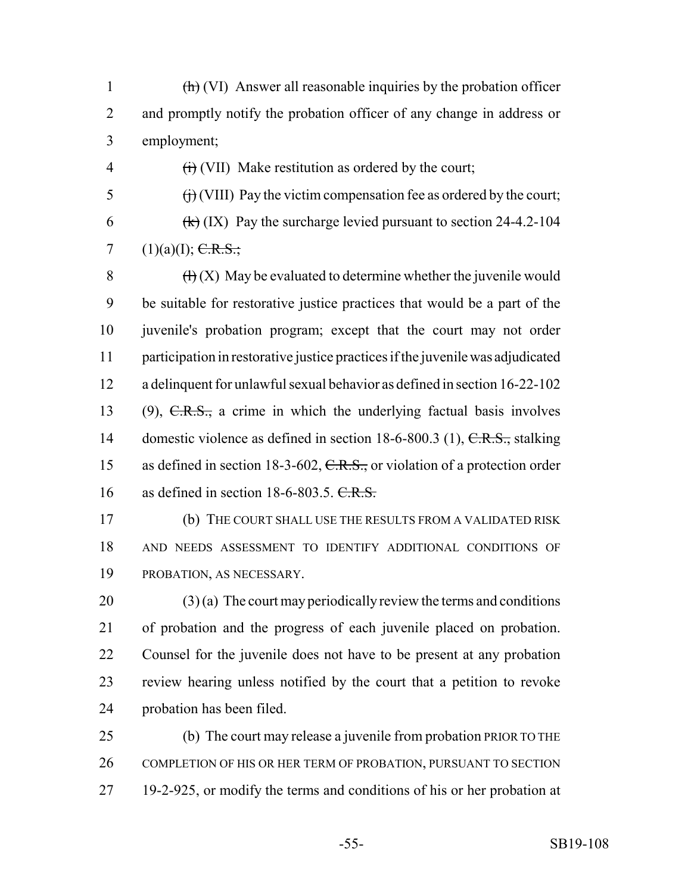(h) (VI) Answer all reasonable inquiries by the probation officer 2 and promptly notify the probation officer of any change in address or employment;

 $\overrightarrow{f}$  (VIII) Pay the victim compensation fee as ordered by the court; 6  $(k)$  (IX) Pay the surcharge levied pursuant to section 24-4.2-104 7 (1)(a)(I);  $C.R.S.:$ 

 $\overrightarrow{H}$  (VII) Make restitution as ordered by the court;

 $\left(\frac{H}{X}\right)$  May be evaluated to determine whether the juvenile would be suitable for restorative justice practices that would be a part of the juvenile's probation program; except that the court may not order participation in restorative justice practices if the juvenile was adjudicated a delinquent for unlawful sexual behavior as defined in section 16-22-102 (9), C.R.S., a crime in which the underlying factual basis involves 14 domestic violence as defined in section 18-6-800.3 (1), C.R.S., stalking 15 as defined in section 18-3-602, C.R.S., or violation of a protection order 16 as defined in section  $18-6-803.5$ . C.R.S.

 (b) THE COURT SHALL USE THE RESULTS FROM A VALIDATED RISK AND NEEDS ASSESSMENT TO IDENTIFY ADDITIONAL CONDITIONS OF PROBATION, AS NECESSARY.

 (3) (a) The court may periodically review the terms and conditions of probation and the progress of each juvenile placed on probation. Counsel for the juvenile does not have to be present at any probation review hearing unless notified by the court that a petition to revoke probation has been filed.

 (b) The court may release a juvenile from probation PRIOR TO THE COMPLETION OF HIS OR HER TERM OF PROBATION, PURSUANT TO SECTION 19-2-925, or modify the terms and conditions of his or her probation at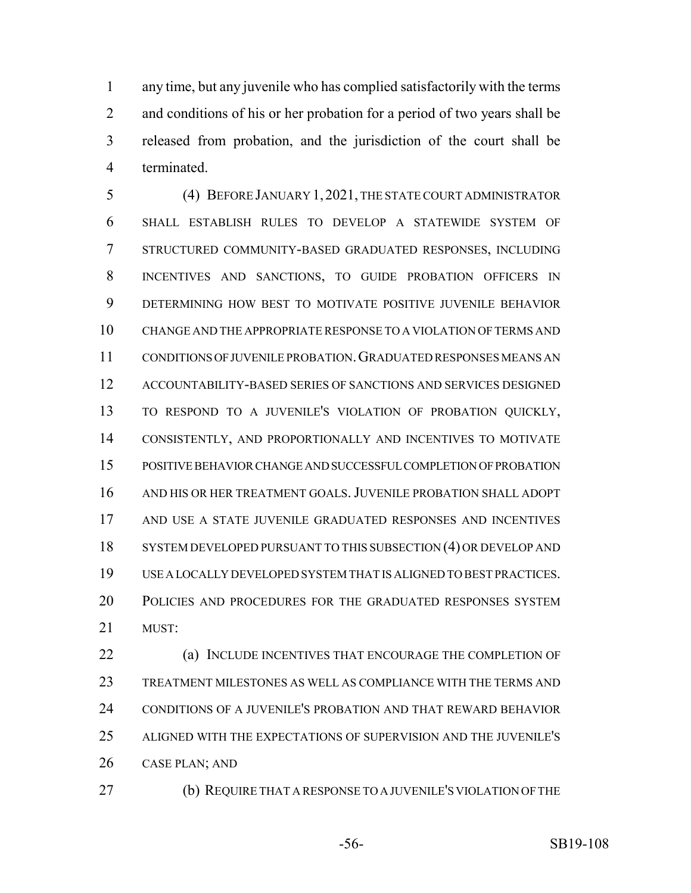any time, but any juvenile who has complied satisfactorily with the terms 2 and conditions of his or her probation for a period of two years shall be released from probation, and the jurisdiction of the court shall be terminated.

 (4) BEFORE JANUARY 1,2021, THE STATE COURT ADMINISTRATOR SHALL ESTABLISH RULES TO DEVELOP A STATEWIDE SYSTEM OF STRUCTURED COMMUNITY-BASED GRADUATED RESPONSES, INCLUDING INCENTIVES AND SANCTIONS, TO GUIDE PROBATION OFFICERS IN DETERMINING HOW BEST TO MOTIVATE POSITIVE JUVENILE BEHAVIOR CHANGE AND THE APPROPRIATE RESPONSE TO A VIOLATION OF TERMS AND CONDITIONS OF JUVENILE PROBATION.GRADUATED RESPONSES MEANS AN ACCOUNTABILITY-BASED SERIES OF SANCTIONS AND SERVICES DESIGNED TO RESPOND TO A JUVENILE'S VIOLATION OF PROBATION QUICKLY, CONSISTENTLY, AND PROPORTIONALLY AND INCENTIVES TO MOTIVATE POSITIVE BEHAVIOR CHANGE AND SUCCESSFUL COMPLETION OF PROBATION AND HIS OR HER TREATMENT GOALS.JUVENILE PROBATION SHALL ADOPT AND USE A STATE JUVENILE GRADUATED RESPONSES AND INCENTIVES 18 SYSTEM DEVELOPED PURSUANT TO THIS SUBSECTION (4) OR DEVELOP AND USE A LOCALLY DEVELOPED SYSTEM THAT IS ALIGNED TO BEST PRACTICES. POLICIES AND PROCEDURES FOR THE GRADUATED RESPONSES SYSTEM MUST:

**(a) INCLUDE INCENTIVES THAT ENCOURAGE THE COMPLETION OF**  TREATMENT MILESTONES AS WELL AS COMPLIANCE WITH THE TERMS AND CONDITIONS OF A JUVENILE'S PROBATION AND THAT REWARD BEHAVIOR ALIGNED WITH THE EXPECTATIONS OF SUPERVISION AND THE JUVENILE'S CASE PLAN; AND

(b) REQUIRE THAT A RESPONSE TO A JUVENILE'S VIOLATION OF THE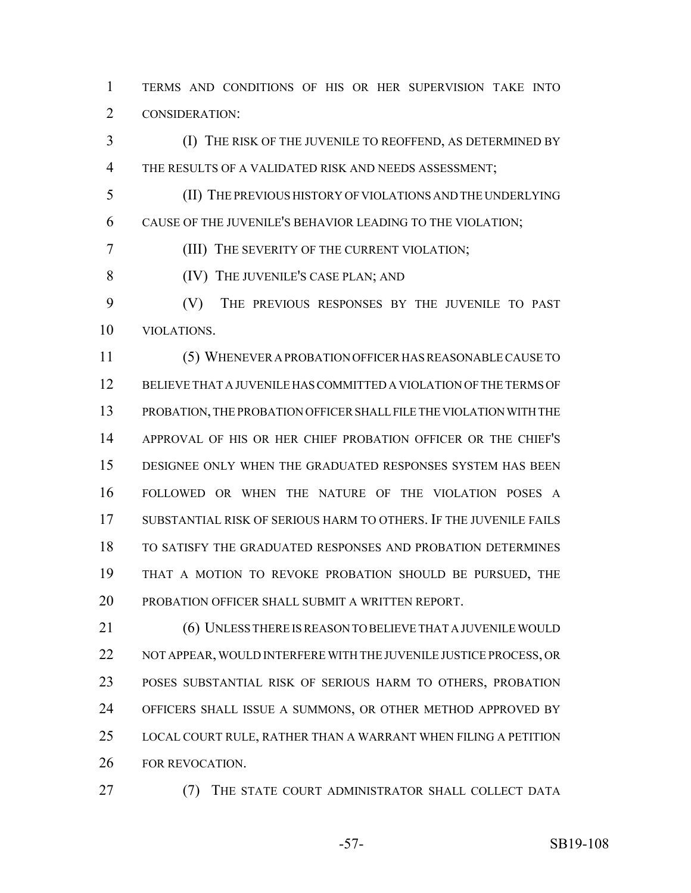TERMS AND CONDITIONS OF HIS OR HER SUPERVISION TAKE INTO CONSIDERATION:

 (I) THE RISK OF THE JUVENILE TO REOFFEND, AS DETERMINED BY THE RESULTS OF A VALIDATED RISK AND NEEDS ASSESSMENT;

 (II) THE PREVIOUS HISTORY OF VIOLATIONS AND THE UNDERLYING CAUSE OF THE JUVENILE'S BEHAVIOR LEADING TO THE VIOLATION;

(III) THE SEVERITY OF THE CURRENT VIOLATION;

8 (IV) THE JUVENILE'S CASE PLAN; AND

 (V) THE PREVIOUS RESPONSES BY THE JUVENILE TO PAST VIOLATIONS.

 (5) WHENEVER A PROBATION OFFICER HAS REASONABLE CAUSE TO BELIEVE THAT A JUVENILE HAS COMMITTED A VIOLATION OF THE TERMS OF PROBATION, THE PROBATION OFFICER SHALL FILE THE VIOLATION WITH THE APPROVAL OF HIS OR HER CHIEF PROBATION OFFICER OR THE CHIEF'S DESIGNEE ONLY WHEN THE GRADUATED RESPONSES SYSTEM HAS BEEN FOLLOWED OR WHEN THE NATURE OF THE VIOLATION POSES A SUBSTANTIAL RISK OF SERIOUS HARM TO OTHERS. IF THE JUVENILE FAILS TO SATISFY THE GRADUATED RESPONSES AND PROBATION DETERMINES THAT A MOTION TO REVOKE PROBATION SHOULD BE PURSUED, THE PROBATION OFFICER SHALL SUBMIT A WRITTEN REPORT.

21 (6) UNLESS THERE IS REASON TO BELIEVE THAT A JUVENILE WOULD NOT APPEAR, WOULD INTERFERE WITH THE JUVENILE JUSTICE PROCESS, OR POSES SUBSTANTIAL RISK OF SERIOUS HARM TO OTHERS, PROBATION OFFICERS SHALL ISSUE A SUMMONS, OR OTHER METHOD APPROVED BY LOCAL COURT RULE, RATHER THAN A WARRANT WHEN FILING A PETITION FOR REVOCATION.

(7) THE STATE COURT ADMINISTRATOR SHALL COLLECT DATA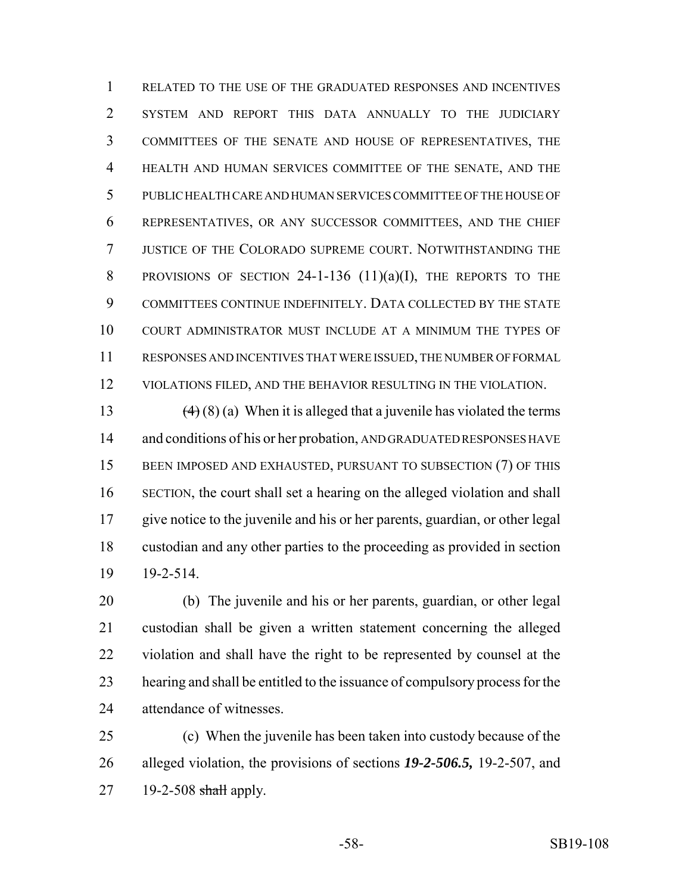RELATED TO THE USE OF THE GRADUATED RESPONSES AND INCENTIVES SYSTEM AND REPORT THIS DATA ANNUALLY TO THE JUDICIARY COMMITTEES OF THE SENATE AND HOUSE OF REPRESENTATIVES, THE HEALTH AND HUMAN SERVICES COMMITTEE OF THE SENATE, AND THE PUBLIC HEALTH CARE AND HUMAN SERVICES COMMITTEE OF THE HOUSE OF REPRESENTATIVES, OR ANY SUCCESSOR COMMITTEES, AND THE CHIEF JUSTICE OF THE COLORADO SUPREME COURT. NOTWITHSTANDING THE 8 PROVISIONS OF SECTION 24-1-136 (11)(a)(I), THE REPORTS TO THE COMMITTEES CONTINUE INDEFINITELY. DATA COLLECTED BY THE STATE COURT ADMINISTRATOR MUST INCLUDE AT A MINIMUM THE TYPES OF RESPONSES AND INCENTIVES THAT WERE ISSUED, THE NUMBER OF FORMAL VIOLATIONS FILED, AND THE BEHAVIOR RESULTING IN THE VIOLATION.

13 (4) (8) (a) When it is alleged that a juvenile has violated the terms 14 and conditions of his or her probation, AND GRADUATED RESPONSES HAVE BEEN IMPOSED AND EXHAUSTED, PURSUANT TO SUBSECTION (7) OF THIS SECTION, the court shall set a hearing on the alleged violation and shall give notice to the juvenile and his or her parents, guardian, or other legal custodian and any other parties to the proceeding as provided in section 19-2-514.

 (b) The juvenile and his or her parents, guardian, or other legal custodian shall be given a written statement concerning the alleged violation and shall have the right to be represented by counsel at the hearing and shall be entitled to the issuance of compulsory process for the attendance of witnesses.

 (c) When the juvenile has been taken into custody because of the alleged violation, the provisions of sections *19-2-506.5,* 19-2-507, and 19-2-508 shall apply.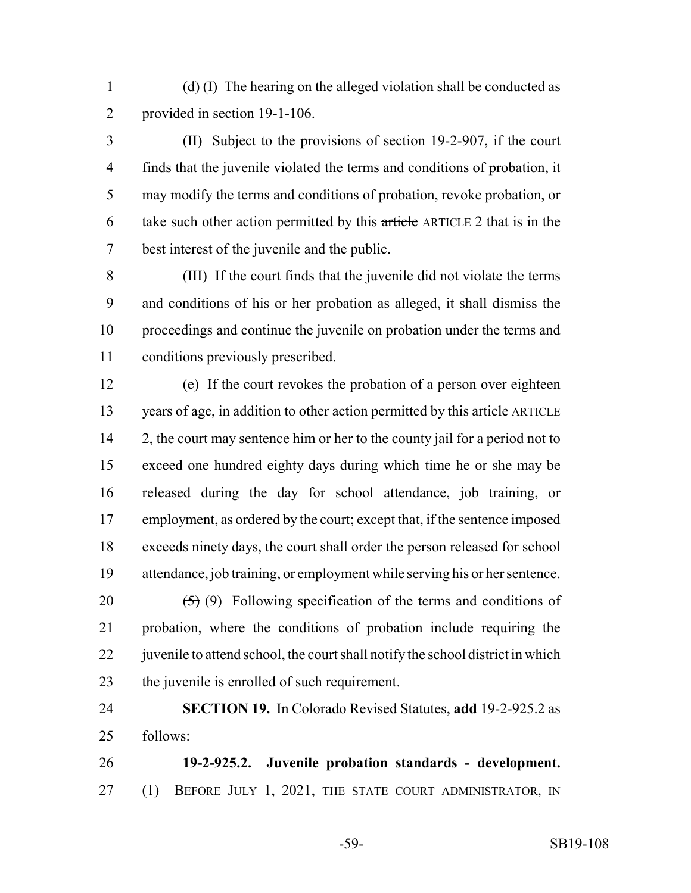(d) (I) The hearing on the alleged violation shall be conducted as provided in section 19-1-106.

 (II) Subject to the provisions of section 19-2-907, if the court finds that the juvenile violated the terms and conditions of probation, it may modify the terms and conditions of probation, revoke probation, or take such other action permitted by this article ARTICLE 2 that is in the best interest of the juvenile and the public.

 (III) If the court finds that the juvenile did not violate the terms and conditions of his or her probation as alleged, it shall dismiss the proceedings and continue the juvenile on probation under the terms and conditions previously prescribed.

 (e) If the court revokes the probation of a person over eighteen 13 years of age, in addition to other action permitted by this article ARTICLE 14 2, the court may sentence him or her to the county jail for a period not to exceed one hundred eighty days during which time he or she may be released during the day for school attendance, job training, or employment, as ordered by the court; except that, if the sentence imposed exceeds ninety days, the court shall order the person released for school attendance, job training, or employment while serving his or her sentence.

 $(5)$  (9) Following specification of the terms and conditions of probation, where the conditions of probation include requiring the 22 juven is to attend school, the court shall notify the school district in which the juvenile is enrolled of such requirement.

 **SECTION 19.** In Colorado Revised Statutes, **add** 19-2-925.2 as follows:

 **19-2-925.2. Juvenile probation standards - development.** 27 (1) BEFORE JULY 1, 2021, THE STATE COURT ADMINISTRATOR, IN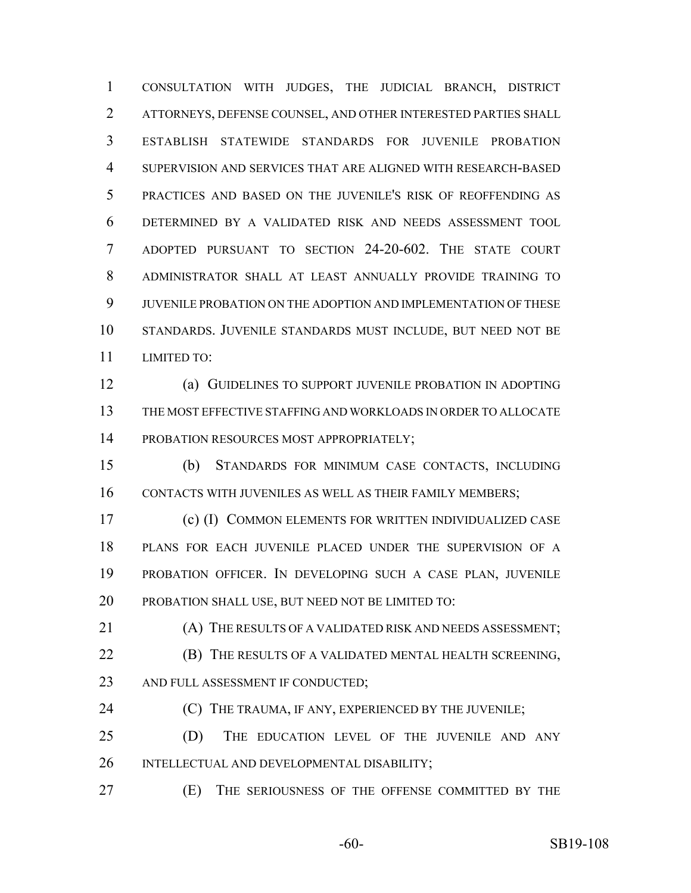CONSULTATION WITH JUDGES, THE JUDICIAL BRANCH, DISTRICT ATTORNEYS, DEFENSE COUNSEL, AND OTHER INTERESTED PARTIES SHALL ESTABLISH STATEWIDE STANDARDS FOR JUVENILE PROBATION SUPERVISION AND SERVICES THAT ARE ALIGNED WITH RESEARCH-BASED PRACTICES AND BASED ON THE JUVENILE'S RISK OF REOFFENDING AS DETERMINED BY A VALIDATED RISK AND NEEDS ASSESSMENT TOOL ADOPTED PURSUANT TO SECTION 24-20-602. THE STATE COURT ADMINISTRATOR SHALL AT LEAST ANNUALLY PROVIDE TRAINING TO JUVENILE PROBATION ON THE ADOPTION AND IMPLEMENTATION OF THESE STANDARDS. JUVENILE STANDARDS MUST INCLUDE, BUT NEED NOT BE LIMITED TO:

 (a) GUIDELINES TO SUPPORT JUVENILE PROBATION IN ADOPTING THE MOST EFFECTIVE STAFFING AND WORKLOADS IN ORDER TO ALLOCATE 14 PROBATION RESOURCES MOST APPROPRIATELY;

 (b) STANDARDS FOR MINIMUM CASE CONTACTS, INCLUDING CONTACTS WITH JUVENILES AS WELL AS THEIR FAMILY MEMBERS;

 (c) (I) COMMON ELEMENTS FOR WRITTEN INDIVIDUALIZED CASE PLANS FOR EACH JUVENILE PLACED UNDER THE SUPERVISION OF A PROBATION OFFICER. IN DEVELOPING SUCH A CASE PLAN, JUVENILE PROBATION SHALL USE, BUT NEED NOT BE LIMITED TO:

 (A) THE RESULTS OF A VALIDATED RISK AND NEEDS ASSESSMENT; **(B)** THE RESULTS OF A VALIDATED MENTAL HEALTH SCREENING, 23 AND FULL ASSESSMENT IF CONDUCTED;

**(C)** THE TRAUMA, IF ANY, EXPERIENCED BY THE JUVENILE;

 (D) THE EDUCATION LEVEL OF THE JUVENILE AND ANY INTELLECTUAL AND DEVELOPMENTAL DISABILITY;

(E) THE SERIOUSNESS OF THE OFFENSE COMMITTED BY THE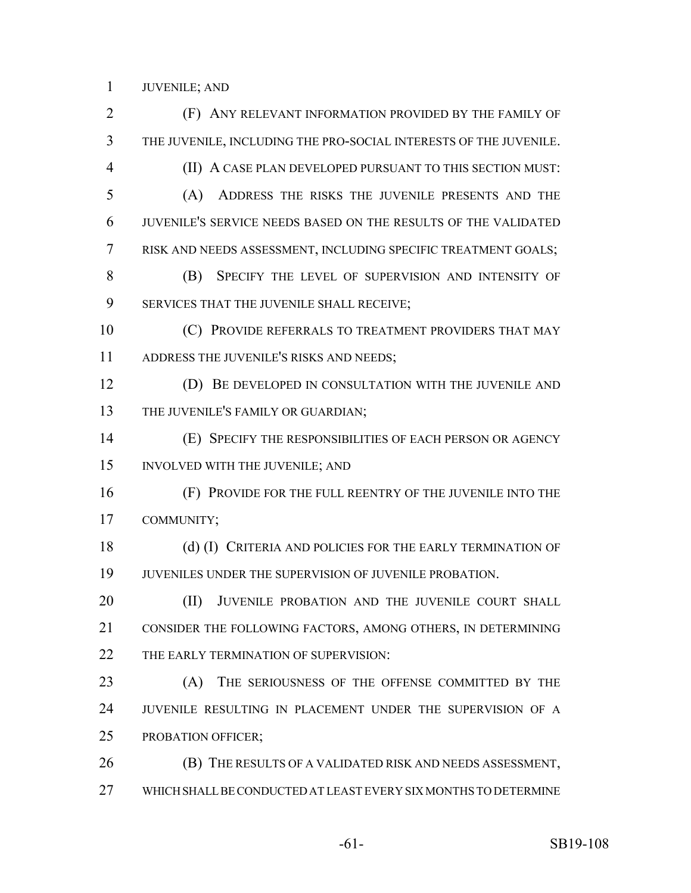JUVENILE; AND

 (F) ANY RELEVANT INFORMATION PROVIDED BY THE FAMILY OF THE JUVENILE, INCLUDING THE PRO-SOCIAL INTERESTS OF THE JUVENILE. (II) A CASE PLAN DEVELOPED PURSUANT TO THIS SECTION MUST: (A) ADDRESS THE RISKS THE JUVENILE PRESENTS AND THE JUVENILE'S SERVICE NEEDS BASED ON THE RESULTS OF THE VALIDATED RISK AND NEEDS ASSESSMENT, INCLUDING SPECIFIC TREATMENT GOALS; (B) SPECIFY THE LEVEL OF SUPERVISION AND INTENSITY OF SERVICES THAT THE JUVENILE SHALL RECEIVE; **(C) PROVIDE REFERRALS TO TREATMENT PROVIDERS THAT MAY** 11 ADDRESS THE JUVENILE'S RISKS AND NEEDS; (D) BE DEVELOPED IN CONSULTATION WITH THE JUVENILE AND 13 THE JUVENILE'S FAMILY OR GUARDIAN; (E) SPECIFY THE RESPONSIBILITIES OF EACH PERSON OR AGENCY INVOLVED WITH THE JUVENILE; AND (F) PROVIDE FOR THE FULL REENTRY OF THE JUVENILE INTO THE COMMUNITY; 18 (d) (I) CRITERIA AND POLICIES FOR THE EARLY TERMINATION OF JUVENILES UNDER THE SUPERVISION OF JUVENILE PROBATION. 20 (II) JUVENILE PROBATION AND THE JUVENILE COURT SHALL CONSIDER THE FOLLOWING FACTORS, AMONG OTHERS, IN DETERMINING 22 THE EARLY TERMINATION OF SUPERVISION: (A) THE SERIOUSNESS OF THE OFFENSE COMMITTED BY THE JUVENILE RESULTING IN PLACEMENT UNDER THE SUPERVISION OF A PROBATION OFFICER; (B) THE RESULTS OF A VALIDATED RISK AND NEEDS ASSESSMENT, WHICH SHALL BE CONDUCTED AT LEAST EVERY SIX MONTHS TO DETERMINE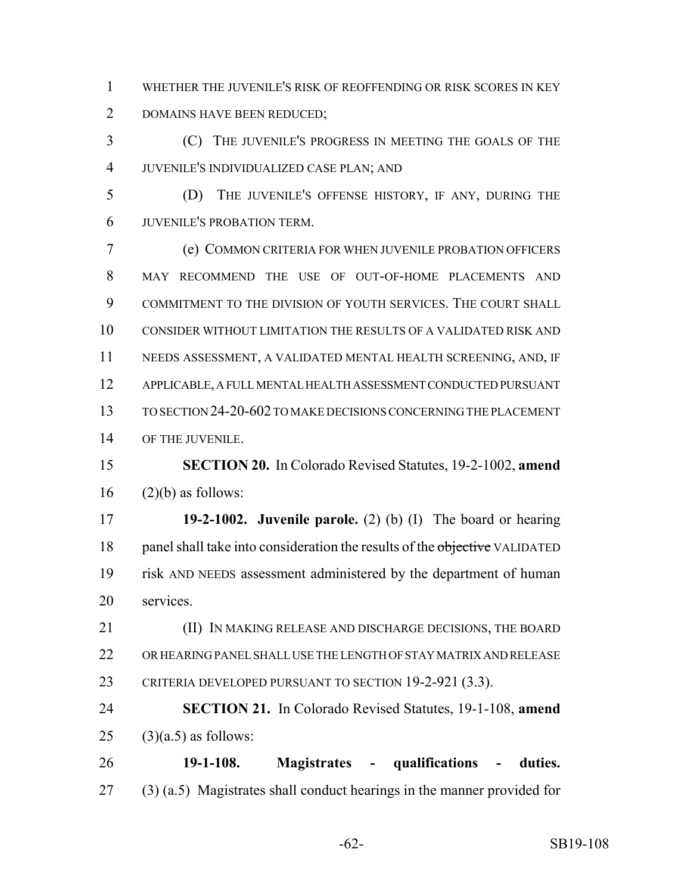WHETHER THE JUVENILE'S RISK OF REOFFENDING OR RISK SCORES IN KEY DOMAINS HAVE BEEN REDUCED;

 (C) THE JUVENILE'S PROGRESS IN MEETING THE GOALS OF THE JUVENILE'S INDIVIDUALIZED CASE PLAN; AND

 (D) THE JUVENILE'S OFFENSE HISTORY, IF ANY, DURING THE JUVENILE'S PROBATION TERM.

 (e) COMMON CRITERIA FOR WHEN JUVENILE PROBATION OFFICERS MAY RECOMMEND THE USE OF OUT-OF-HOME PLACEMENTS AND COMMITMENT TO THE DIVISION OF YOUTH SERVICES. THE COURT SHALL CONSIDER WITHOUT LIMITATION THE RESULTS OF A VALIDATED RISK AND NEEDS ASSESSMENT, A VALIDATED MENTAL HEALTH SCREENING, AND, IF APPLICABLE, A FULL MENTAL HEALTH ASSESSMENT CONDUCTED PURSUANT TO SECTION 24-20-602 TO MAKE DECISIONS CONCERNING THE PLACEMENT OF THE JUVENILE.

 **SECTION 20.** In Colorado Revised Statutes, 19-2-1002, **amend** (2)(b) as follows:

 **19-2-1002. Juvenile parole.** (2) (b) (I) The board or hearing 18 panel shall take into consideration the results of the objective VALIDATED risk AND NEEDS assessment administered by the department of human services.

 (II) IN MAKING RELEASE AND DISCHARGE DECISIONS, THE BOARD OR HEARING PANEL SHALL USE THE LENGTH OF STAY MATRIX AND RELEASE CRITERIA DEVELOPED PURSUANT TO SECTION 19-2-921 (3.3).

 **SECTION 21.** In Colorado Revised Statutes, 19-1-108, **amend** 25 (3)(a.5) as follows:

 **19-1-108. Magistrates - qualifications - duties.** (3) (a.5) Magistrates shall conduct hearings in the manner provided for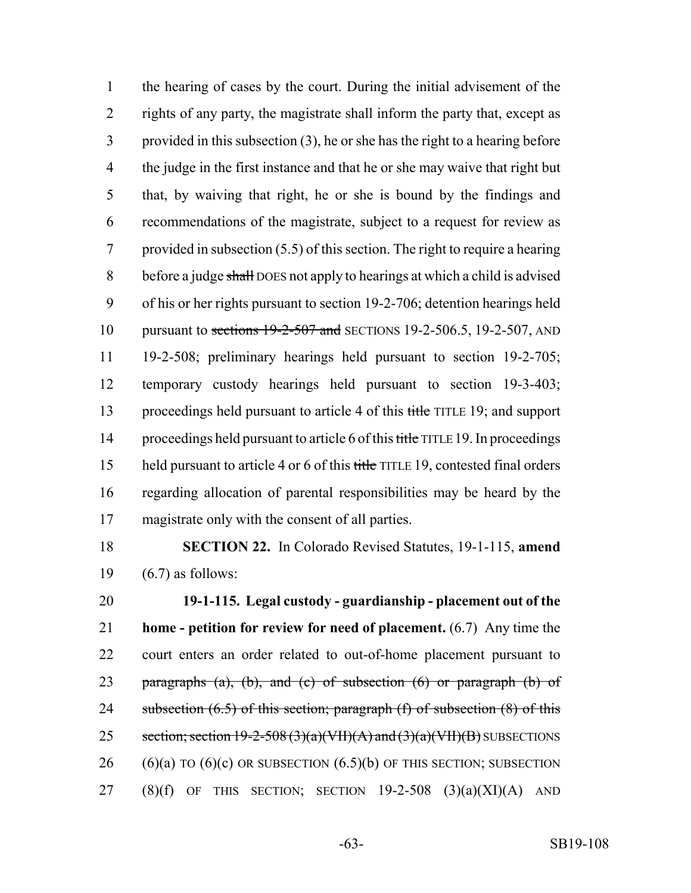the hearing of cases by the court. During the initial advisement of the rights of any party, the magistrate shall inform the party that, except as provided in this subsection (3), he or she has the right to a hearing before the judge in the first instance and that he or she may waive that right but that, by waiving that right, he or she is bound by the findings and recommendations of the magistrate, subject to a request for review as provided in subsection (5.5) of this section. The right to require a hearing 8 before a judge shall DOES not apply to hearings at which a child is advised of his or her rights pursuant to section 19-2-706; detention hearings held 10 pursuant to sections 19-2-507 and SECTIONS 19-2-506.5, 19-2-507, AND 19-2-508; preliminary hearings held pursuant to section 19-2-705; temporary custody hearings held pursuant to section 19-3-403; 13 proceedings held pursuant to article 4 of this title TITLE 19; and support 14 proceedings held pursuant to article 6 of this title TITLE 19. In proceedings 15 held pursuant to article 4 or 6 of this title TITLE 19, contested final orders regarding allocation of parental responsibilities may be heard by the magistrate only with the consent of all parties.

 **SECTION 22.** In Colorado Revised Statutes, 19-1-115, **amend** (6.7) as follows:

 **19-1-115. Legal custody - guardianship - placement out of the home - petition for review for need of placement.** (6.7) Any time the court enters an order related to out-of-home placement pursuant to 23 paragraphs  $(a)$ ,  $(b)$ , and  $(c)$  of subsection  $(6)$  or paragraph  $(b)$  of 24 subsection (6.5) of this section; paragraph (f) of subsection (8) of this 25 section; section  $19-2-508(3)(a)(VH)(A)$  and  $(3)(a)(VH)(B)$  SUBSECTIONS 26 (6)(a) TO (6)(c) OR SUBSECTION  $(6.5)$ (b) OF THIS SECTION; SUBSECTION 27 (8)(f) OF THIS SECTION; SECTION  $19-2-508$  (3)(a)(XI)(A) AND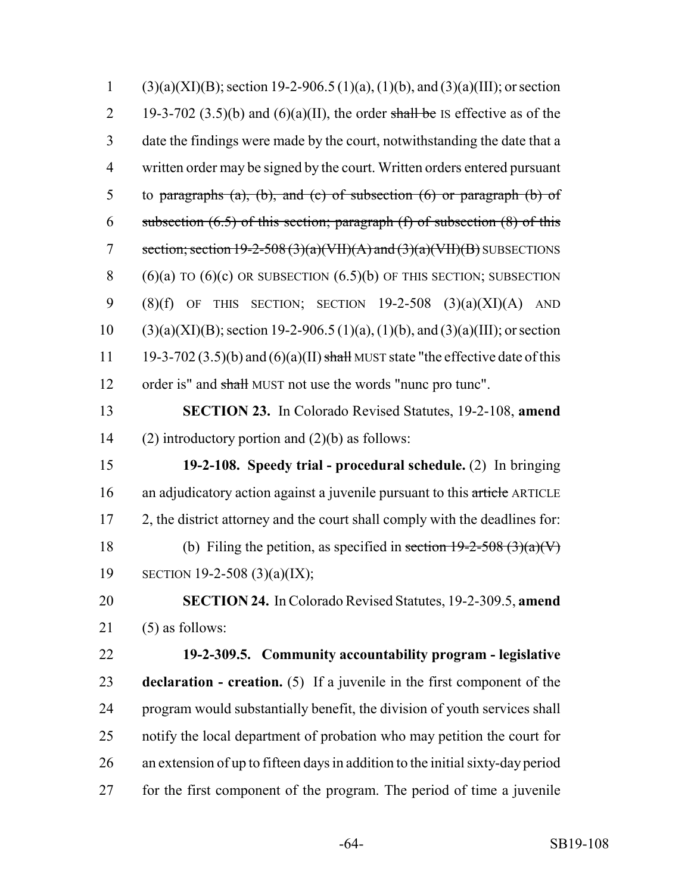| $\mathbf{1}$   | $(3)(a)(XI)(B)$ ; section 19-2-906.5 (1)(a), (1)(b), and (3)(a)(III); or section  |
|----------------|-----------------------------------------------------------------------------------|
| $\overline{2}$ | 19-3-702 (3.5)(b) and (6)(a)(II), the order shall be IS effective as of the       |
| 3              | date the findings were made by the court, notwithstanding the date that a         |
| $\overline{4}$ | written order may be signed by the court. Written orders entered pursuant         |
| 5              | to paragraphs $(a)$ , $(b)$ , and $(c)$ of subsection $(6)$ or paragraph $(b)$ of |
| 6              | subsection $(6.5)$ of this section; paragraph $(f)$ of subsection $(8)$ of this   |
| $\overline{7}$ | section; section $19-2-508(3)(a)(VII)(A)$ and $(3)(a)(VII)(B)$ SUBSECTIONS        |
| $8\,$          | $(6)(a)$ TO $(6)(c)$ OR SUBSECTION $(6.5)(b)$ OF THIS SECTION; SUBSECTION         |
| 9              | THIS SECTION; SECTION $19-2-508$ $(3)(a)(XI)(A)$ AND<br>$(8)(f)$ OF               |
| 10             | $(3)(a)(XI)(B)$ ; section 19-2-906.5 (1)(a), (1)(b), and (3)(a)(III); or section  |
| 11             | 19-3-702 (3.5)(b) and (6)(a)(II) shall MUST state "the effective date of this     |
| 12             | order is" and shall MUST not use the words "nunc pro tunc".                       |
| 13             | <b>SECTION 23.</b> In Colorado Revised Statutes, 19-2-108, amend                  |
| 14             | (2) introductory portion and $(2)(b)$ as follows:                                 |
| 15             | 19-2-108. Speedy trial - procedural schedule. $(2)$ In bringing                   |
| 16             | an adjudicatory action against a juvenile pursuant to this article ARTICLE        |
| 17             | 2, the district attorney and the court shall comply with the deadlines for:       |
| 18             | (b) Filing the petition, as specified in section $19-2-508(3)(a)(V)$              |
| 19             | SECTION 19-2-508 (3)(a)(IX);                                                      |
| 20             | SECTION 24. In Colorado Revised Statutes, 19-2-309.5, amend                       |
| 21             | $(5)$ as follows:                                                                 |
| 22             | 19-2-309.5. Community accountability program - legislative                        |
| 23             | declaration - creation. (5) If a juvenile in the first component of the           |
| 24             | program would substantially benefit, the division of youth services shall         |
| 25             | notify the local department of probation who may petition the court for           |
| 26             | an extension of up to fifteen days in addition to the initial sixty-day period    |
| 27             | for the first component of the program. The period of time a juvenile             |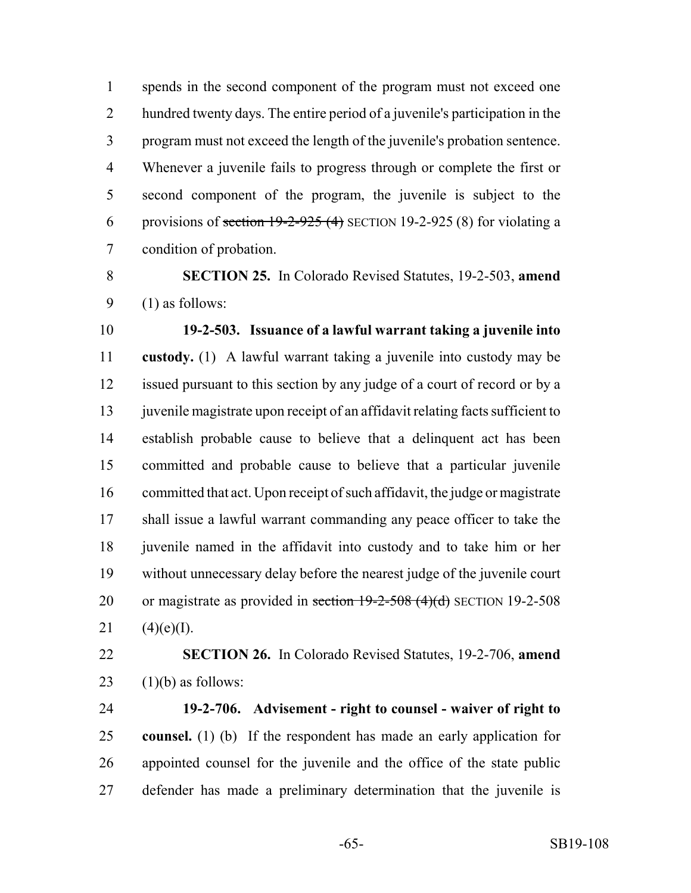spends in the second component of the program must not exceed one hundred twenty days. The entire period of a juvenile's participation in the program must not exceed the length of the juvenile's probation sentence. Whenever a juvenile fails to progress through or complete the first or second component of the program, the juvenile is subject to the 6 provisions of section  $19-2-925(4)$  SECTION 19-2-925 (8) for violating a condition of probation.

 **SECTION 25.** In Colorado Revised Statutes, 19-2-503, **amend** (1) as follows:

 **19-2-503. Issuance of a lawful warrant taking a juvenile into custody.** (1) A lawful warrant taking a juvenile into custody may be issued pursuant to this section by any judge of a court of record or by a juvenile magistrate upon receipt of an affidavit relating facts sufficient to establish probable cause to believe that a delinquent act has been committed and probable cause to believe that a particular juvenile committed that act. Upon receipt of such affidavit, the judge or magistrate shall issue a lawful warrant commanding any peace officer to take the 18 juven ile named in the affidavit into custody and to take him or her without unnecessary delay before the nearest judge of the juvenile court 20 or magistrate as provided in section  $19-2-508$  (4)(d) SECTION 19-2-508  $(4)(e)(I)$ .

 **SECTION 26.** In Colorado Revised Statutes, 19-2-706, **amend** 23  $(1)(b)$  as follows:

 **19-2-706. Advisement - right to counsel - waiver of right to counsel.** (1) (b) If the respondent has made an early application for appointed counsel for the juvenile and the office of the state public defender has made a preliminary determination that the juvenile is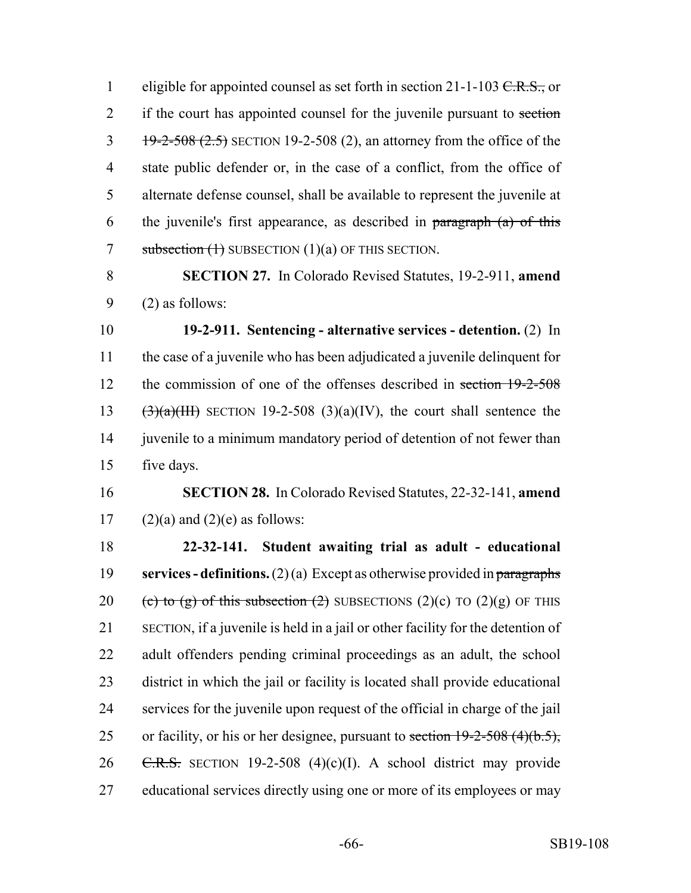1 eligible for appointed counsel as set forth in section 21-1-103  $C.R.S.,$  or 2 if the court has appointed counsel for the juvenile pursuant to section  $\frac{19-2-508(2.5)}{19-2-508(2.5)}$  SECTION 19-2-508 (2), an attorney from the office of the 4 state public defender or, in the case of a conflict, from the office of 5 alternate defense counsel, shall be available to represent the juvenile at 6 the juvenile's first appearance, as described in  $\frac{1}{2}$  paragraph (a) of this 7 subsection  $(1)$  SUBSECTION  $(1)(a)$  OF THIS SECTION.

8 **SECTION 27.** In Colorado Revised Statutes, 19-2-911, **amend** 9 (2) as follows:

 **19-2-911. Sentencing - alternative services - detention.** (2) In the case of a juvenile who has been adjudicated a juvenile delinquent for 12 the commission of one of the offenses described in section 19-2-508  $(3)(a)(III)$  SECTION 19-2-508 (3)(a)(IV), the court shall sentence the 14 juven ile to a minimum mandatory period of detention of not fewer than five days.

16 **SECTION 28.** In Colorado Revised Statutes, 22-32-141, **amend** 17 (2)(a) and (2)(e) as follows:

 **22-32-141. Student awaiting trial as adult - educational services - definitions.** (2) (a) Except as otherwise provided in paragraphs 20 (c) to (g) of this subsection (2) SUBSECTIONS (2)(c) TO (2)(g) OF THIS SECTION, if a juvenile is held in a jail or other facility for the detention of adult offenders pending criminal proceedings as an adult, the school district in which the jail or facility is located shall provide educational services for the juvenile upon request of the official in charge of the jail 25 or facility, or his or her designee, pursuant to section  $19-2-508$  (4)(b.5),  $\text{C.R.S.}$  SECTION 19-2-508 (4)(c)(I). A school district may provide educational services directly using one or more of its employees or may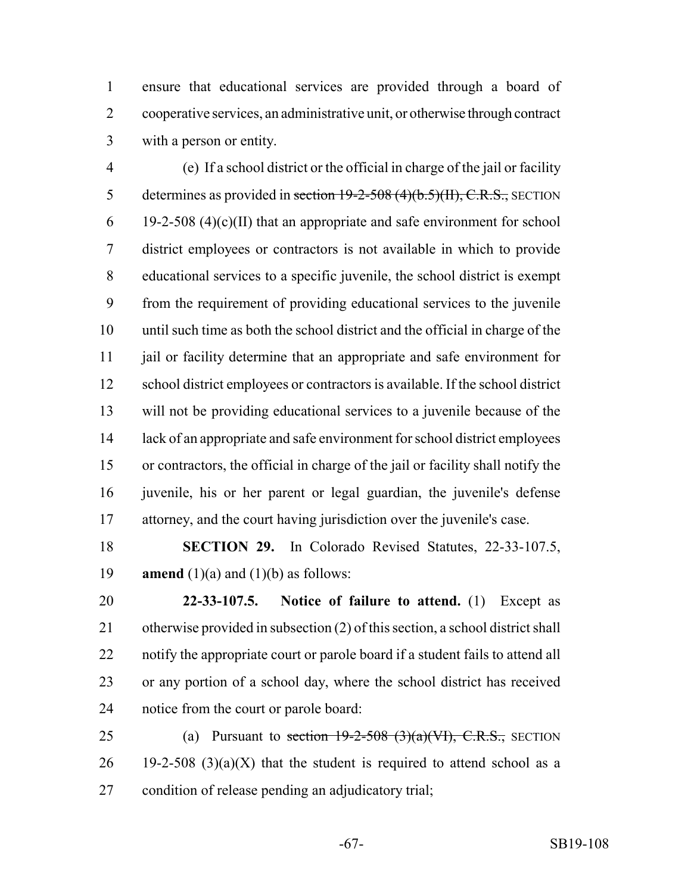ensure that educational services are provided through a board of cooperative services, an administrative unit, or otherwise through contract with a person or entity.

 (e) If a school district or the official in charge of the jail or facility 5 determines as provided in section  $19-2-508(4)(b.5)(H)$ , C.R.S., SECTION 6 19-2-508 (4)(c)(II) that an appropriate and safe environment for school district employees or contractors is not available in which to provide educational services to a specific juvenile, the school district is exempt from the requirement of providing educational services to the juvenile until such time as both the school district and the official in charge of the jail or facility determine that an appropriate and safe environment for school district employees or contractors is available. If the school district will not be providing educational services to a juvenile because of the lack of an appropriate and safe environment for school district employees or contractors, the official in charge of the jail or facility shall notify the juvenile, his or her parent or legal guardian, the juvenile's defense attorney, and the court having jurisdiction over the juvenile's case.

 **SECTION 29.** In Colorado Revised Statutes, 22-33-107.5, 19 **amend**  $(1)(a)$  and  $(1)(b)$  as follows:

 **22-33-107.5. Notice of failure to attend.** (1) Except as otherwise provided in subsection (2) of this section, a school district shall notify the appropriate court or parole board if a student fails to attend all or any portion of a school day, where the school district has received notice from the court or parole board:

25 (a) Pursuant to section  $19-2-508$  (3)(a)(VI), C.R.S., SECTION 26 19-2-508 (3)(a)(X) that the student is required to attend school as a condition of release pending an adjudicatory trial;